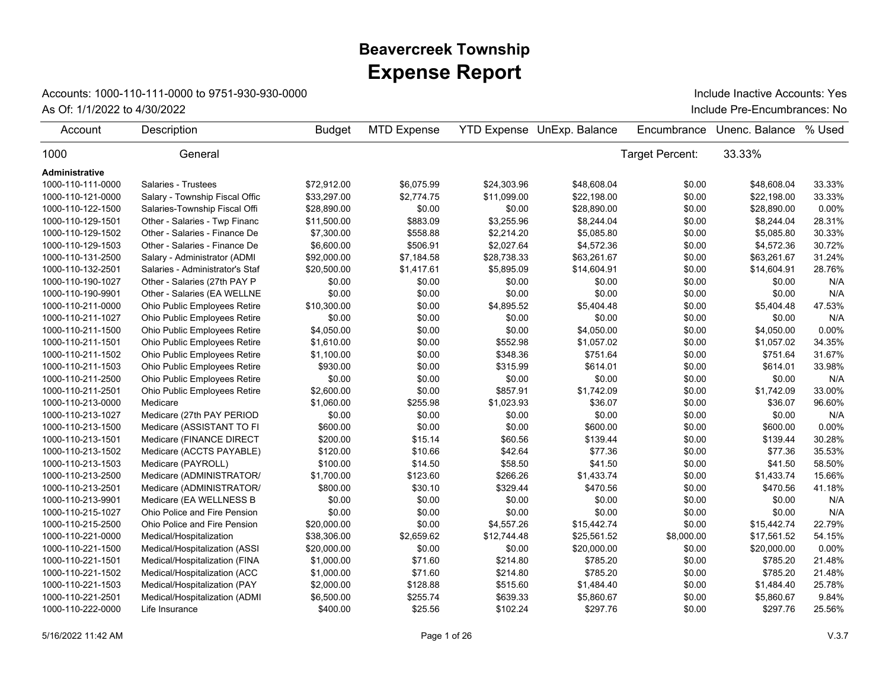## **Expense Report Beavercreek Township**

## Accounts: 1000-110-111-0000 to 9751-930-930-0000

As Of: 1/1/2022 to 4/30/2022 Include Pre-Encumbrances: No Include Inactive Accounts: Yes

| Account           | Description                         | <b>Budget</b> | <b>MTD Expense</b> |             | <b>YTD Expense UnExp. Balance</b> | Encumbrance     | Unenc. Balance | % Used   |
|-------------------|-------------------------------------|---------------|--------------------|-------------|-----------------------------------|-----------------|----------------|----------|
| 1000              | General                             |               |                    |             |                                   | Target Percent: | 33.33%         |          |
| Administrative    |                                     |               |                    |             |                                   |                 |                |          |
| 1000-110-111-0000 | Salaries - Trustees                 | \$72.912.00   | \$6,075.99         | \$24,303.96 | \$48.608.04                       | \$0.00          | \$48,608.04    | 33.33%   |
| 1000-110-121-0000 | Salary - Township Fiscal Offic      | \$33,297.00   | \$2,774.75         | \$11,099.00 | \$22,198.00                       | \$0.00          | \$22,198.00    | 33.33%   |
| 1000-110-122-1500 | Salaries-Township Fiscal Offi       | \$28,890.00   | \$0.00             | \$0.00      | \$28,890.00                       | \$0.00          | \$28,890.00    | $0.00\%$ |
| 1000-110-129-1501 | Other - Salaries - Twp Financ       | \$11,500.00   | \$883.09           | \$3,255.96  | \$8,244.04                        | \$0.00          | \$8,244.04     | 28.31%   |
| 1000-110-129-1502 | Other - Salaries - Finance De       | \$7,300.00    | \$558.88           | \$2,214.20  | \$5,085.80                        | \$0.00          | \$5,085.80     | 30.33%   |
| 1000-110-129-1503 | Other - Salaries - Finance De       | \$6,600.00    | \$506.91           | \$2,027.64  | \$4,572.36                        | \$0.00          | \$4,572.36     | 30.72%   |
| 1000-110-131-2500 | Salary - Administrator (ADMI        | \$92,000.00   | \$7,184.58         | \$28,738.33 | \$63,261.67                       | \$0.00          | \$63,261.67    | 31.24%   |
| 1000-110-132-2501 | Salaries - Administrator's Staf     | \$20,500.00   | \$1,417.61         | \$5,895.09  | \$14,604.91                       | \$0.00          | \$14,604.91    | 28.76%   |
| 1000-110-190-1027 | Other - Salaries (27th PAY P        | \$0.00        | \$0.00             | \$0.00      | \$0.00                            | \$0.00          | \$0.00         | N/A      |
| 1000-110-190-9901 | Other - Salaries (EA WELLNE         | \$0.00        | \$0.00             | \$0.00      | \$0.00                            | \$0.00          | \$0.00         | N/A      |
| 1000-110-211-0000 | Ohio Public Employees Retire        | \$10,300.00   | \$0.00             | \$4,895.52  | \$5,404.48                        | \$0.00          | \$5,404.48     | 47.53%   |
| 1000-110-211-1027 | Ohio Public Employees Retire        | \$0.00        | \$0.00             | \$0.00      | \$0.00                            | \$0.00          | \$0.00         | N/A      |
| 1000-110-211-1500 | Ohio Public Employees Retire        | \$4,050.00    | \$0.00             | \$0.00      | \$4,050.00                        | \$0.00          | \$4,050.00     | 0.00%    |
| 1000-110-211-1501 | Ohio Public Employees Retire        | \$1,610.00    | \$0.00             | \$552.98    | \$1,057.02                        | \$0.00          | \$1,057.02     | 34.35%   |
| 1000-110-211-1502 | Ohio Public Employees Retire        | \$1,100.00    | \$0.00             | \$348.36    | \$751.64                          | \$0.00          | \$751.64       | 31.67%   |
| 1000-110-211-1503 | Ohio Public Employees Retire        | \$930.00      | \$0.00             | \$315.99    | \$614.01                          | \$0.00          | \$614.01       | 33.98%   |
| 1000-110-211-2500 | Ohio Public Employees Retire        | \$0.00        | \$0.00             | \$0.00      | \$0.00                            | \$0.00          | \$0.00         | N/A      |
| 1000-110-211-2501 | Ohio Public Employees Retire        | \$2,600.00    | \$0.00             | \$857.91    | \$1,742.09                        | \$0.00          | \$1,742.09     | 33.00%   |
| 1000-110-213-0000 | Medicare                            | \$1,060.00    | \$255.98           | \$1,023.93  | \$36.07                           | \$0.00          | \$36.07        | 96.60%   |
| 1000-110-213-1027 | Medicare (27th PAY PERIOD           | \$0.00        | \$0.00             | \$0.00      | \$0.00                            | \$0.00          | \$0.00         | N/A      |
| 1000-110-213-1500 | Medicare (ASSISTANT TO FI           | \$600.00      | \$0.00             | \$0.00      | \$600.00                          | \$0.00          | \$600.00       | 0.00%    |
| 1000-110-213-1501 | Medicare (FINANCE DIRECT            | \$200.00      | \$15.14            | \$60.56     | \$139.44                          | \$0.00          | \$139.44       | 30.28%   |
| 1000-110-213-1502 | Medicare (ACCTS PAYABLE)            | \$120.00      | \$10.66            | \$42.64     | \$77.36                           | \$0.00          | \$77.36        | 35.53%   |
| 1000-110-213-1503 | Medicare (PAYROLL)                  | \$100.00      | \$14.50            | \$58.50     | \$41.50                           | \$0.00          | \$41.50        | 58.50%   |
| 1000-110-213-2500 | Medicare (ADMINISTRATOR/            | \$1,700.00    | \$123.60           | \$266.26    | \$1,433.74                        | \$0.00          | \$1,433.74     | 15.66%   |
| 1000-110-213-2501 | Medicare (ADMINISTRATOR/            | \$800.00      | \$30.10            | \$329.44    | \$470.56                          | \$0.00          | \$470.56       | 41.18%   |
| 1000-110-213-9901 | Medicare (EA WELLNESS B             | \$0.00        | \$0.00             | \$0.00      | \$0.00                            | \$0.00          | \$0.00         | N/A      |
| 1000-110-215-1027 | Ohio Police and Fire Pension        | \$0.00        | \$0.00             | \$0.00      | \$0.00                            | \$0.00          | \$0.00         | N/A      |
| 1000-110-215-2500 | <b>Ohio Police and Fire Pension</b> | \$20,000.00   | \$0.00             | \$4,557.26  | \$15,442.74                       | \$0.00          | \$15,442.74    | 22.79%   |
| 1000-110-221-0000 | Medical/Hospitalization             | \$38,306.00   | \$2,659.62         | \$12,744.48 | \$25,561.52                       | \$8,000.00      | \$17,561.52    | 54.15%   |
| 1000-110-221-1500 | Medical/Hospitalization (ASSI       | \$20,000.00   | \$0.00             | \$0.00      | \$20,000.00                       | \$0.00          | \$20,000.00    | $0.00\%$ |
| 1000-110-221-1501 | Medical/Hospitalization (FINA       | \$1,000.00    | \$71.60            | \$214.80    | \$785.20                          | \$0.00          | \$785.20       | 21.48%   |
| 1000-110-221-1502 | Medical/Hospitalization (ACC        | \$1,000.00    | \$71.60            | \$214.80    | \$785.20                          | \$0.00          | \$785.20       | 21.48%   |
| 1000-110-221-1503 | Medical/Hospitalization (PAY        | \$2,000.00    | \$128.88           | \$515.60    | \$1,484.40                        | \$0.00          | \$1,484.40     | 25.78%   |
| 1000-110-221-2501 | Medical/Hospitalization (ADMI       | \$6,500.00    | \$255.74           | \$639.33    | \$5,860.67                        | \$0.00          | \$5,860.67     | 9.84%    |
| 1000-110-222-0000 | Life Insurance                      | \$400.00      | \$25.56            | \$102.24    | \$297.76                          | \$0.00          | \$297.76       | 25.56%   |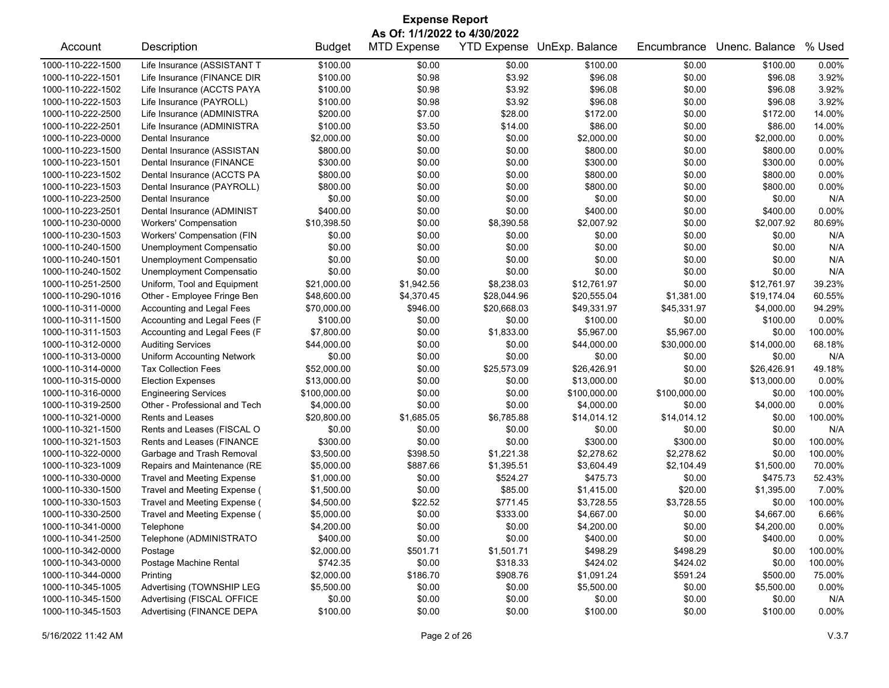| <b>Expense Report</b>                                                                                                       |                                   |               |            |             |              |              |             |          |  |
|-----------------------------------------------------------------------------------------------------------------------------|-----------------------------------|---------------|------------|-------------|--------------|--------------|-------------|----------|--|
| As Of: 1/1/2022 to 4/30/2022<br><b>MTD Expense</b><br>YTD Expense UnExp. Balance<br>Unenc. Balance<br>% Used<br>Description |                                   |               |            |             |              |              |             |          |  |
| Account                                                                                                                     |                                   | <b>Budget</b> |            |             |              | Encumbrance  |             |          |  |
| 1000-110-222-1500                                                                                                           | Life Insurance (ASSISTANT T       | \$100.00      | \$0.00     | \$0.00      | \$100.00     | \$0.00       | \$100.00    | 0.00%    |  |
| 1000-110-222-1501                                                                                                           | Life Insurance (FINANCE DIR       | \$100.00      | \$0.98     | \$3.92      | \$96.08      | \$0.00       | \$96.08     | 3.92%    |  |
| 1000-110-222-1502                                                                                                           | Life Insurance (ACCTS PAYA        | \$100.00      | \$0.98     | \$3.92      | \$96.08      | \$0.00       | \$96.08     | 3.92%    |  |
| 1000-110-222-1503                                                                                                           | Life Insurance (PAYROLL)          | \$100.00      | \$0.98     | \$3.92      | \$96.08      | \$0.00       | \$96.08     | 3.92%    |  |
| 1000-110-222-2500                                                                                                           | Life Insurance (ADMINISTRA        | \$200.00      | \$7.00     | \$28.00     | \$172.00     | \$0.00       | \$172.00    | 14.00%   |  |
| 1000-110-222-2501                                                                                                           | Life Insurance (ADMINISTRA        | \$100.00      | \$3.50     | \$14.00     | \$86.00      | \$0.00       | \$86.00     | 14.00%   |  |
| 1000-110-223-0000                                                                                                           | Dental Insurance                  | \$2,000.00    | \$0.00     | \$0.00      | \$2,000.00   | \$0.00       | \$2,000.00  | 0.00%    |  |
| 1000-110-223-1500                                                                                                           | Dental Insurance (ASSISTAN        | \$800.00      | \$0.00     | \$0.00      | \$800.00     | \$0.00       | \$800.00    | 0.00%    |  |
| 1000-110-223-1501                                                                                                           | Dental Insurance (FINANCE         | \$300.00      | \$0.00     | \$0.00      | \$300.00     | \$0.00       | \$300.00    | 0.00%    |  |
| 1000-110-223-1502                                                                                                           | Dental Insurance (ACCTS PA        | \$800.00      | \$0.00     | \$0.00      | \$800.00     | \$0.00       | \$800.00    | 0.00%    |  |
| 1000-110-223-1503                                                                                                           | Dental Insurance (PAYROLL)        | \$800.00      | \$0.00     | \$0.00      | \$800.00     | \$0.00       | \$800.00    | 0.00%    |  |
| 1000-110-223-2500                                                                                                           | Dental Insurance                  | \$0.00        | \$0.00     | \$0.00      | \$0.00       | \$0.00       | \$0.00      | N/A      |  |
| 1000-110-223-2501                                                                                                           | Dental Insurance (ADMINIST        | \$400.00      | \$0.00     | \$0.00      | \$400.00     | \$0.00       | \$400.00    | 0.00%    |  |
| 1000-110-230-0000                                                                                                           | <b>Workers' Compensation</b>      | \$10,398.50   | \$0.00     | \$8,390.58  | \$2,007.92   | \$0.00       | \$2,007.92  | 80.69%   |  |
| 1000-110-230-1503                                                                                                           | Workers' Compensation (FIN        | \$0.00        | \$0.00     | \$0.00      | \$0.00       | \$0.00       | \$0.00      | N/A      |  |
| 1000-110-240-1500                                                                                                           | Unemployment Compensatio          | \$0.00        | \$0.00     | \$0.00      | \$0.00       | \$0.00       | \$0.00      | N/A      |  |
| 1000-110-240-1501                                                                                                           | Unemployment Compensatio          | \$0.00        | \$0.00     | \$0.00      | \$0.00       | \$0.00       | \$0.00      | N/A      |  |
| 1000-110-240-1502                                                                                                           | Unemployment Compensatio          | \$0.00        | \$0.00     | \$0.00      | \$0.00       | \$0.00       | \$0.00      | N/A      |  |
| 1000-110-251-2500                                                                                                           | Uniform, Tool and Equipment       | \$21,000.00   | \$1,942.56 | \$8,238.03  | \$12,761.97  | \$0.00       | \$12,761.97 | 39.23%   |  |
| 1000-110-290-1016                                                                                                           | Other - Employee Fringe Ben       | \$48,600.00   | \$4,370.45 | \$28,044.96 | \$20,555.04  | \$1,381.00   | \$19,174.04 | 60.55%   |  |
| 1000-110-311-0000                                                                                                           | Accounting and Legal Fees         | \$70,000.00   | \$946.00   | \$20,668.03 | \$49,331.97  | \$45,331.97  | \$4,000.00  | 94.29%   |  |
| 1000-110-311-1500                                                                                                           | Accounting and Legal Fees (F      | \$100.00      | \$0.00     | \$0.00      | \$100.00     | \$0.00       | \$100.00    | 0.00%    |  |
| 1000-110-311-1503                                                                                                           | Accounting and Legal Fees (F      | \$7,800.00    | \$0.00     | \$1,833.00  | \$5,967.00   | \$5,967.00   | \$0.00      | 100.00%  |  |
| 1000-110-312-0000                                                                                                           | <b>Auditing Services</b>          | \$44,000.00   | \$0.00     | \$0.00      | \$44,000.00  | \$30,000.00  | \$14,000.00 | 68.18%   |  |
| 1000-110-313-0000                                                                                                           | <b>Uniform Accounting Network</b> | \$0.00        | \$0.00     | \$0.00      | \$0.00       | \$0.00       | \$0.00      | N/A      |  |
| 1000-110-314-0000                                                                                                           | <b>Tax Collection Fees</b>        | \$52,000.00   | \$0.00     | \$25,573.09 | \$26,426.91  | \$0.00       | \$26,426.91 | 49.18%   |  |
| 1000-110-315-0000                                                                                                           | <b>Election Expenses</b>          | \$13,000.00   | \$0.00     | \$0.00      | \$13,000.00  | \$0.00       | \$13,000.00 | 0.00%    |  |
| 1000-110-316-0000                                                                                                           | <b>Engineering Services</b>       | \$100,000.00  | \$0.00     | \$0.00      | \$100,000.00 | \$100,000.00 | \$0.00      | 100.00%  |  |
| 1000-110-319-2500                                                                                                           | Other - Professional and Tech     | \$4,000.00    | \$0.00     | \$0.00      | \$4,000.00   | \$0.00       | \$4,000.00  | 0.00%    |  |
| 1000-110-321-0000                                                                                                           | <b>Rents and Leases</b>           | \$20,800.00   | \$1,685.05 | \$6,785.88  | \$14,014.12  | \$14,014.12  | \$0.00      | 100.00%  |  |
| 1000-110-321-1500                                                                                                           | Rents and Leases (FISCAL O        | \$0.00        | \$0.00     | \$0.00      | \$0.00       | \$0.00       | \$0.00      | N/A      |  |
| 1000-110-321-1503                                                                                                           | Rents and Leases (FINANCE         | \$300.00      | \$0.00     | \$0.00      | \$300.00     | \$300.00     | \$0.00      | 100.00%  |  |
| 1000-110-322-0000                                                                                                           | Garbage and Trash Removal         | \$3,500.00    | \$398.50   | \$1,221.38  | \$2,278.62   | \$2,278.62   | \$0.00      | 100.00%  |  |
| 1000-110-323-1009                                                                                                           | Repairs and Maintenance (RE       | \$5,000.00    | \$887.66   | \$1,395.51  | \$3,604.49   | \$2,104.49   | \$1,500.00  | 70.00%   |  |
| 1000-110-330-0000                                                                                                           | <b>Travel and Meeting Expense</b> | \$1,000.00    | \$0.00     | \$524.27    | \$475.73     | \$0.00       | \$475.73    | 52.43%   |  |
| 1000-110-330-1500                                                                                                           | Travel and Meeting Expense (      | \$1,500.00    | \$0.00     | \$85.00     | \$1,415.00   | \$20.00      | \$1,395.00  | 7.00%    |  |
| 1000-110-330-1503                                                                                                           | Travel and Meeting Expense (      | \$4,500.00    | \$22.52    | \$771.45    | \$3,728.55   | \$3,728.55   | \$0.00      | 100.00%  |  |
| 1000-110-330-2500                                                                                                           | Travel and Meeting Expense (      | \$5,000.00    | \$0.00     | \$333.00    | \$4,667.00   | \$0.00       | \$4,667.00  | 6.66%    |  |
| 1000-110-341-0000                                                                                                           | Telephone                         | \$4,200.00    | \$0.00     | \$0.00      | \$4,200.00   | \$0.00       | \$4,200.00  | 0.00%    |  |
| 1000-110-341-2500                                                                                                           | Telephone (ADMINISTRATO           | \$400.00      | \$0.00     | \$0.00      | \$400.00     | \$0.00       | \$400.00    | 0.00%    |  |
| 1000-110-342-0000                                                                                                           | Postage                           | \$2,000.00    | \$501.71   | \$1,501.71  | \$498.29     | \$498.29     | \$0.00      | 100.00%  |  |
| 1000-110-343-0000                                                                                                           | Postage Machine Rental            | \$742.35      | \$0.00     | \$318.33    | \$424.02     | \$424.02     | \$0.00      | 100.00%  |  |
| 1000-110-344-0000                                                                                                           | Printing                          | \$2,000.00    | \$186.70   | \$908.76    | \$1,091.24   | \$591.24     | \$500.00    | 75.00%   |  |
| 1000-110-345-1005                                                                                                           | Advertising (TOWNSHIP LEG         | \$5,500.00    | \$0.00     | \$0.00      | \$5,500.00   | \$0.00       | \$5,500.00  | 0.00%    |  |
| 1000-110-345-1500                                                                                                           | Advertising (FISCAL OFFICE        | \$0.00        | \$0.00     | \$0.00      | \$0.00       | \$0.00       | \$0.00      | N/A      |  |
| 1000-110-345-1503                                                                                                           | Advertising (FINANCE DEPA         | \$100.00      | \$0.00     | \$0.00      | \$100.00     | \$0.00       | \$100.00    | $0.00\%$ |  |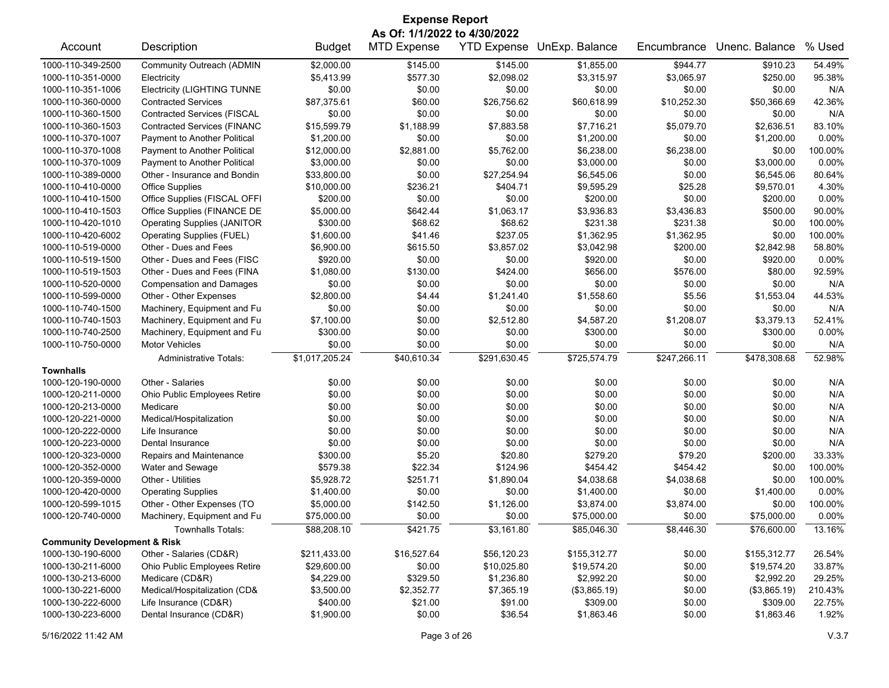| <b>Expense Report</b><br>As Of: 1/1/2022 to 4/30/2022 |                                    |                |                    |              |                            |              |                |                  |
|-------------------------------------------------------|------------------------------------|----------------|--------------------|--------------|----------------------------|--------------|----------------|------------------|
| Account                                               | Description                        | <b>Budget</b>  | <b>MTD Expense</b> |              | YTD Expense UnExp. Balance | Encumbrance  | Unenc. Balance | % Used           |
| 1000-110-349-2500                                     | Community Outreach (ADMIN          | \$2,000.00     | \$145.00           | \$145.00     | \$1,855.00                 | \$944.77     | \$910.23       | 54.49%           |
| 1000-110-351-0000                                     | Electricity                        | \$5,413.99     | \$577.30           | \$2,098.02   | \$3,315.97                 | \$3,065.97   | \$250.00       | 95.38%           |
| 1000-110-351-1006                                     | <b>Electricity (LIGHTING TUNNE</b> | \$0.00         | \$0.00             | \$0.00       | \$0.00                     | \$0.00       | \$0.00         | N/A              |
| 1000-110-360-0000                                     | <b>Contracted Services</b>         | \$87,375.61    | \$60.00            | \$26,756.62  | \$60,618.99                | \$10,252.30  | \$50,366.69    | 42.36%           |
| 1000-110-360-1500                                     | <b>Contracted Services (FISCAL</b> | \$0.00         | \$0.00             | \$0.00       | \$0.00                     | \$0.00       | \$0.00         | N/A              |
| 1000-110-360-1503                                     | <b>Contracted Services (FINANC</b> | \$15,599.79    | \$1,188.99         | \$7,883.58   | \$7,716.21                 | \$5,079.70   | \$2,636.51     | 83.10%           |
| 1000-110-370-1007                                     | Payment to Another Political       | \$1,200.00     | \$0.00             | \$0.00       | \$1,200.00                 | \$0.00       | \$1,200.00     | 0.00%            |
| 1000-110-370-1008                                     | Payment to Another Political       | \$12,000.00    | \$2,881.00         | \$5,762.00   | \$6,238.00                 | \$6,238.00   | \$0.00         | 100.00%          |
| 1000-110-370-1009                                     | Payment to Another Political       | \$3,000.00     | \$0.00             | \$0.00       | \$3,000.00                 | \$0.00       | \$3,000.00     | 0.00%            |
| 1000-110-389-0000                                     | Other - Insurance and Bondin       | \$33,800.00    | \$0.00             | \$27,254.94  | \$6,545.06                 | \$0.00       | \$6,545.06     | 80.64%           |
| 1000-110-410-0000                                     | <b>Office Supplies</b>             | \$10,000.00    | \$236.21           | \$404.71     | \$9,595.29                 | \$25.28      | \$9,570.01     | 4.30%            |
| 1000-110-410-1500                                     | Office Supplies (FISCAL OFFI       | \$200.00       | \$0.00             | \$0.00       | \$200.00                   | \$0.00       | \$200.00       | 0.00%            |
| 1000-110-410-1503                                     | Office Supplies (FINANCE DE        | \$5,000.00     | \$642.44           | \$1,063.17   | \$3,936.83                 | \$3,436.83   | \$500.00       | 90.00%           |
| 1000-110-420-1010                                     | <b>Operating Supplies (JANITOR</b> | \$300.00       | \$68.62            | \$68.62      | \$231.38                   | \$231.38     | \$0.00         | 100.00%          |
| 1000-110-420-6002                                     | <b>Operating Supplies (FUEL)</b>   | \$1,600.00     | \$41.46            | \$237.05     | \$1,362.95                 | \$1,362.95   | \$0.00         | 100.00%          |
| 1000-110-519-0000                                     | Other - Dues and Fees              | \$6,900.00     | \$615.50           | \$3,857.02   | \$3,042.98                 | \$200.00     | \$2,842.98     | 58.80%           |
| 1000-110-519-1500                                     | Other - Dues and Fees (FISC        | \$920.00       | \$0.00             | \$0.00       | \$920.00                   | \$0.00       | \$920.00       | $0.00\%$         |
| 1000-110-519-1503                                     | Other - Dues and Fees (FINA        | \$1,080.00     | \$130.00           | \$424.00     | \$656.00                   | \$576.00     | \$80.00        | 92.59%           |
| 1000-110-520-0000                                     | <b>Compensation and Damages</b>    | \$0.00         | \$0.00             | \$0.00       | \$0.00                     | \$0.00       | \$0.00         | N/A              |
| 1000-110-599-0000                                     | Other - Other Expenses             | \$2,800.00     | \$4.44             | \$1,241.40   | \$1,558.60                 | \$5.56       | \$1,553.04     | 44.53%           |
| 1000-110-740-1500                                     | Machinery, Equipment and Fu        | \$0.00         | \$0.00             | \$0.00       | \$0.00                     | \$0.00       | \$0.00         | N/A              |
| 1000-110-740-1503                                     | Machinery, Equipment and Fu        | \$7,100.00     | \$0.00             | \$2,512.80   | \$4,587.20                 | \$1,208.07   | \$3,379.13     | 52.41%           |
| 1000-110-740-2500                                     | Machinery, Equipment and Fu        | \$300.00       | \$0.00             | \$0.00       | \$300.00                   | \$0.00       | \$300.00       | 0.00%            |
| 1000-110-750-0000                                     | <b>Motor Vehicles</b>              | \$0.00         | \$0.00             | \$0.00       | \$0.00                     | \$0.00       | \$0.00         | N/A              |
|                                                       | <b>Administrative Totals:</b>      | \$1,017,205.24 | \$40,610.34        | \$291,630.45 | \$725,574.79               | \$247,266.11 | \$478,308.68   | 52.98%           |
| <b>Townhalls</b>                                      | Other - Salaries                   |                |                    |              |                            |              |                |                  |
| 1000-120-190-0000                                     |                                    | \$0.00         | \$0.00<br>\$0.00   | \$0.00       | \$0.00                     | \$0.00       | \$0.00         | N/A<br>N/A       |
| 1000-120-211-0000                                     | Ohio Public Employees Retire       | \$0.00         |                    | \$0.00       | \$0.00                     | \$0.00       | \$0.00         |                  |
| 1000-120-213-0000                                     | Medicare                           | \$0.00         | \$0.00             | \$0.00       | \$0.00                     | \$0.00       | \$0.00         | N/A              |
| 1000-120-221-0000                                     | Medical/Hospitalization            | \$0.00         | \$0.00             | \$0.00       | \$0.00                     | \$0.00       | \$0.00         | N/A              |
| 1000-120-222-0000                                     | Life Insurance                     | \$0.00         | \$0.00             | \$0.00       | \$0.00                     | \$0.00       | \$0.00         | N/A<br>N/A       |
| 1000-120-223-0000                                     | Dental Insurance                   | \$0.00         | \$0.00             | \$0.00       | \$0.00                     | \$0.00       | \$0.00         |                  |
| 1000-120-323-0000                                     | Repairs and Maintenance            | \$300.00       | \$5.20             | \$20.80      | \$279.20                   | \$79.20      | \$200.00       | 33.33%           |
| 1000-120-352-0000                                     | Water and Sewage                   | \$579.38       | \$22.34            | \$124.96     | \$454.42                   | \$454.42     | \$0.00         | 100.00%          |
| 1000-120-359-0000                                     | Other - Utilities                  | \$5,928.72     | \$251.71           | \$1,890.04   | \$4,038.68                 | \$4,038.68   | \$0.00         | 100.00%<br>0.00% |
| 1000-120-420-0000<br>1000-120-599-1015                | <b>Operating Supplies</b>          | \$1,400.00     | \$0.00             | \$0.00       | \$1,400.00                 | \$0.00       | \$1,400.00     |                  |
|                                                       | Other - Other Expenses (TO         | \$5,000.00     | \$142.50           | \$1,126.00   | \$3,874.00                 | \$3,874.00   | \$0.00         | 100.00%          |
| 1000-120-740-0000                                     | Machinery, Equipment and Fu        | \$75,000.00    | \$0.00             | \$0.00       | \$75,000.00                | \$0.00       | \$75,000.00    | 0.00%            |
| <b>Community Development &amp; Risk</b>               | <b>Townhalls Totals:</b>           | \$88,208.10    | \$421.75           | \$3,161.80   | \$85,046.30                | \$8,446.30   | \$76,600.00    | 13.16%           |
| 1000-130-190-6000                                     | Other - Salaries (CD&R)            | \$211,433.00   | \$16,527.64        | \$56,120.23  | \$155,312.77               | \$0.00       | \$155,312.77   | 26.54%           |
| 1000-130-211-6000                                     | Ohio Public Employees Retire       | \$29,600.00    | \$0.00             | \$10,025.80  | \$19,574.20                | \$0.00       | \$19,574.20    | 33.87%           |
| 1000-130-213-6000                                     | Medicare (CD&R)                    | \$4,229.00     | \$329.50           | \$1,236.80   | \$2,992.20                 | \$0.00       | \$2,992.20     | 29.25%           |
| 1000-130-221-6000                                     | Medical/Hospitalization (CD&       | \$3,500.00     | \$2,352.77         | \$7,365.19   | (\$3,865.19)               | \$0.00       | (\$3,865.19)   | 210.43%          |
| 1000-130-222-6000                                     | Life Insurance (CD&R)              | \$400.00       | \$21.00            | \$91.00      | \$309.00                   | \$0.00       | \$309.00       | 22.75%           |
| 1000-130-223-6000                                     | Dental Insurance (CD&R)            | \$1,900.00     | \$0.00             | \$36.54      | \$1,863.46                 | \$0.00       | \$1,863.46     | 1.92%            |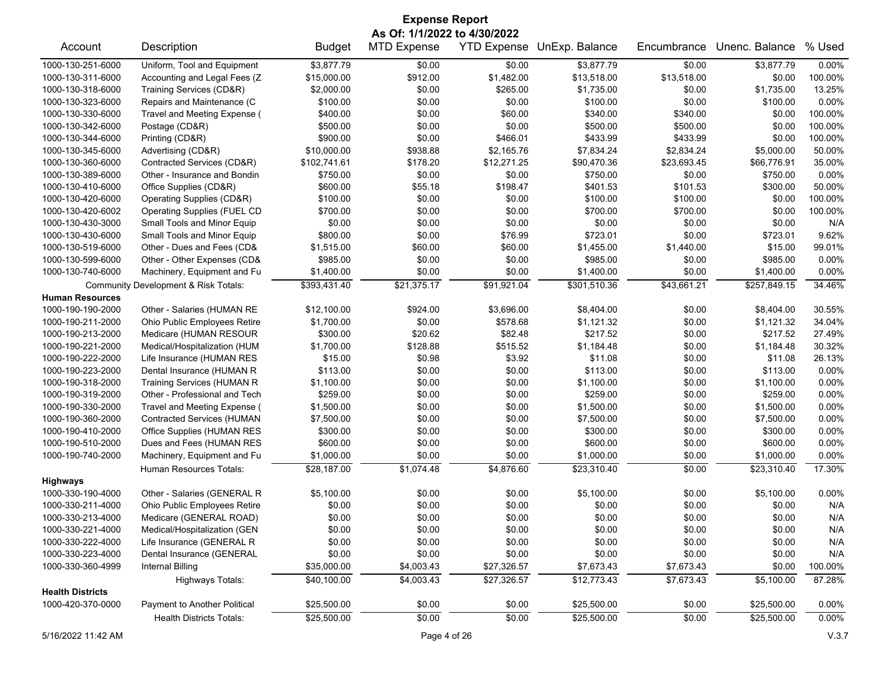| <b>Expense Report</b>                                                                                                             |                                    |               |                              |                    |                |             |                |          |
|-----------------------------------------------------------------------------------------------------------------------------------|------------------------------------|---------------|------------------------------|--------------------|----------------|-------------|----------------|----------|
|                                                                                                                                   |                                    |               | As Of: 1/1/2022 to 4/30/2022 |                    |                |             |                |          |
| Account                                                                                                                           | Description                        | <b>Budget</b> | <b>MTD Expense</b>           | <b>YTD Expense</b> | UnExp. Balance | Encumbrance | Unenc. Balance | % Used   |
| 1000-130-251-6000                                                                                                                 | Uniform, Tool and Equipment        | \$3,877.79    | \$0.00                       | \$0.00             | \$3,877.79     | \$0.00      | \$3,877.79     | 0.00%    |
| 1000-130-311-6000                                                                                                                 | Accounting and Legal Fees (Z       | \$15,000.00   | \$912.00                     | \$1,482.00         | \$13,518.00    | \$13,518.00 | \$0.00         | 100.00%  |
| 1000-130-318-6000                                                                                                                 | Training Services (CD&R)           | \$2,000.00    | \$0.00                       | \$265.00           | \$1,735.00     | \$0.00      | \$1,735.00     | 13.25%   |
| 1000-130-323-6000                                                                                                                 | Repairs and Maintenance (C         | \$100.00      | \$0.00                       | \$0.00             | \$100.00       | \$0.00      | \$100.00       | 0.00%    |
| 1000-130-330-6000                                                                                                                 | Travel and Meeting Expense (       | \$400.00      | \$0.00                       | \$60.00            | \$340.00       | \$340.00    | \$0.00         | 100.00%  |
| 1000-130-342-6000                                                                                                                 | Postage (CD&R)                     | \$500.00      | \$0.00                       | \$0.00             | \$500.00       | \$500.00    | \$0.00         | 100.00%  |
| 1000-130-344-6000                                                                                                                 | Printing (CD&R)                    | \$900.00      | \$0.00                       | \$466.01           | \$433.99       | \$433.99    | \$0.00         | 100.00%  |
| 1000-130-345-6000                                                                                                                 | Advertising (CD&R)                 | \$10,000.00   | \$938.88                     | \$2,165.76         | \$7,834.24     | \$2,834.24  | \$5,000.00     | 50.00%   |
| 1000-130-360-6000                                                                                                                 | Contracted Services (CD&R)         | \$102,741.61  | \$178.20                     | \$12,271.25        | \$90,470.36    | \$23,693.45 | \$66,776.91    | 35.00%   |
| 1000-130-389-6000                                                                                                                 | Other - Insurance and Bondin       | \$750.00      | \$0.00                       | \$0.00             | \$750.00       | \$0.00      | \$750.00       | $0.00\%$ |
| 1000-130-410-6000                                                                                                                 | Office Supplies (CD&R)             | \$600.00      | \$55.18                      | \$198.47           | \$401.53       | \$101.53    | \$300.00       | 50.00%   |
| 1000-130-420-6000                                                                                                                 | Operating Supplies (CD&R)          | \$100.00      | \$0.00                       | \$0.00             | \$100.00       | \$100.00    | \$0.00         | 100.00%  |
| 1000-130-420-6002                                                                                                                 | <b>Operating Supplies (FUEL CD</b> | \$700.00      | \$0.00                       | \$0.00             | \$700.00       | \$700.00    | \$0.00         | 100.00%  |
| 1000-130-430-3000                                                                                                                 | Small Tools and Minor Equip        | \$0.00        | \$0.00                       | \$0.00             | \$0.00         | \$0.00      | \$0.00         | N/A      |
| 1000-130-430-6000                                                                                                                 | Small Tools and Minor Equip        | \$800.00      | \$0.00                       | \$76.99            | \$723.01       | \$0.00      | \$723.01       | 9.62%    |
| 1000-130-519-6000                                                                                                                 | Other - Dues and Fees (CD&         | \$1,515.00    | \$60.00                      | \$60.00            | \$1,455.00     | \$1,440.00  | \$15.00        | 99.01%   |
| 1000-130-599-6000                                                                                                                 | Other - Other Expenses (CD&        | \$985.00      | \$0.00                       | \$0.00             | \$985.00       | \$0.00      | \$985.00       | 0.00%    |
| 1000-130-740-6000                                                                                                                 | Machinery, Equipment and Fu        | \$1,400.00    | \$0.00                       | \$0.00             | \$1,400.00     | \$0.00      | \$1,400.00     | 0.00%    |
| \$393,431.40<br>\$21,375.17<br>\$91,921.04<br>\$301,510.36<br>\$43,661.21<br>\$257,849.15<br>Community Development & Risk Totals: |                                    |               |                              |                    |                |             |                | 34.46%   |
| <b>Human Resources</b>                                                                                                            |                                    |               |                              |                    |                |             |                |          |
| 1000-190-190-2000                                                                                                                 | Other - Salaries (HUMAN RE         | \$12,100.00   | \$924.00                     | \$3,696.00         | \$8,404.00     | \$0.00      | \$8,404.00     | 30.55%   |
| 1000-190-211-2000                                                                                                                 | Ohio Public Employees Retire       | \$1,700.00    | \$0.00                       | \$578.68           | \$1,121.32     | \$0.00      | \$1,121.32     | 34.04%   |
| 1000-190-213-2000                                                                                                                 | Medicare (HUMAN RESOUR             | \$300.00      | \$20.62                      | \$82.48            | \$217.52       | \$0.00      | \$217.52       | 27.49%   |
| 1000-190-221-2000                                                                                                                 | Medical/Hospitalization (HUM       | \$1,700.00    | \$128.88                     | \$515.52           | \$1,184.48     | \$0.00      | \$1,184.48     | 30.32%   |
| 1000-190-222-2000                                                                                                                 | Life Insurance (HUMAN RES          | \$15.00       | \$0.98                       | \$3.92             | \$11.08        | \$0.00      | \$11.08        | 26.13%   |
| 1000-190-223-2000                                                                                                                 | Dental Insurance (HUMAN R          | \$113.00      | \$0.00                       | \$0.00             | \$113.00       | \$0.00      | \$113.00       | 0.00%    |
| 1000-190-318-2000                                                                                                                 | Training Services (HUMAN R         | \$1,100.00    | \$0.00                       | \$0.00             | \$1,100.00     | \$0.00      | \$1,100.00     | 0.00%    |
| 1000-190-319-2000                                                                                                                 | Other - Professional and Tech      | \$259.00      | \$0.00                       | \$0.00             | \$259.00       | \$0.00      | \$259.00       | 0.00%    |
| 1000-190-330-2000                                                                                                                 | Travel and Meeting Expense (       | \$1,500.00    | \$0.00                       | \$0.00             | \$1,500.00     | \$0.00      | \$1,500.00     | 0.00%    |
| 1000-190-360-2000                                                                                                                 | <b>Contracted Services (HUMAN</b>  | \$7,500.00    | \$0.00                       | \$0.00             | \$7,500.00     | \$0.00      | \$7,500.00     | 0.00%    |
| 1000-190-410-2000                                                                                                                 | Office Supplies (HUMAN RES         | \$300.00      | \$0.00                       | \$0.00             | \$300.00       | \$0.00      | \$300.00       | 0.00%    |
| 1000-190-510-2000                                                                                                                 | Dues and Fees (HUMAN RES           | \$600.00      | \$0.00                       | \$0.00             | \$600.00       | \$0.00      | \$600.00       | 0.00%    |
| 1000-190-740-2000                                                                                                                 | Machinery, Equipment and Fu        | \$1,000.00    | \$0.00                       | \$0.00             | \$1,000.00     | \$0.00      | \$1,000.00     | 0.00%    |
|                                                                                                                                   | Human Resources Totals:            | \$28,187.00   | \$1,074.48                   | \$4,876.60         | \$23,310.40    | \$0.00      | \$23,310.40    | 17.30%   |
| <b>Highways</b>                                                                                                                   |                                    |               |                              |                    |                |             |                |          |
| 1000-330-190-4000                                                                                                                 | Other - Salaries (GENERAL R        | \$5,100.00    | \$0.00                       | \$0.00             | \$5,100.00     | \$0.00      | \$5,100.00     | 0.00%    |
| 1000-330-211-4000                                                                                                                 | Ohio Public Employees Retire       | \$0.00        | \$0.00                       | \$0.00             | \$0.00         | \$0.00      | \$0.00         | N/A      |
| 1000-330-213-4000                                                                                                                 | Medicare (GENERAL ROAD)            | \$0.00        | \$0.00                       | \$0.00             | \$0.00         | \$0.00      | \$0.00         | N/A      |
| 1000-330-221-4000                                                                                                                 | Medical/Hospitalization (GEN       | \$0.00        | \$0.00                       | \$0.00             | \$0.00         | \$0.00      | \$0.00         | N/A      |
| 1000-330-222-4000                                                                                                                 | Life Insurance (GENERAL R          | \$0.00        | \$0.00                       | \$0.00             | \$0.00         | \$0.00      | \$0.00         | N/A      |
| 1000-330-223-4000                                                                                                                 | Dental Insurance (GENERAL          | \$0.00        | \$0.00                       | \$0.00             | \$0.00         | \$0.00      | \$0.00         | N/A      |
| 1000-330-360-4999                                                                                                                 | <b>Internal Billing</b>            | \$35,000.00   | \$4,003.43                   | \$27,326.57        | \$7,673.43     | \$7,673.43  | \$0.00         | 100.00%  |
|                                                                                                                                   | <b>Highways Totals:</b>            | \$40,100.00   | \$4,003.43                   | \$27,326.57        | \$12,773.43    | \$7,673.43  | \$5,100.00     | 87.28%   |
| <b>Health Districts</b>                                                                                                           |                                    |               |                              |                    |                |             |                |          |
| 1000-420-370-0000                                                                                                                 | Payment to Another Political       | \$25,500.00   | \$0.00                       | \$0.00             | \$25,500.00    | \$0.00      | \$25,500.00    | 0.00%    |
|                                                                                                                                   |                                    | \$25,500.00   |                              |                    | \$25,500.00    |             |                |          |
|                                                                                                                                   | <b>Health Districts Totals:</b>    |               | \$0.00                       | \$0.00             |                | \$0.00      | \$25,500.00    | 0.00%    |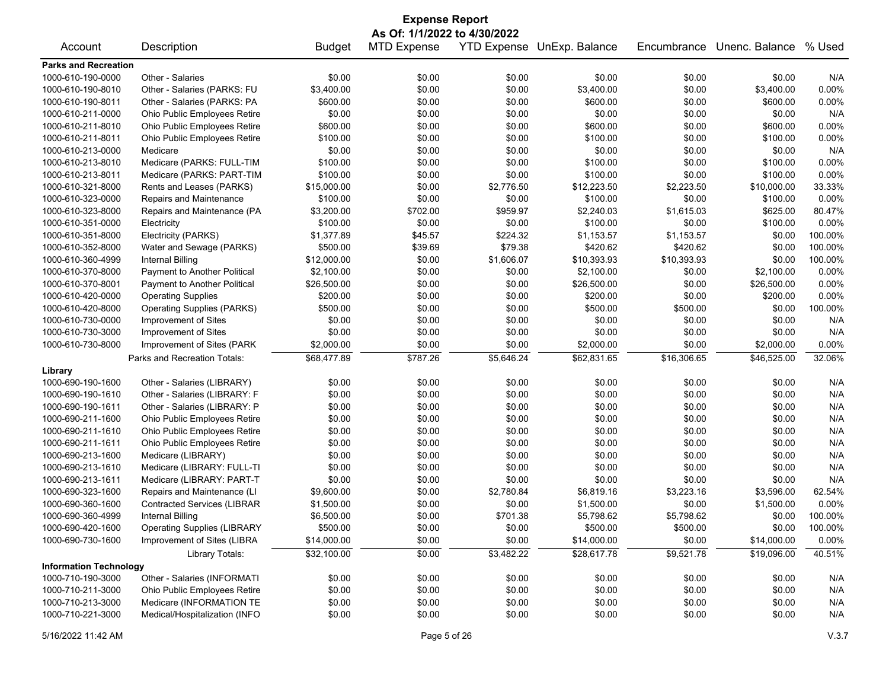| <b>Expense Report</b><br>As Of: 1/1/2022 to 4/30/2022 |                                    |               |                    |            |                            |             |                |          |
|-------------------------------------------------------|------------------------------------|---------------|--------------------|------------|----------------------------|-------------|----------------|----------|
| Account                                               | Description                        | <b>Budget</b> | <b>MTD Expense</b> |            | YTD Expense UnExp. Balance | Encumbrance | Unenc. Balance | % Used   |
| <b>Parks and Recreation</b>                           |                                    |               |                    |            |                            |             |                |          |
| 1000-610-190-0000                                     | Other - Salaries                   | \$0.00        | \$0.00             | \$0.00     | \$0.00                     | \$0.00      | \$0.00         | N/A      |
| 1000-610-190-8010                                     | Other - Salaries (PARKS: FU        | \$3,400.00    | \$0.00             | \$0.00     | \$3,400.00                 | \$0.00      | \$3,400.00     | 0.00%    |
| 1000-610-190-8011                                     | Other - Salaries (PARKS: PA        | \$600.00      | \$0.00             | \$0.00     | \$600.00                   | \$0.00      | \$600.00       | 0.00%    |
| 1000-610-211-0000                                     | Ohio Public Employees Retire       | \$0.00        | \$0.00             | \$0.00     | \$0.00                     | \$0.00      | \$0.00         | N/A      |
| 1000-610-211-8010                                     | Ohio Public Employees Retire       | \$600.00      | \$0.00             | \$0.00     | \$600.00                   | \$0.00      | \$600.00       | 0.00%    |
| 1000-610-211-8011                                     | Ohio Public Employees Retire       | \$100.00      | \$0.00             | \$0.00     | \$100.00                   | \$0.00      | \$100.00       | 0.00%    |
| 1000-610-213-0000                                     | Medicare                           | \$0.00        | \$0.00             | \$0.00     | \$0.00                     | \$0.00      | \$0.00         | N/A      |
| 1000-610-213-8010                                     | Medicare (PARKS: FULL-TIM          | \$100.00      | \$0.00             | \$0.00     | \$100.00                   | \$0.00      | \$100.00       | 0.00%    |
| 1000-610-213-8011                                     | Medicare (PARKS: PART-TIM          | \$100.00      | \$0.00             | \$0.00     | \$100.00                   | \$0.00      | \$100.00       | 0.00%    |
| 1000-610-321-8000                                     | Rents and Leases (PARKS)           | \$15,000.00   | \$0.00             | \$2,776.50 | \$12,223.50                | \$2,223.50  | \$10,000.00    | 33.33%   |
| 1000-610-323-0000                                     | Repairs and Maintenance            | \$100.00      | \$0.00             | \$0.00     | \$100.00                   | \$0.00      | \$100.00       | 0.00%    |
| 1000-610-323-8000                                     | Repairs and Maintenance (PA        | \$3,200.00    | \$702.00           | \$959.97   | \$2,240.03                 | \$1,615.03  | \$625.00       | 80.47%   |
| 1000-610-351-0000                                     | Electricity                        | \$100.00      | \$0.00             | \$0.00     | \$100.00                   | \$0.00      | \$100.00       | 0.00%    |
| 1000-610-351-8000                                     | Electricity (PARKS)                | \$1,377.89    | \$45.57            | \$224.32   | \$1,153.57                 | \$1,153.57  | \$0.00         | 100.00%  |
| 1000-610-352-8000                                     | Water and Sewage (PARKS)           | \$500.00      | \$39.69            | \$79.38    | \$420.62                   | \$420.62    | \$0.00         | 100.00%  |
| 1000-610-360-4999                                     | Internal Billing                   | \$12,000.00   | \$0.00             | \$1,606.07 | \$10,393.93                | \$10,393.93 | \$0.00         | 100.00%  |
| 1000-610-370-8000                                     | Payment to Another Political       | \$2,100.00    | \$0.00             | \$0.00     | \$2,100.00                 | \$0.00      | \$2,100.00     | 0.00%    |
| 1000-610-370-8001                                     | Payment to Another Political       | \$26,500.00   | \$0.00             | \$0.00     | \$26,500.00                | \$0.00      | \$26,500.00    | 0.00%    |
| 1000-610-420-0000                                     | <b>Operating Supplies</b>          | \$200.00      | \$0.00             | \$0.00     | \$200.00                   | \$0.00      | \$200.00       | 0.00%    |
| 1000-610-420-8000                                     | <b>Operating Supplies (PARKS)</b>  | \$500.00      | \$0.00             | \$0.00     | \$500.00                   | \$500.00    | \$0.00         | 100.00%  |
| 1000-610-730-0000                                     | Improvement of Sites               | \$0.00        | \$0.00             | \$0.00     | \$0.00                     | \$0.00      | \$0.00         | N/A      |
| 1000-610-730-3000                                     | Improvement of Sites               | \$0.00        | \$0.00             | \$0.00     | \$0.00                     | \$0.00      | \$0.00         | N/A      |
| 1000-610-730-8000                                     | Improvement of Sites (PARK         | \$2,000.00    | \$0.00             | \$0.00     | \$2,000.00                 | \$0.00      | \$2,000.00     | 0.00%    |
|                                                       | Parks and Recreation Totals:       | \$68,477.89   | \$787.26           | \$5,646.24 | \$62,831.65                | \$16,306.65 | \$46,525.00    | 32.06%   |
| Library                                               |                                    |               |                    |            |                            |             |                |          |
| 1000-690-190-1600                                     | Other - Salaries (LIBRARY)         | \$0.00        | \$0.00             | \$0.00     | \$0.00                     | \$0.00      | \$0.00         | N/A      |
| 1000-690-190-1610                                     | Other - Salaries (LIBRARY: F       | \$0.00        | \$0.00             | \$0.00     | \$0.00                     | \$0.00      | \$0.00         | N/A      |
| 1000-690-190-1611                                     | Other - Salaries (LIBRARY: P       | \$0.00        | \$0.00             | \$0.00     | \$0.00                     | \$0.00      | \$0.00         | N/A      |
| 1000-690-211-1600                                     | Ohio Public Employees Retire       | \$0.00        | \$0.00             | \$0.00     | \$0.00                     | \$0.00      | \$0.00         | N/A      |
| 1000-690-211-1610                                     | Ohio Public Employees Retire       | \$0.00        | \$0.00             | \$0.00     | \$0.00                     | \$0.00      | \$0.00         | N/A      |
| 1000-690-211-1611                                     | Ohio Public Employees Retire       | \$0.00        | \$0.00             | \$0.00     | \$0.00                     | \$0.00      | \$0.00         | N/A      |
| 1000-690-213-1600                                     | Medicare (LIBRARY)                 | \$0.00        | \$0.00             | \$0.00     | \$0.00                     | \$0.00      | \$0.00         | N/A      |
| 1000-690-213-1610                                     | Medicare (LIBRARY: FULL-TI         | \$0.00        | \$0.00             | \$0.00     | \$0.00                     | \$0.00      | \$0.00         | N/A      |
| 1000-690-213-1611                                     | Medicare (LIBRARY: PART-T          | \$0.00        | \$0.00             | \$0.00     | \$0.00                     | \$0.00      | \$0.00         | N/A      |
| 1000-690-323-1600                                     | Repairs and Maintenance (LI        | \$9,600.00    | \$0.00             | \$2,780.84 | \$6,819.16                 | \$3,223.16  | \$3,596.00     | 62.54%   |
| 1000-690-360-1600                                     | <b>Contracted Services (LIBRAR</b> | \$1,500.00    | \$0.00             | \$0.00     | \$1,500.00                 | \$0.00      | \$1,500.00     | 0.00%    |
| 1000-690-360-4999                                     | <b>Internal Billing</b>            | \$6,500.00    | \$0.00             | \$701.38   | \$5,798.62                 | \$5,798.62  | \$0.00         | 100.00%  |
| 1000-690-420-1600                                     | <b>Operating Supplies (LIBRARY</b> | \$500.00      | \$0.00             | \$0.00     | \$500.00                   | \$500.00    | \$0.00         | 100.00%  |
| 1000-690-730-1600                                     | Improvement of Sites (LIBRA        | \$14,000.00   | \$0.00             | \$0.00     | \$14,000.00                | \$0.00      | \$14,000.00    | $0.00\%$ |
|                                                       | Library Totals:                    | \$32,100.00   | \$0.00             | \$3,482.22 | \$28,617.78                | \$9,521.78  | \$19,096.00    | 40.51%   |
| <b>Information Technology</b>                         |                                    |               |                    |            |                            |             |                |          |
| 1000-710-190-3000                                     | Other - Salaries (INFORMATI        | \$0.00        | \$0.00             | \$0.00     | \$0.00                     | \$0.00      | \$0.00         | N/A      |
| 1000-710-211-3000                                     | Ohio Public Employees Retire       | \$0.00        | \$0.00             | \$0.00     | \$0.00                     | \$0.00      | \$0.00         | N/A      |
| 1000-710-213-3000                                     | Medicare (INFORMATION TE           | \$0.00        | \$0.00             | \$0.00     | \$0.00                     | \$0.00      | \$0.00         | N/A      |
| 1000-710-221-3000                                     | Medical/Hospitalization (INFO      | \$0.00        | \$0.00             | \$0.00     | \$0.00                     | \$0.00      | \$0.00         | N/A      |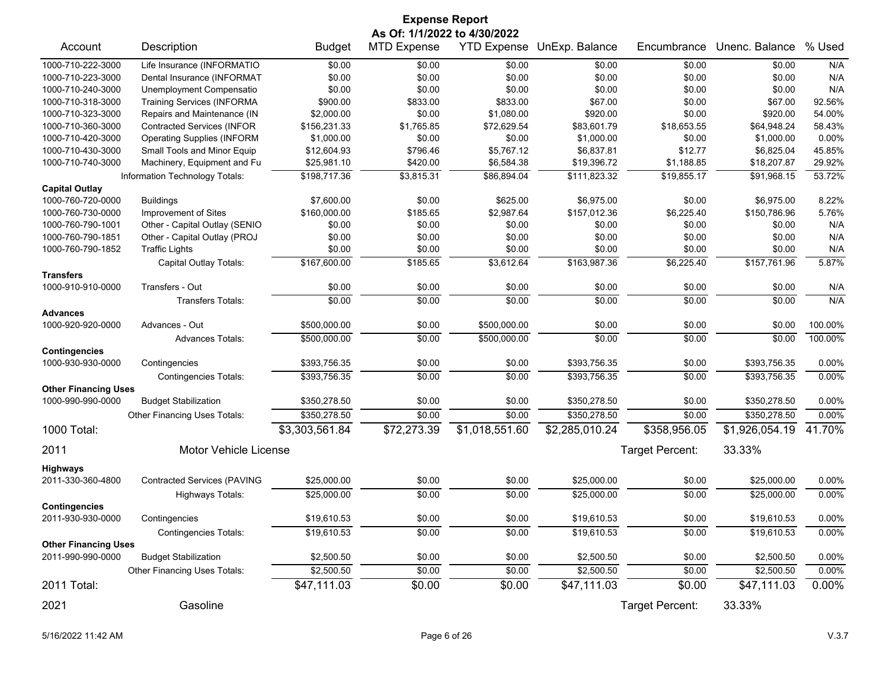| <b>Expense Report</b>       |                                    |                          |                    |                    |                          |                  |                          |                   |  |  |
|-----------------------------|------------------------------------|--------------------------|--------------------|--------------------|--------------------------|------------------|--------------------------|-------------------|--|--|
|                             | As Of: 1/1/2022 to 4/30/2022       |                          |                    |                    |                          |                  |                          |                   |  |  |
| Account                     | Description                        | <b>Budget</b>            | <b>MTD Expense</b> | <b>YTD Expense</b> | UnExp. Balance           | Encumbrance      | Unenc. Balance           | % Used            |  |  |
| 1000-710-222-3000           | Life Insurance (INFORMATIO         | \$0.00                   | \$0.00             | \$0.00             | \$0.00                   | \$0.00           | \$0.00                   | N/A               |  |  |
| 1000-710-223-3000           | Dental Insurance (INFORMAT         | \$0.00                   | \$0.00             | \$0.00             | \$0.00                   | \$0.00           | \$0.00                   | N/A               |  |  |
| 1000-710-240-3000           | Unemployment Compensatio           | \$0.00                   | \$0.00             | \$0.00             | \$0.00                   | \$0.00           | \$0.00                   | N/A               |  |  |
| 1000-710-318-3000           | <b>Training Services (INFORMA</b>  | \$900.00                 | \$833.00           | \$833.00           | \$67.00                  | \$0.00           | \$67.00                  | 92.56%            |  |  |
| 1000-710-323-3000           | Repairs and Maintenance (IN        | \$2,000.00               | \$0.00             | \$1,080.00         | \$920.00                 | \$0.00           | \$920.00                 | 54.00%            |  |  |
| 1000-710-360-3000           | <b>Contracted Services (INFOR</b>  | \$156,231.33             | \$1,765.85         | \$72,629.54        | \$83,601.79              | \$18,653.55      | \$64,948.24              | 58.43%            |  |  |
| 1000-710-420-3000           | <b>Operating Supplies (INFORM</b>  | \$1,000.00               | \$0.00             | \$0.00             | \$1,000.00               | \$0.00           | \$1,000.00               | 0.00%             |  |  |
| 1000-710-430-3000           | Small Tools and Minor Equip        | \$12,604.93              | \$796.46           | \$5,767.12         | \$6,837.81               | \$12.77          | \$6,825.04               | 45.85%            |  |  |
| 1000-710-740-3000           | Machinery, Equipment and Fu        | \$25,981.10              | \$420.00           | \$6,584.38         | \$19,396.72              | \$1,188.85       | \$18,207.87              | 29.92%            |  |  |
|                             | Information Technology Totals:     | \$198,717.36             | \$3,815.31         | \$86,894.04        | \$111,823.32             | \$19,855.17      | \$91,968.15              | 53.72%            |  |  |
| <b>Capital Outlay</b>       |                                    |                          |                    |                    |                          |                  |                          |                   |  |  |
| 1000-760-720-0000           | <b>Buildings</b>                   | \$7,600.00               | \$0.00             | \$625.00           | \$6,975.00               | \$0.00           | \$6,975.00               | 8.22%             |  |  |
| 1000-760-730-0000           | Improvement of Sites               | \$160,000.00             | \$185.65           | \$2,987.64         | \$157,012.36             | \$6,225.40       | \$150,786.96             | 5.76%             |  |  |
| 1000-760-790-1001           | Other - Capital Outlay (SENIO      | \$0.00                   | \$0.00             | \$0.00             | \$0.00                   | \$0.00           | \$0.00                   | N/A               |  |  |
| 1000-760-790-1851           | Other - Capital Outlay (PROJ       | \$0.00                   | \$0.00             | \$0.00             | \$0.00                   | \$0.00           | \$0.00                   | N/A               |  |  |
| 1000-760-790-1852           | <b>Traffic Lights</b>              | \$0.00                   | \$0.00             | \$0.00             | \$0.00                   | \$0.00           | \$0.00                   | N/A               |  |  |
|                             | Capital Outlay Totals:             | \$167,600.00             | \$185.65           | \$3,612.64         | \$163,987.36             | \$6,225.40       | \$157.761.96             | 5.87%             |  |  |
| <b>Transfers</b>            |                                    |                          |                    |                    |                          |                  |                          |                   |  |  |
| 1000-910-910-0000           | Transfers - Out                    | \$0.00                   | \$0.00             | \$0.00             | \$0.00                   | \$0.00           | \$0.00                   | N/A               |  |  |
|                             | <b>Transfers Totals:</b>           | \$0.00                   | \$0.00             | \$0.00             | \$0.00                   | \$0.00           | \$0.00                   | N/A               |  |  |
| <b>Advances</b>             |                                    |                          |                    |                    |                          |                  |                          |                   |  |  |
| 1000-920-920-0000           | Advances - Out                     | \$500,000.00             | \$0.00             | \$500,000.00       | \$0.00                   | \$0.00           | \$0.00                   | 100.00%           |  |  |
|                             | <b>Advances Totals:</b>            | \$500,000.00             | \$0.00             | \$500,000.00       | \$0.00                   | \$0.00           | \$0.00                   | 100.00%           |  |  |
| Contingencies               |                                    |                          |                    |                    |                          |                  |                          |                   |  |  |
| 1000-930-930-0000           | Contingencies                      | \$393,756.35             | \$0.00             | \$0.00             | \$393,756.35             | \$0.00           | \$393,756.35             | 0.00%             |  |  |
|                             | <b>Contingencies Totals:</b>       | \$393,756.35             | \$0.00             | \$0.00             | \$393,756.35             | \$0.00           | \$393,756.35             | 0.00%             |  |  |
| <b>Other Financing Uses</b> |                                    |                          |                    |                    |                          |                  |                          |                   |  |  |
| 1000-990-990-0000           | <b>Budget Stabilization</b>        | \$350,278.50             | \$0.00             | \$0.00             | \$350,278.50             | \$0.00           | \$350,278.50             | 0.00%             |  |  |
|                             | Other Financing Uses Totals:       | \$350,278.50             | \$0.00             | \$0.00             | \$350,278.50             | \$0.00           | \$350,278.50             | 0.00%             |  |  |
| 1000 Total:                 |                                    | \$3,303,561.84           | \$72,273.39        | \$1,018,551.60     | \$2,285,010.24           | \$358,956.05     | \$1,926,054.19           | 41.70%            |  |  |
| 2011                        | Motor Vehicle License              |                          |                    |                    |                          | Target Percent:  | 33.33%                   |                   |  |  |
| Highways                    |                                    |                          |                    |                    |                          |                  |                          |                   |  |  |
| 2011-330-360-4800           | <b>Contracted Services (PAVING</b> | \$25,000.00              | \$0.00             | \$0.00             | \$25,000.00              | \$0.00           | \$25,000.00              | 0.00%             |  |  |
|                             | <b>Highways Totals:</b>            | \$25,000.00              | \$0.00             | \$0.00             | \$25,000.00              | \$0.00           | \$25,000.00              | 0.00%             |  |  |
| Contingencies               |                                    |                          |                    |                    |                          |                  |                          |                   |  |  |
| 2011-930-930-0000           | Contingencies                      | \$19,610.53              | \$0.00             | \$0.00             | \$19,610.53              | \$0.00           | \$19,610.53              | $0.00\%$          |  |  |
|                             | <b>Contingencies Totals:</b>       | \$19,610.53              | \$0.00             | \$0.00             | \$19,610.53              | \$0.00           | \$19,610.53              | 0.00%             |  |  |
| <b>Other Financing Uses</b> | <b>Budget Stabilization</b>        |                          |                    |                    |                          |                  |                          |                   |  |  |
| 2011-990-990-0000           | Other Financing Uses Totals:       | \$2,500.50<br>\$2,500.50 | \$0.00<br>\$0.00   | \$0.00<br>\$0.00   | \$2,500.50<br>\$2,500.50 | \$0.00<br>\$0.00 | \$2,500.50<br>\$2,500.50 | 0.00%<br>$0.00\%$ |  |  |
| 2011 Total:                 |                                    | \$47,111.03              | \$0.00             | \$0.00             | \$47,111.03              | \$0.00           | \$47,111.03              | 0.00%             |  |  |
|                             |                                    |                          |                    |                    |                          |                  |                          |                   |  |  |
| 2021                        | Gasoline                           |                          |                    |                    |                          | Target Percent:  | 33.33%                   |                   |  |  |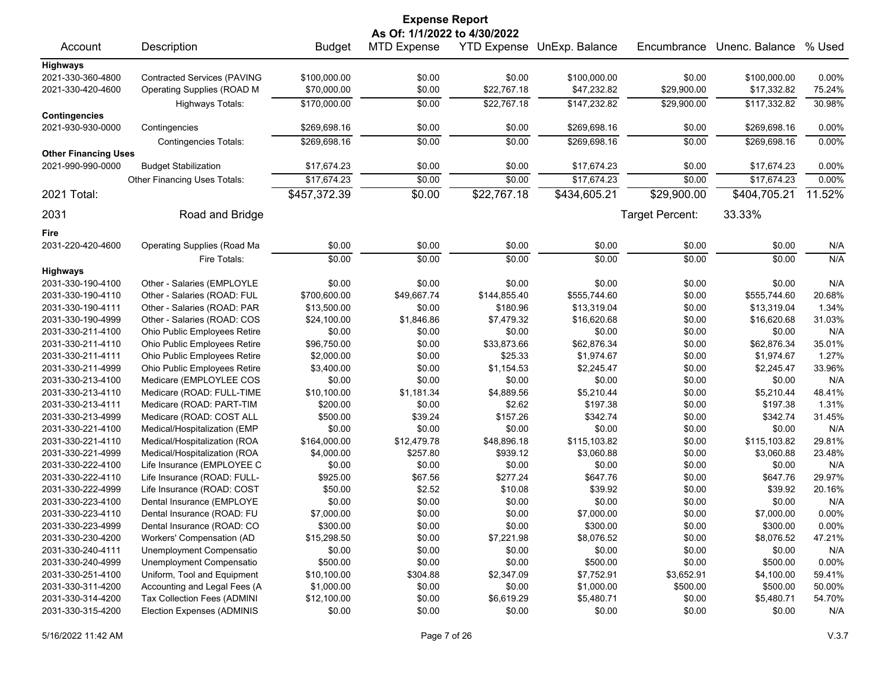| <b>Expense Report</b>        |                                    |               |                    |              |                            |                 |                |          |  |
|------------------------------|------------------------------------|---------------|--------------------|--------------|----------------------------|-----------------|----------------|----------|--|
| As Of: 1/1/2022 to 4/30/2022 |                                    |               |                    |              |                            |                 |                |          |  |
| Account                      | Description                        | <b>Budget</b> | <b>MTD Expense</b> |              | YTD Expense UnExp. Balance | Encumbrance     | Unenc. Balance | % Used   |  |
| <b>Highways</b>              |                                    |               |                    |              |                            |                 |                |          |  |
| 2021-330-360-4800            | <b>Contracted Services (PAVING</b> | \$100,000.00  | \$0.00             | \$0.00       | \$100,000.00               | \$0.00          | \$100,000.00   | $0.00\%$ |  |
| 2021-330-420-4600            | Operating Supplies (ROAD M         | \$70,000.00   | \$0.00             | \$22,767.18  | \$47,232.82                | \$29,900.00     | \$17,332.82    | 75.24%   |  |
|                              | <b>Highways Totals:</b>            | \$170,000.00  | \$0.00             | \$22,767.18  | \$147,232.82               | \$29,900.00     | \$117,332.82   | 30.98%   |  |
| <b>Contingencies</b>         |                                    |               | \$0.00             |              |                            | \$0.00          |                |          |  |
| 2021-930-930-0000            | Contingencies                      | \$269,698.16  |                    | \$0.00       | \$269,698.16               |                 | \$269,698.16   | 0.00%    |  |
|                              | <b>Contingencies Totals:</b>       | \$269,698.16  | \$0.00             | \$0.00       | \$269,698.16               | \$0.00          | \$269,698.16   | 0.00%    |  |
| <b>Other Financing Uses</b>  |                                    |               |                    |              |                            |                 |                |          |  |
| 2021-990-990-0000            | <b>Budget Stabilization</b>        | \$17,674.23   | \$0.00             | \$0.00       | \$17,674.23                | \$0.00          | \$17,674.23    | 0.00%    |  |
|                              | Other Financing Uses Totals:       | \$17,674.23   | \$0.00             | \$0.00       | \$17,674.23                | \$0.00          | \$17,674.23    | 0.00%    |  |
| 2021 Total:                  |                                    | \$457,372.39  | \$0.00             | \$22,767.18  | \$434,605.21               | \$29,900.00     | \$404,705.21   | 11.52%   |  |
| 2031                         | Road and Bridge                    |               |                    |              |                            | Target Percent: | 33.33%         |          |  |
| Fire                         |                                    |               |                    |              |                            |                 |                |          |  |
| 2031-220-420-4600            | Operating Supplies (Road Ma        | \$0.00        | \$0.00             | \$0.00       | \$0.00                     | \$0.00          | \$0.00         | N/A      |  |
|                              | Fire Totals:                       | \$0.00        | \$0.00             | \$0.00       | \$0.00                     | \$0.00          | \$0.00         | N/A      |  |
| <b>Highways</b>              |                                    |               |                    |              |                            |                 |                |          |  |
| 2031-330-190-4100            | Other - Salaries (EMPLOYLE         | \$0.00        | \$0.00             | \$0.00       | \$0.00                     | \$0.00          | \$0.00         | N/A      |  |
| 2031-330-190-4110            | Other - Salaries (ROAD: FUL        | \$700,600.00  | \$49,667.74        | \$144,855.40 | \$555,744.60               | \$0.00          | \$555,744.60   | 20.68%   |  |
| 2031-330-190-4111            | Other - Salaries (ROAD: PAR        | \$13,500.00   | \$0.00             | \$180.96     | \$13,319.04                | \$0.00          | \$13,319.04    | 1.34%    |  |
| 2031-330-190-4999            | Other - Salaries (ROAD: COS        | \$24,100.00   | \$1,846.86         | \$7,479.32   | \$16,620.68                | \$0.00          | \$16,620.68    | 31.03%   |  |
| 2031-330-211-4100            | Ohio Public Employees Retire       | \$0.00        | \$0.00             | \$0.00       | \$0.00                     | \$0.00          | \$0.00         | N/A      |  |
| 2031-330-211-4110            | Ohio Public Employees Retire       | \$96,750.00   | \$0.00             | \$33,873.66  | \$62,876.34                | \$0.00          | \$62,876.34    | 35.01%   |  |
| 2031-330-211-4111            | Ohio Public Employees Retire       | \$2,000.00    | \$0.00             | \$25.33      | \$1,974.67                 | \$0.00          | \$1,974.67     | 1.27%    |  |
| 2031-330-211-4999            | Ohio Public Employees Retire       | \$3,400.00    | \$0.00             | \$1,154.53   | \$2,245.47                 | \$0.00          | \$2,245.47     | 33.96%   |  |
| 2031-330-213-4100            | Medicare (EMPLOYLEE COS            | \$0.00        | \$0.00             | \$0.00       | \$0.00                     | \$0.00          | \$0.00         | N/A      |  |
| 2031-330-213-4110            | Medicare (ROAD: FULL-TIME          | \$10,100.00   | \$1,181.34         | \$4,889.56   | \$5,210.44                 | \$0.00          | \$5,210.44     | 48.41%   |  |
| 2031-330-213-4111            | Medicare (ROAD: PART-TIM           | \$200.00      | \$0.00             | \$2.62       | \$197.38                   | \$0.00          | \$197.38       | 1.31%    |  |
| 2031-330-213-4999            | Medicare (ROAD: COST ALL           | \$500.00      | \$39.24            | \$157.26     | \$342.74                   | \$0.00          | \$342.74       | 31.45%   |  |
| 2031-330-221-4100            | Medical/Hospitalization (EMP       | \$0.00        | \$0.00             | \$0.00       | \$0.00                     | \$0.00          | \$0.00         | N/A      |  |
| 2031-330-221-4110            | Medical/Hospitalization (ROA       | \$164,000.00  | \$12,479.78        | \$48,896.18  | \$115,103.82               | \$0.00          | \$115,103.82   | 29.81%   |  |
| 2031-330-221-4999            | Medical/Hospitalization (ROA       | \$4,000.00    | \$257.80           | \$939.12     | \$3,060.88                 | \$0.00          | \$3,060.88     | 23.48%   |  |
| 2031-330-222-4100            | Life Insurance (EMPLOYEE C         | \$0.00        | \$0.00             | \$0.00       | \$0.00                     | \$0.00          | \$0.00         | N/A      |  |
| 2031-330-222-4110            | Life Insurance (ROAD: FULL-        | \$925.00      | \$67.56            | \$277.24     | \$647.76                   | \$0.00          | \$647.76       | 29.97%   |  |
| 2031-330-222-4999            | Life Insurance (ROAD: COST         | \$50.00       | \$2.52             | \$10.08      | \$39.92                    | \$0.00          | \$39.92        | 20.16%   |  |
| 2031-330-223-4100            | Dental Insurance (EMPLOYE          | \$0.00        | \$0.00             | \$0.00       | \$0.00                     | \$0.00          | \$0.00         | N/A      |  |
| 2031-330-223-4110            | Dental Insurance (ROAD: FU         | \$7,000.00    | \$0.00             | \$0.00       | \$7,000.00                 | \$0.00          | \$7,000.00     | 0.00%    |  |
| 2031-330-223-4999            | Dental Insurance (ROAD: CO         | \$300.00      | \$0.00             | \$0.00       | \$300.00                   | \$0.00          | \$300.00       | 0.00%    |  |
| 2031-330-230-4200            | Workers' Compensation (AD          | \$15,298.50   | \$0.00             | \$7,221.98   | \$8,076.52                 | \$0.00          | \$8,076.52     | 47.21%   |  |
| 2031-330-240-4111            | Unemployment Compensatio           | \$0.00        | \$0.00             | \$0.00       | \$0.00                     | \$0.00          | \$0.00         | N/A      |  |
| 2031-330-240-4999            | Unemployment Compensatio           | \$500.00      | \$0.00             | \$0.00       | \$500.00                   | \$0.00          | \$500.00       | 0.00%    |  |
| 2031-330-251-4100            | Uniform, Tool and Equipment        | \$10,100.00   | \$304.88           | \$2,347.09   | \$7,752.91                 | \$3,652.91      | \$4,100.00     | 59.41%   |  |
| 2031-330-311-4200            | Accounting and Legal Fees (A       | \$1,000.00    | \$0.00             | \$0.00       | \$1,000.00                 | \$500.00        | \$500.00       | 50.00%   |  |
| 2031-330-314-4200            | Tax Collection Fees (ADMINI        | \$12,100.00   | \$0.00             | \$6,619.29   | \$5,480.71                 | \$0.00          | \$5,480.71     | 54.70%   |  |
| 2031-330-315-4200            | <b>Election Expenses (ADMINIS</b>  | \$0.00        | \$0.00             | \$0.00       | \$0.00                     | \$0.00          | \$0.00         | N/A      |  |
|                              |                                    |               |                    |              |                            |                 |                |          |  |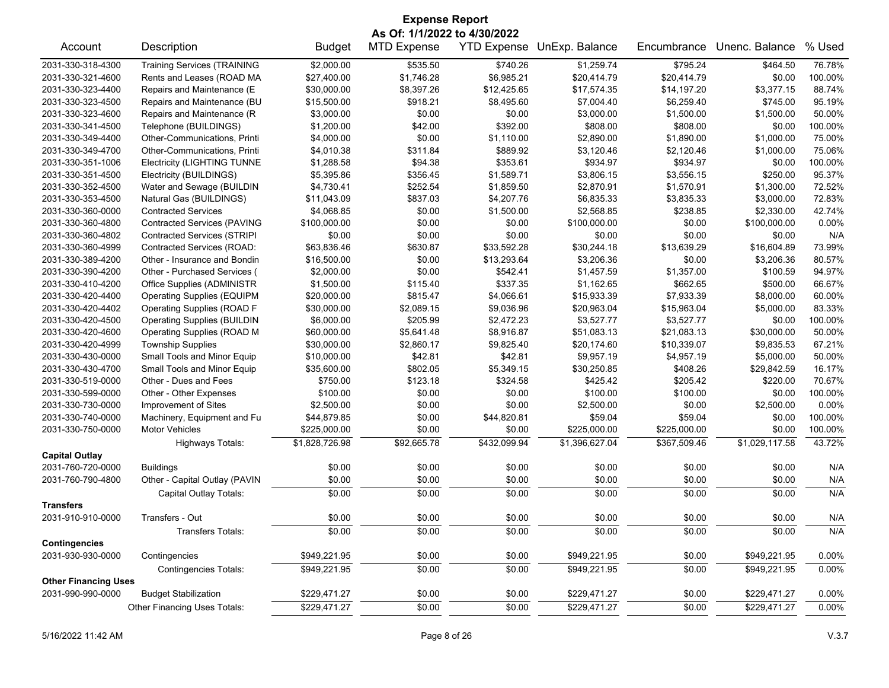| <b>Expense Report</b>       |                                    |                |                                                    |              |                            |              |                |          |
|-----------------------------|------------------------------------|----------------|----------------------------------------------------|--------------|----------------------------|--------------|----------------|----------|
| Account                     | Description                        | <b>Budget</b>  | As Of: 1/1/2022 to 4/30/2022<br><b>MTD Expense</b> |              | YTD Expense UnExp. Balance | Encumbrance  | Unenc. Balance | % Used   |
| 2031-330-318-4300           | <b>Training Services (TRAINING</b> | \$2,000.00     | \$535.50                                           | \$740.26     | \$1,259.74                 | \$795.24     | \$464.50       | 76.78%   |
| 2031-330-321-4600           | Rents and Leases (ROAD MA          | \$27,400.00    | \$1,746.28                                         | \$6,985.21   | \$20,414.79                | \$20,414.79  | \$0.00         | 100.00%  |
| 2031-330-323-4400           | Repairs and Maintenance (E         | \$30,000.00    | \$8,397.26                                         | \$12,425.65  | \$17,574.35                | \$14,197.20  | \$3,377.15     | 88.74%   |
| 2031-330-323-4500           | Repairs and Maintenance (BU        | \$15,500.00    | \$918.21                                           | \$8,495.60   | \$7,004.40                 | \$6,259.40   | \$745.00       | 95.19%   |
| 2031-330-323-4600           | Repairs and Maintenance (R         | \$3,000.00     | \$0.00                                             | \$0.00       | \$3,000.00                 | \$1,500.00   | \$1,500.00     | 50.00%   |
| 2031-330-341-4500           | Telephone (BUILDINGS)              | \$1,200.00     | \$42.00                                            | \$392.00     | \$808.00                   | \$808.00     | \$0.00         | 100.00%  |
| 2031-330-349-4400           | Other-Communications, Printi       | \$4,000.00     | \$0.00                                             | \$1,110.00   | \$2,890.00                 | \$1,890.00   | \$1,000.00     | 75.00%   |
| 2031-330-349-4700           | Other-Communications, Printi       | \$4,010.38     | \$311.84                                           | \$889.92     | \$3,120.46                 | \$2,120.46   | \$1,000.00     | 75.06%   |
| 2031-330-351-1006           | <b>Electricity (LIGHTING TUNNE</b> | \$1,288.58     | \$94.38                                            | \$353.61     | \$934.97                   | \$934.97     | \$0.00         | 100.00%  |
| 2031-330-351-4500           | Electricity (BUILDINGS)            | \$5,395.86     | \$356.45                                           | \$1.589.71   | \$3,806.15                 | \$3,556.15   | \$250.00       | 95.37%   |
| 2031-330-352-4500           | Water and Sewage (BUILDIN          | \$4,730.41     | \$252.54                                           | \$1,859.50   | \$2,870.91                 | \$1,570.91   | \$1,300.00     | 72.52%   |
| 2031-330-353-4500           | Natural Gas (BUILDINGS)            | \$11,043.09    | \$837.03                                           | \$4,207.76   | \$6,835.33                 | \$3,835.33   | \$3,000.00     | 72.83%   |
| 2031-330-360-0000           | <b>Contracted Services</b>         | \$4,068.85     | \$0.00                                             | \$1,500.00   | \$2,568.85                 | \$238.85     | \$2,330.00     | 42.74%   |
| 2031-330-360-4800           | <b>Contracted Services (PAVING</b> | \$100,000.00   | \$0.00                                             | \$0.00       | \$100,000.00               | \$0.00       | \$100,000.00   | 0.00%    |
| 2031-330-360-4802           | Contracted Services (STRIPI        | \$0.00         | \$0.00                                             | \$0.00       | \$0.00                     | \$0.00       | \$0.00         | N/A      |
| 2031-330-360-4999           | Contracted Services (ROAD:         | \$63,836.46    | \$630.87                                           | \$33,592.28  | \$30,244.18                | \$13,639.29  | \$16.604.89    | 73.99%   |
| 2031-330-389-4200           | Other - Insurance and Bondin       | \$16,500.00    | \$0.00                                             | \$13,293.64  | \$3,206.36                 | \$0.00       | \$3,206.36     | 80.57%   |
| 2031-330-390-4200           | Other - Purchased Services (       | \$2,000.00     | \$0.00                                             | \$542.41     | \$1,457.59                 | \$1,357.00   | \$100.59       | 94.97%   |
| 2031-330-410-4200           | Office Supplies (ADMINISTR         | \$1,500.00     | \$115.40                                           | \$337.35     | \$1,162.65                 | \$662.65     | \$500.00       | 66.67%   |
| 2031-330-420-4400           | <b>Operating Supplies (EQUIPM</b>  | \$20,000.00    | \$815.47                                           | \$4,066.61   | \$15,933.39                | \$7,933.39   | \$8,000.00     | 60.00%   |
| 2031-330-420-4402           | Operating Supplies (ROAD F         | \$30,000.00    | \$2,089.15                                         | \$9,036.96   | \$20,963.04                | \$15,963.04  | \$5,000.00     | 83.33%   |
| 2031-330-420-4500           | <b>Operating Supplies (BUILDIN</b> | \$6,000.00     | \$205.99                                           | \$2,472.23   | \$3,527.77                 | \$3,527.77   | \$0.00         | 100.00%  |
| 2031-330-420-4600           | Operating Supplies (ROAD M         | \$60,000.00    | \$5,641.48                                         | \$8,916.87   | \$51,083.13                | \$21,083.13  | \$30,000.00    | 50.00%   |
| 2031-330-420-4999           | <b>Township Supplies</b>           | \$30,000.00    | \$2,860.17                                         | \$9,825.40   | \$20,174.60                | \$10,339.07  | \$9,835.53     | 67.21%   |
| 2031-330-430-0000           | Small Tools and Minor Equip        | \$10,000.00    | \$42.81                                            | \$42.81      | \$9,957.19                 | \$4,957.19   | \$5,000.00     | 50.00%   |
| 2031-330-430-4700           | Small Tools and Minor Equip        | \$35,600.00    | \$802.05                                           | \$5,349.15   | \$30,250.85                | \$408.26     | \$29,842.59    | 16.17%   |
| 2031-330-519-0000           | Other - Dues and Fees              | \$750.00       | \$123.18                                           | \$324.58     | \$425.42                   | \$205.42     | \$220.00       | 70.67%   |
| 2031-330-599-0000           | Other - Other Expenses             | \$100.00       | \$0.00                                             | \$0.00       | \$100.00                   | \$100.00     | \$0.00         | 100.00%  |
| 2031-330-730-0000           | Improvement of Sites               | \$2,500.00     | \$0.00                                             | \$0.00       | \$2,500.00                 | \$0.00       | \$2,500.00     | 0.00%    |
| 2031-330-740-0000           | Machinery, Equipment and Fu        | \$44,879.85    | \$0.00                                             | \$44,820.81  | \$59.04                    | \$59.04      | \$0.00         | 100.00%  |
| 2031-330-750-0000           | <b>Motor Vehicles</b>              | \$225,000.00   | \$0.00                                             | \$0.00       | \$225,000.00               | \$225,000.00 | \$0.00         | 100.00%  |
|                             | Highways Totals:                   | \$1,828,726.98 | \$92,665.78                                        | \$432,099.94 | \$1,396,627.04             | \$367,509.46 | \$1,029,117.58 | 43.72%   |
| <b>Capital Outlay</b>       |                                    |                |                                                    |              |                            |              |                |          |
| 2031-760-720-0000           | <b>Buildings</b>                   | \$0.00         | \$0.00                                             | \$0.00       | \$0.00                     | \$0.00       | \$0.00         | N/A      |
| 2031-760-790-4800           | Other - Capital Outlay (PAVIN      | \$0.00         | \$0.00                                             | \$0.00       | \$0.00                     | \$0.00       | \$0.00         | N/A      |
|                             | Capital Outlay Totals:             | \$0.00         | \$0.00                                             | \$0.00       | \$0.00                     | \$0.00       | \$0.00         | N/A      |
| <b>Transfers</b>            |                                    |                |                                                    |              |                            |              |                |          |
| 2031-910-910-0000           | Transfers - Out                    | \$0.00         | \$0.00                                             | \$0.00       | \$0.00                     | \$0.00       | \$0.00         | N/A      |
|                             | <b>Transfers Totals:</b>           | \$0.00         | \$0.00                                             | \$0.00       | \$0.00                     | \$0.00       | \$0.00         | N/A      |
| <b>Contingencies</b>        |                                    |                |                                                    |              |                            |              |                |          |
| 2031-930-930-0000           | Contingencies                      | \$949,221.95   | \$0.00                                             | \$0.00       | \$949,221.95               | \$0.00       | \$949,221.95   | 0.00%    |
|                             | <b>Contingencies Totals:</b>       | \$949,221.95   | \$0.00                                             | \$0.00       | \$949,221.95               | \$0.00       | \$949,221.95   | 0.00%    |
| <b>Other Financing Uses</b> |                                    |                |                                                    |              |                            |              |                |          |
| 2031-990-990-0000           | <b>Budget Stabilization</b>        | \$229,471.27   | \$0.00                                             | \$0.00       | \$229,471.27               | \$0.00       | \$229,471.27   | 0.00%    |
|                             | Other Financing Uses Totals:       | \$229,471.27   | \$0.00                                             | \$0.00       | \$229,471.27               | \$0.00       | \$229,471.27   | $0.00\%$ |
|                             |                                    |                |                                                    |              |                            |              |                |          |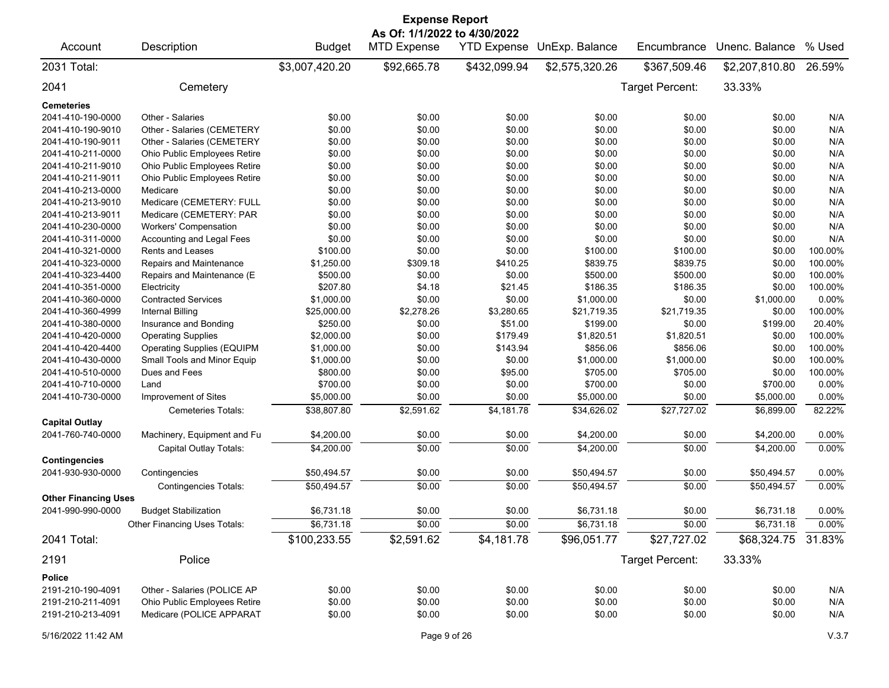| <b>Expense Report</b><br>As Of: 1/1/2022 to 4/30/2022 |                                   |                |                    |              |                            |                 |                |         |
|-------------------------------------------------------|-----------------------------------|----------------|--------------------|--------------|----------------------------|-----------------|----------------|---------|
| Account                                               | Description                       | <b>Budget</b>  | <b>MTD Expense</b> |              | YTD Expense UnExp. Balance | Encumbrance     | Unenc. Balance | % Used  |
| 2031 Total:                                           |                                   | \$3,007,420.20 | \$92,665.78        | \$432,099.94 | \$2,575,320.26             | \$367,509.46    | \$2,207,810.80 | 26.59%  |
| 2041                                                  | Cemetery                          |                |                    |              |                            | Target Percent: | 33.33%         |         |
| <b>Cemeteries</b>                                     |                                   |                |                    |              |                            |                 |                |         |
| 2041-410-190-0000                                     | Other - Salaries                  | \$0.00         | \$0.00             | \$0.00       | \$0.00                     | \$0.00          | \$0.00         | N/A     |
| 2041-410-190-9010                                     | Other - Salaries (CEMETERY        | \$0.00         | \$0.00             | \$0.00       | \$0.00                     | \$0.00          | \$0.00         | N/A     |
| 2041-410-190-9011                                     | Other - Salaries (CEMETERY        | \$0.00         | \$0.00             | \$0.00       | \$0.00                     | \$0.00          | \$0.00         | N/A     |
| 2041-410-211-0000                                     | Ohio Public Employees Retire      | \$0.00         | \$0.00             | \$0.00       | \$0.00                     | \$0.00          | \$0.00         | N/A     |
| 2041-410-211-9010                                     | Ohio Public Employees Retire      | \$0.00         | \$0.00             | \$0.00       | \$0.00                     | \$0.00          | \$0.00         | N/A     |
| 2041-410-211-9011                                     | Ohio Public Employees Retire      | \$0.00         | \$0.00             | \$0.00       | \$0.00                     | \$0.00          | \$0.00         | N/A     |
| 2041-410-213-0000                                     | Medicare                          | \$0.00         | \$0.00             | \$0.00       | \$0.00                     | \$0.00          | \$0.00         | N/A     |
| 2041-410-213-9010                                     | Medicare (CEMETERY: FULL          | \$0.00         | \$0.00             | \$0.00       | \$0.00                     | \$0.00          | \$0.00         | N/A     |
| 2041-410-213-9011                                     | Medicare (CEMETERY: PAR           | \$0.00         | \$0.00             | \$0.00       | \$0.00                     | \$0.00          | \$0.00         | N/A     |
| 2041-410-230-0000                                     | <b>Workers' Compensation</b>      | \$0.00         | \$0.00             | \$0.00       | \$0.00                     | \$0.00          | \$0.00         | N/A     |
| 2041-410-311-0000                                     | Accounting and Legal Fees         | \$0.00         | \$0.00             | \$0.00       | \$0.00                     | \$0.00          | \$0.00         | N/A     |
| 2041-410-321-0000                                     | <b>Rents and Leases</b>           | \$100.00       | \$0.00             | \$0.00       | \$100.00                   | \$100.00        | \$0.00         | 100.00% |
| 2041-410-323-0000                                     | Repairs and Maintenance           | \$1,250.00     | \$309.18           | \$410.25     | \$839.75                   | \$839.75        | \$0.00         | 100.00% |
| 2041-410-323-4400                                     | Repairs and Maintenance (E        | \$500.00       | \$0.00             | \$0.00       | \$500.00                   | \$500.00        | \$0.00         | 100.00% |
| 2041-410-351-0000                                     | Electricity                       | \$207.80       | \$4.18             | \$21.45      | \$186.35                   | \$186.35        | \$0.00         | 100.00% |
| 2041-410-360-0000                                     | <b>Contracted Services</b>        | \$1,000.00     | \$0.00             | \$0.00       | \$1,000.00                 | \$0.00          | \$1,000.00     | 0.00%   |
| 2041-410-360-4999                                     | <b>Internal Billing</b>           | \$25,000.00    | \$2,278.26         | \$3,280.65   | \$21,719.35                | \$21,719.35     | \$0.00         | 100.00% |
| 2041-410-380-0000                                     | Insurance and Bonding             | \$250.00       | \$0.00             | \$51.00      | \$199.00                   | \$0.00          | \$199.00       | 20.40%  |
| 2041-410-420-0000                                     | <b>Operating Supplies</b>         | \$2,000.00     | \$0.00             | \$179.49     | \$1,820.51                 | \$1,820.51      | \$0.00         | 100.00% |
| 2041-410-420-4400                                     | <b>Operating Supplies (EQUIPM</b> | \$1,000.00     | \$0.00             | \$143.94     | \$856.06                   | \$856.06        | \$0.00         | 100.00% |
| 2041-410-430-0000                                     | Small Tools and Minor Equip       | \$1,000.00     | \$0.00             | \$0.00       | \$1,000.00                 | \$1,000.00      | \$0.00         | 100.00% |
| 2041-410-510-0000                                     | Dues and Fees                     | \$800.00       | \$0.00             | \$95.00      | \$705.00                   | \$705.00        | \$0.00         | 100.00% |
| 2041-410-710-0000                                     | Land                              | \$700.00       | \$0.00             | \$0.00       | \$700.00                   | \$0.00          | \$700.00       | 0.00%   |
| 2041-410-730-0000                                     | Improvement of Sites              | \$5,000.00     | \$0.00             | \$0.00       | \$5,000.00                 | \$0.00          | \$5,000.00     | 0.00%   |
|                                                       |                                   |                | \$2,591.62         | \$4,181.78   |                            | \$27,727.02     |                | 82.22%  |
|                                                       | Cemeteries Totals:                | \$38,807.80    |                    |              | \$34,626.02                |                 | \$6,899.00     |         |
| <b>Capital Outlay</b>                                 |                                   |                |                    |              |                            |                 |                |         |
| 2041-760-740-0000                                     | Machinery, Equipment and Fu       | \$4,200.00     | \$0.00             | \$0.00       | \$4,200.00                 | \$0.00          | \$4,200.00     | 0.00%   |
|                                                       | Capital Outlay Totals:            | \$4,200.00     | \$0.00             | \$0.00       | \$4,200.00                 | \$0.00          | \$4,200.00     | 0.00%   |
| <b>Contingencies</b>                                  |                                   |                |                    |              |                            |                 |                |         |
| 2041-930-930-0000                                     | Contingencies                     | \$50,494.57    | \$0.00             | \$0.00       | \$50,494.57                | \$0.00          | \$50,494.57    | 0.00%   |
|                                                       | <b>Contingencies Totals:</b>      | \$50,494.57    | \$0.00             | \$0.00       | \$50,494.57                | \$0.00          | \$50.494.57    | 0.00%   |
| <b>Other Financing Uses</b>                           |                                   |                |                    |              |                            |                 |                |         |
| 2041-990-990-0000                                     | <b>Budget Stabilization</b>       | \$6,731.18     | \$0.00             | \$0.00       | \$6,731.18                 | \$0.00          | \$6,731.18     | 0.00%   |
|                                                       | Other Financing Uses Totals:      | \$6,731.18     | \$0.00             | \$0.00       | \$6,731.18                 | \$0.00          | \$6,731.18     | 0.00%   |
| 2041 Total:                                           |                                   | \$100,233.55   | \$2,591.62         | \$4,181.78   | \$96,051.77                | \$27,727.02     | \$68,324.75    | 31.83%  |
| 2191                                                  | Police                            |                |                    |              |                            | Target Percent: | 33.33%         |         |
| Police                                                |                                   |                |                    |              |                            |                 |                |         |
| 2191-210-190-4091                                     | Other - Salaries (POLICE AP       | \$0.00         | \$0.00             | \$0.00       | \$0.00                     | \$0.00          | \$0.00         | N/A     |
| 2191-210-211-4091                                     | Ohio Public Employees Retire      | \$0.00         | \$0.00             | \$0.00       | \$0.00                     | \$0.00          | \$0.00         | N/A     |
| 2191-210-213-4091                                     | Medicare (POLICE APPARAT          | \$0.00         | \$0.00             | \$0.00       | \$0.00                     | \$0.00          | \$0.00         | N/A     |
| 5/16/2022 11:42 AM                                    |                                   |                | Page 9 of 26       |              |                            |                 |                | V.3.7   |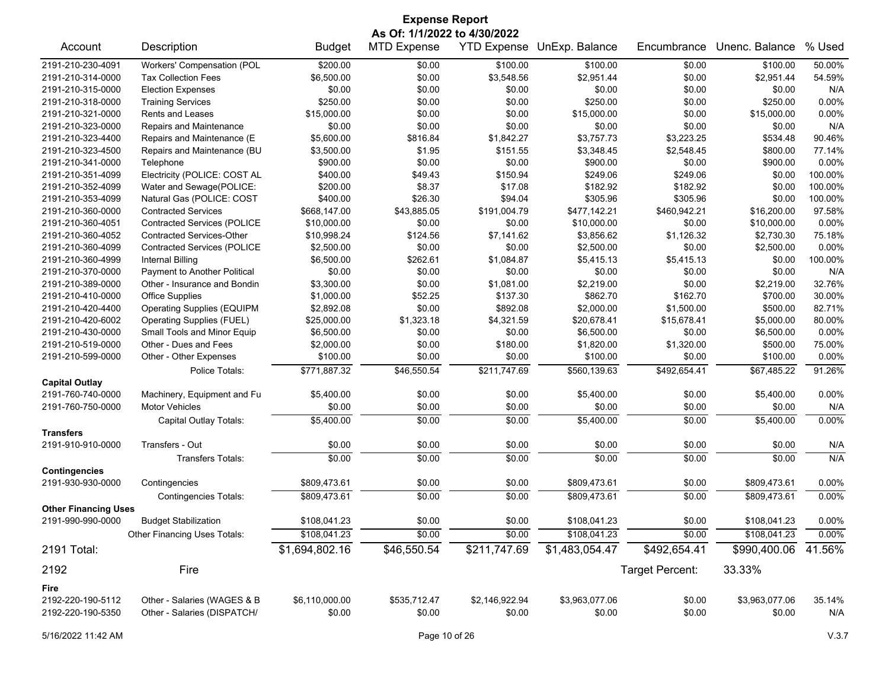| <b>Expense Report</b>                                             |                                    |                |                    |                |                |                 |                |          |
|-------------------------------------------------------------------|------------------------------------|----------------|--------------------|----------------|----------------|-----------------|----------------|----------|
| As Of: 1/1/2022 to 4/30/2022<br><b>YTD Expense UnExp. Balance</b> |                                    |                |                    |                |                |                 |                |          |
| Account                                                           | Description                        | <b>Budget</b>  | <b>MTD Expense</b> |                |                | Encumbrance     | Unenc. Balance | % Used   |
| 2191-210-230-4091                                                 | Workers' Compensation (POL         | \$200.00       | \$0.00             | \$100.00       | \$100.00       | \$0.00          | \$100.00       | 50.00%   |
| 2191-210-314-0000                                                 | <b>Tax Collection Fees</b>         | \$6,500.00     | \$0.00             | \$3,548.56     | \$2.951.44     | \$0.00          | \$2,951.44     | 54.59%   |
| 2191-210-315-0000                                                 | <b>Election Expenses</b>           | \$0.00         | \$0.00             | \$0.00         | \$0.00         | \$0.00          | \$0.00         | N/A      |
| 2191-210-318-0000                                                 | <b>Training Services</b>           | \$250.00       | \$0.00             | \$0.00         | \$250.00       | \$0.00          | \$250.00       | 0.00%    |
| 2191-210-321-0000                                                 | <b>Rents and Leases</b>            | \$15,000.00    | \$0.00             | \$0.00         | \$15,000.00    | \$0.00          | \$15,000.00    | 0.00%    |
| 2191-210-323-0000                                                 | Repairs and Maintenance            | \$0.00         | \$0.00             | \$0.00         | \$0.00         | \$0.00          | \$0.00         | N/A      |
| 2191-210-323-4400                                                 | Repairs and Maintenance (E         | \$5,600.00     | \$816.84           | \$1,842.27     | \$3,757.73     | \$3,223.25      | \$534.48       | 90.46%   |
| 2191-210-323-4500                                                 | Repairs and Maintenance (BU        | \$3,500.00     | \$1.95             | \$151.55       | \$3,348.45     | \$2,548.45      | \$800.00       | 77.14%   |
| 2191-210-341-0000                                                 | Telephone                          | \$900.00       | \$0.00             | \$0.00         | \$900.00       | \$0.00          | \$900.00       | 0.00%    |
| 2191-210-351-4099                                                 | Electricity (POLICE: COST AL       | \$400.00       | \$49.43            | \$150.94       | \$249.06       | \$249.06        | \$0.00         | 100.00%  |
| 2191-210-352-4099                                                 | Water and Sewage(POLICE:           | \$200.00       | \$8.37             | \$17.08        | \$182.92       | \$182.92        | \$0.00         | 100.00%  |
| 2191-210-353-4099                                                 | Natural Gas (POLICE: COST          | \$400.00       | \$26.30            | \$94.04        | \$305.96       | \$305.96        | \$0.00         | 100.00%  |
| 2191-210-360-0000                                                 | <b>Contracted Services</b>         | \$668,147.00   | \$43,885.05        | \$191,004.79   | \$477,142.21   | \$460,942.21    | \$16,200.00    | 97.58%   |
| 2191-210-360-4051                                                 | <b>Contracted Services (POLICE</b> | \$10,000.00    | \$0.00             | \$0.00         | \$10,000.00    | \$0.00          | \$10,000.00    | 0.00%    |
| 2191-210-360-4052                                                 | <b>Contracted Services-Other</b>   | \$10,998.24    | \$124.56           | \$7.141.62     | \$3,856.62     | \$1,126.32      | \$2,730.30     | 75.18%   |
| 2191-210-360-4099                                                 | <b>Contracted Services (POLICE</b> | \$2,500.00     | \$0.00             | \$0.00         | \$2,500.00     | \$0.00          | \$2,500.00     | 0.00%    |
| 2191-210-360-4999                                                 | <b>Internal Billing</b>            | \$6,500.00     | \$262.61           | \$1,084.87     | \$5,415.13     | \$5,415.13      | \$0.00         | 100.00%  |
| 2191-210-370-0000                                                 | Payment to Another Political       | \$0.00         | \$0.00             | \$0.00         | \$0.00         | \$0.00          | \$0.00         | N/A      |
| 2191-210-389-0000                                                 | Other - Insurance and Bondin       | \$3,300.00     | \$0.00             | \$1,081.00     | \$2,219.00     | \$0.00          | \$2,219.00     | 32.76%   |
| 2191-210-410-0000                                                 | <b>Office Supplies</b>             | \$1,000.00     | \$52.25            | \$137.30       | \$862.70       | \$162.70        | \$700.00       | 30.00%   |
| 2191-210-420-4400                                                 | <b>Operating Supplies (EQUIPM</b>  | \$2,892.08     | \$0.00             | \$892.08       | \$2,000.00     | \$1,500.00      | \$500.00       | 82.71%   |
| 2191-210-420-6002                                                 | <b>Operating Supplies (FUEL)</b>   | \$25,000.00    | \$1,323.18         | \$4,321.59     | \$20,678.41    | \$15,678.41     | \$5,000.00     | 80.00%   |
| 2191-210-430-0000                                                 | Small Tools and Minor Equip        | \$6,500.00     | \$0.00             | \$0.00         | \$6,500.00     | \$0.00          | \$6,500.00     | 0.00%    |
| 2191-210-519-0000                                                 | Other - Dues and Fees              | \$2,000.00     | \$0.00             | \$180.00       | \$1,820.00     | \$1,320.00      | \$500.00       | 75.00%   |
| 2191-210-599-0000                                                 | Other - Other Expenses             | \$100.00       | \$0.00             | \$0.00         | \$100.00       | \$0.00          | \$100.00       | $0.00\%$ |
|                                                                   | Police Totals:                     | \$771,887.32   | \$46,550.54        | \$211,747.69   | \$560,139.63   | \$492,654.41    | \$67,485.22    | 91.26%   |
| <b>Capital Outlay</b>                                             |                                    |                |                    |                |                |                 |                |          |
| 2191-760-740-0000                                                 | Machinery, Equipment and Fu        | \$5,400.00     | \$0.00             | \$0.00         | \$5,400.00     | \$0.00          | \$5,400.00     | 0.00%    |
| 2191-760-750-0000                                                 | <b>Motor Vehicles</b>              | \$0.00         | \$0.00             | \$0.00         | \$0.00         | \$0.00          | \$0.00         | N/A      |
|                                                                   | Capital Outlay Totals:             | \$5,400.00     | \$0.00             | \$0.00         | \$5,400.00     | \$0.00          | \$5,400.00     | 0.00%    |
| <b>Transfers</b>                                                  |                                    |                |                    |                |                |                 |                |          |
| 2191-910-910-0000                                                 | Transfers - Out                    | \$0.00         | \$0.00             | \$0.00         | \$0.00         | \$0.00          | \$0.00         | N/A      |
|                                                                   | <b>Transfers Totals:</b>           | \$0.00         | \$0.00             | \$0.00         | \$0.00         | \$0.00          | \$0.00         | N/A      |
| <b>Contingencies</b><br>2191-930-930-0000                         | Contingencies                      | \$809,473.61   | \$0.00             | \$0.00         | \$809,473.61   | \$0.00          | \$809,473.61   | 0.00%    |
|                                                                   | <b>Contingencies Totals:</b>       | \$809,473.61   | \$0.00             | \$0.00         | \$809,473.61   | \$0.00          | \$809,473.61   | 0.00%    |
| <b>Other Financing Uses</b>                                       |                                    |                |                    |                |                |                 |                |          |
| 2191-990-990-0000                                                 | <b>Budget Stabilization</b>        | \$108,041.23   | \$0.00             | \$0.00         | \$108,041.23   | \$0.00          | \$108,041.23   | 0.00%    |
|                                                                   | Other Financing Uses Totals:       | \$108,041.23   | \$0.00             | \$0.00         | \$108,041.23   | \$0.00          | \$108,041.23   | 0.00%    |
| 2191 Total:                                                       |                                    | \$1,694,802.16 | \$46,550.54        | \$211,747.69   | \$1,483,054.47 | \$492,654.41    | \$990,400.06   | 41.56%   |
| 2192                                                              | Fire                               |                |                    |                |                | Target Percent: | 33.33%         |          |
| Fire                                                              |                                    |                |                    |                |                |                 |                |          |
| 2192-220-190-5112                                                 | Other - Salaries (WAGES & B        | \$6,110,000.00 | \$535,712.47       | \$2,146,922.94 | \$3,963,077.06 | \$0.00          | \$3,963,077.06 | 35.14%   |
| 2192-220-190-5350                                                 | Other - Salaries (DISPATCH/        | \$0.00         | \$0.00             | \$0.00         | \$0.00         | \$0.00          | \$0.00         | N/A      |
|                                                                   |                                    |                |                    |                |                |                 |                |          |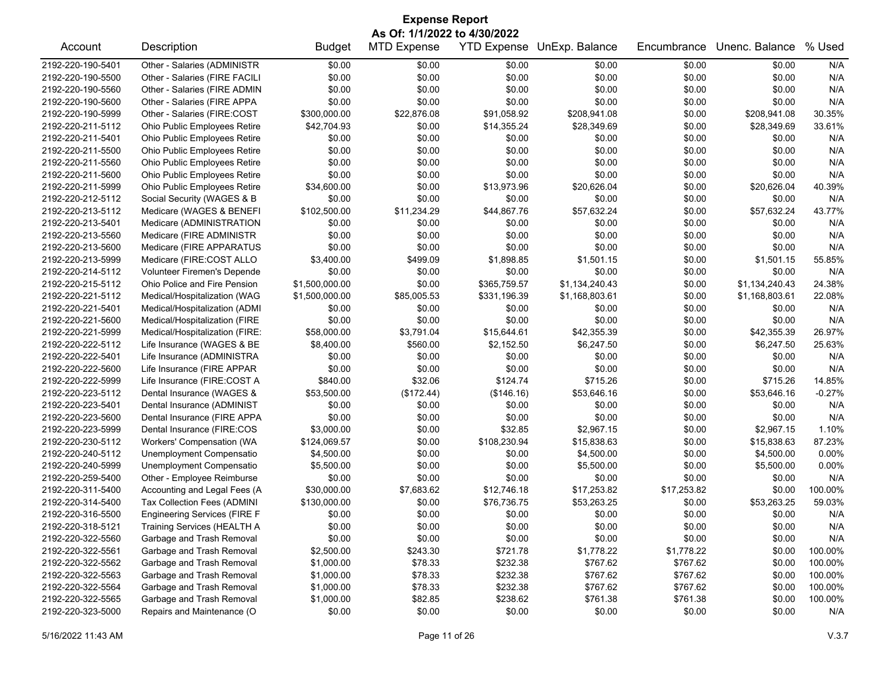| <b>Expense Report</b>                  |                                     |                      |                      |                    |                      |                  |                      |              |  |
|----------------------------------------|-------------------------------------|----------------------|----------------------|--------------------|----------------------|------------------|----------------------|--------------|--|
| As Of: 1/1/2022 to 4/30/2022           |                                     |                      |                      |                    |                      |                  |                      |              |  |
| Account                                | Description                         | <b>Budget</b>        | <b>MTD Expense</b>   | <b>YTD Expense</b> | UnExp. Balance       | Encumbrance      | Unenc. Balance       | % Used       |  |
| 2192-220-190-5401                      | Other - Salaries (ADMINISTR         | \$0.00               | \$0.00               | \$0.00             | \$0.00               | \$0.00           | \$0.00               | N/A          |  |
| 2192-220-190-5500                      | Other - Salaries (FIRE FACILI       | \$0.00               | \$0.00               | \$0.00             | \$0.00               | \$0.00           | \$0.00               | N/A          |  |
| 2192-220-190-5560                      | Other - Salaries (FIRE ADMIN        | \$0.00               | \$0.00               | \$0.00             | \$0.00               | \$0.00           | \$0.00               | N/A          |  |
| 2192-220-190-5600                      | Other - Salaries (FIRE APPA         | \$0.00               | \$0.00               | \$0.00             | \$0.00               | \$0.00           | \$0.00               | N/A          |  |
| 2192-220-190-5999                      | Other - Salaries (FIRE:COST         | \$300,000.00         | \$22,876.08          | \$91,058.92        | \$208,941.08         | \$0.00           | \$208,941.08         | 30.35%       |  |
| 2192-220-211-5112                      | Ohio Public Employees Retire        | \$42,704.93          | \$0.00               | \$14,355.24        | \$28,349.69          | \$0.00           | \$28,349.69          | 33.61%       |  |
| 2192-220-211-5401                      | Ohio Public Employees Retire        | \$0.00               | \$0.00               | \$0.00             | \$0.00               | \$0.00           | \$0.00               | N/A          |  |
| 2192-220-211-5500                      | Ohio Public Employees Retire        | \$0.00               | \$0.00               | \$0.00             | \$0.00               | \$0.00           | \$0.00               | N/A          |  |
| 2192-220-211-5560                      | Ohio Public Employees Retire        | \$0.00               | \$0.00               | \$0.00             | \$0.00               | \$0.00           | \$0.00               | N/A          |  |
| 2192-220-211-5600                      | Ohio Public Employees Retire        | \$0.00               | \$0.00               | \$0.00             | \$0.00               | \$0.00           | \$0.00               | N/A          |  |
| 2192-220-211-5999                      | Ohio Public Employees Retire        | \$34,600.00          | \$0.00               | \$13,973.96        | \$20,626.04          | \$0.00           | \$20,626.04          | 40.39%       |  |
| 2192-220-212-5112                      | Social Security (WAGES & B          | \$0.00               | \$0.00               | \$0.00             | \$0.00               | \$0.00           | \$0.00               | N/A          |  |
| 2192-220-213-5112                      | Medicare (WAGES & BENEFI            | \$102,500.00         | \$11,234.29          | \$44,867.76        | \$57,632.24          | \$0.00           | \$57,632.24          | 43.77%       |  |
| 2192-220-213-5401                      | Medicare (ADMINISTRATION            | \$0.00               | \$0.00               | \$0.00             | \$0.00               | \$0.00           | \$0.00               | N/A          |  |
| 2192-220-213-5560                      | Medicare (FIRE ADMINISTR            | \$0.00               | \$0.00               | \$0.00             | \$0.00               | \$0.00           | \$0.00               | N/A          |  |
| 2192-220-213-5600                      | Medicare (FIRE APPARATUS            | \$0.00               | \$0.00               | \$0.00             | \$0.00               | \$0.00           | \$0.00               | N/A          |  |
| 2192-220-213-5999                      | Medicare (FIRE:COST ALLO            | \$3,400.00           | \$499.09             | \$1,898.85         | \$1,501.15           | \$0.00           | \$1,501.15           | 55.85%       |  |
| 2192-220-214-5112                      | Volunteer Firemen's Depende         | \$0.00               | \$0.00               | \$0.00             | \$0.00               | \$0.00           | \$0.00               | N/A          |  |
| 2192-220-215-5112                      | Ohio Police and Fire Pension        | \$1,500,000.00       | \$0.00               | \$365,759.57       | \$1,134,240.43       | \$0.00           | \$1,134,240.43       | 24.38%       |  |
| 2192-220-221-5112                      | Medical/Hospitalization (WAG        | \$1,500,000.00       | \$85,005.53          | \$331,196.39       | \$1,168,803.61       | \$0.00           | \$1,168,803.61       | 22.08%       |  |
| 2192-220-221-5401                      | Medical/Hospitalization (ADMI       | \$0.00               | \$0.00               | \$0.00             | \$0.00               | \$0.00           | \$0.00               | N/A          |  |
| 2192-220-221-5600                      | Medical/Hospitalization (FIRE       | \$0.00               | \$0.00               | \$0.00             | \$0.00               | \$0.00           | \$0.00               | N/A          |  |
| 2192-220-221-5999                      | Medical/Hospitalization (FIRE:      | \$58,000.00          | \$3,791.04           | \$15,644.61        | \$42,355.39          | \$0.00           | \$42,355.39          | 26.97%       |  |
| 2192-220-222-5112                      | Life Insurance (WAGES & BE          | \$8,400.00           | \$560.00             | \$2,152.50         | \$6,247.50           | \$0.00           | \$6,247.50           | 25.63%       |  |
| 2192-220-222-5401                      | Life Insurance (ADMINISTRA          | \$0.00               | \$0.00               | \$0.00             | \$0.00               | \$0.00           | \$0.00               | N/A          |  |
| 2192-220-222-5600                      | Life Insurance (FIRE APPAR          | \$0.00               | \$0.00               | \$0.00             | \$0.00               | \$0.00           | \$0.00               | N/A          |  |
| 2192-220-222-5999                      | Life Insurance (FIRE:COST A         | \$840.00             | \$32.06              | \$124.74           | \$715.26             | \$0.00           | \$715.26             | 14.85%       |  |
| 2192-220-223-5112                      | Dental Insurance (WAGES &           | \$53,500.00          |                      | (\$146.16)         | \$53,646.16          | \$0.00           | \$53,646.16          | $-0.27%$     |  |
| 2192-220-223-5401                      | Dental Insurance (ADMINIST          | \$0.00               | (\$172.44)<br>\$0.00 | \$0.00             | \$0.00               | \$0.00           | \$0.00               | N/A          |  |
|                                        |                                     |                      |                      |                    |                      |                  |                      |              |  |
| 2192-220-223-5600<br>2192-220-223-5999 | Dental Insurance (FIRE APPA         | \$0.00<br>\$3,000.00 | \$0.00<br>\$0.00     | \$0.00<br>\$32.85  | \$0.00<br>\$2,967.15 | \$0.00<br>\$0.00 | \$0.00<br>\$2,967.15 | N/A<br>1.10% |  |
|                                        | Dental Insurance (FIRE:COS          |                      |                      |                    |                      |                  |                      |              |  |
| 2192-220-230-5112                      | Workers' Compensation (WA           | \$124,069.57         | \$0.00               | \$108,230.94       | \$15,838.63          | \$0.00           | \$15,838.63          | 87.23%       |  |
| 2192-220-240-5112                      | Unemployment Compensatio            | \$4,500.00           | \$0.00               | \$0.00             | \$4,500.00           | \$0.00           | \$4,500.00           | 0.00%        |  |
| 2192-220-240-5999                      | Unemployment Compensatio            | \$5,500.00           | \$0.00               | \$0.00             | \$5,500.00           | \$0.00           | \$5,500.00           | 0.00%        |  |
| 2192-220-259-5400                      | Other - Employee Reimburse          | \$0.00               | \$0.00               | \$0.00             | \$0.00               | \$0.00           | \$0.00               | N/A          |  |
| 2192-220-311-5400                      | Accounting and Legal Fees (A        | \$30,000.00          | \$7,683.62           | \$12,746.18        | \$17,253.82          | \$17,253.82      | \$0.00               | 100.00%      |  |
| 2192-220-314-5400                      | Tax Collection Fees (ADMINI         | \$130,000.00         | \$0.00               | \$76,736.75        | \$53,263.25          | \$0.00           | \$53,263.25          | 59.03%       |  |
| 2192-220-316-5500                      | <b>Engineering Services (FIRE F</b> | \$0.00               | \$0.00               | \$0.00             | \$0.00               | \$0.00           | \$0.00               | N/A          |  |
| 2192-220-318-5121                      | Training Services (HEALTH A         | \$0.00               | \$0.00               | \$0.00             | \$0.00               | \$0.00           | \$0.00               | N/A          |  |
| 2192-220-322-5560                      | Garbage and Trash Removal           | \$0.00               | \$0.00               | \$0.00             | \$0.00               | \$0.00           | \$0.00               | N/A          |  |
| 2192-220-322-5561                      | Garbage and Trash Removal           | \$2,500.00           | \$243.30             | \$721.78           | \$1,778.22           | \$1,778.22       | \$0.00               | 100.00%      |  |
| 2192-220-322-5562                      | Garbage and Trash Removal           | \$1,000.00           | \$78.33              | \$232.38           | \$767.62             | \$767.62         | \$0.00               | 100.00%      |  |
| 2192-220-322-5563                      | Garbage and Trash Removal           | \$1,000.00           | \$78.33              | \$232.38           | \$767.62             | \$767.62         | \$0.00               | 100.00%      |  |
| 2192-220-322-5564                      | Garbage and Trash Removal           | \$1,000.00           | \$78.33              | \$232.38           | \$767.62             | \$767.62         | \$0.00               | 100.00%      |  |
| 2192-220-322-5565                      | Garbage and Trash Removal           | \$1,000.00           | \$82.85              | \$238.62           | \$761.38             | \$761.38         | \$0.00               | 100.00%      |  |
| 2192-220-323-5000                      | Repairs and Maintenance (O          | \$0.00               | \$0.00               | \$0.00             | \$0.00               | \$0.00           | \$0.00               | N/A          |  |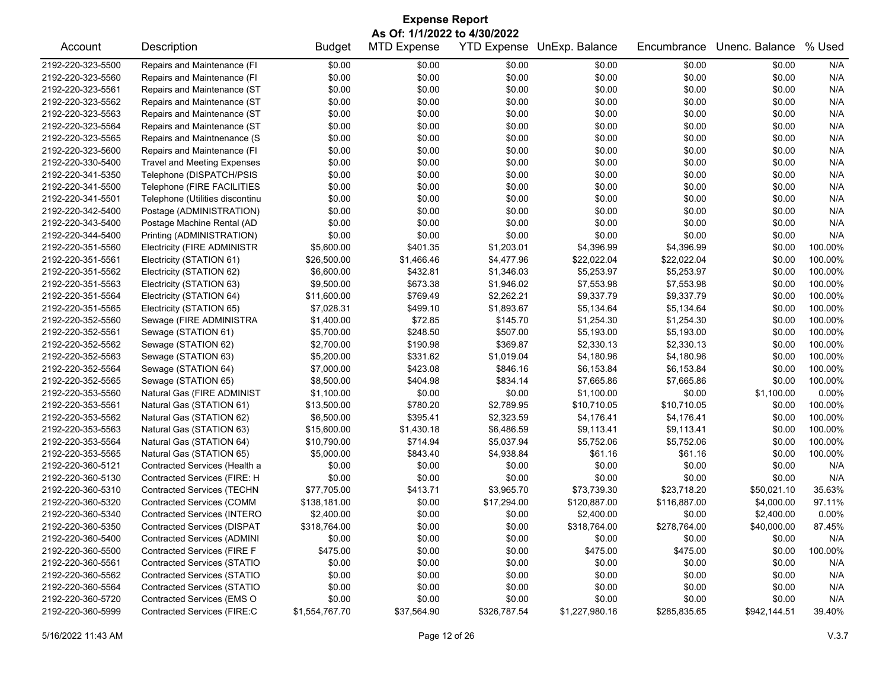| As Of: 1/1/2022 to 4/30/2022<br>Description<br><b>MTD Expense</b><br>YTD Expense UnExp. Balance<br>Unenc. Balance<br>% Used<br><b>Budget</b><br>Encumbrance<br>Account<br>2192-220-323-5500<br>Repairs and Maintenance (FI<br>\$0.00<br>N/A<br>\$0.00<br>\$0.00<br>\$0.00<br>\$0.00<br>\$0.00<br>\$0.00<br>\$0.00<br>\$0.00<br>\$0.00<br>\$0.00<br>2192-220-323-5560<br>Repairs and Maintenance (FI<br>\$0.00<br>N/A<br>2192-220-323-5561<br>Repairs and Maintenance (ST<br>\$0.00<br>\$0.00<br>\$0.00<br>\$0.00<br>\$0.00<br>\$0.00<br>N/A<br>2192-220-323-5562<br>Repairs and Maintenance (ST<br>\$0.00<br>\$0.00<br>\$0.00<br>\$0.00<br>\$0.00<br>\$0.00<br>N/A<br>Repairs and Maintenance (ST<br>\$0.00<br>\$0.00<br>\$0.00<br>2192-220-323-5563<br>\$0.00<br>\$0.00<br>\$0.00<br>N/A<br>\$0.00<br>\$0.00<br>\$0.00<br>2192-220-323-5564<br>Repairs and Maintenance (ST<br>\$0.00<br>\$0.00<br>\$0.00<br>N/A<br>2192-220-323-5565<br>Repairs and Maintnenance (S<br>\$0.00<br>\$0.00<br>\$0.00<br>\$0.00<br>\$0.00<br>\$0.00<br>N/A<br>Repairs and Maintenance (FI<br>\$0.00<br>\$0.00<br>\$0.00<br>\$0.00<br>N/A<br>2192-220-323-5600<br>\$0.00<br>\$0.00<br>2192-220-330-5400<br>\$0.00<br>\$0.00<br>\$0.00<br>\$0.00<br>\$0.00<br>\$0.00<br>N/A<br><b>Travel and Meeting Expenses</b><br>Telephone (DISPATCH/PSIS<br>\$0.00<br>2192-220-341-5350<br>\$0.00<br>\$0.00<br>\$0.00<br>\$0.00<br>\$0.00<br>N/A<br>\$0.00<br>\$0.00<br>\$0.00<br>2192-220-341-5500<br>Telephone (FIRE FACILITIES<br>\$0.00<br>\$0.00<br>\$0.00<br>N/A<br>2192-220-341-5501<br>Telephone (Utilities discontinu<br>\$0.00<br>\$0.00<br>\$0.00<br>\$0.00<br>\$0.00<br>\$0.00<br>N/A<br>Postage (ADMINISTRATION)<br>\$0.00<br>\$0.00<br>\$0.00<br>\$0.00<br>N/A<br>2192-220-342-5400<br>\$0.00<br>\$0.00<br>2192-220-343-5400<br>\$0.00<br>\$0.00<br>\$0.00<br>\$0.00<br>\$0.00<br>\$0.00<br>N/A<br>Postage Machine Rental (AD<br>\$0.00<br>\$0.00<br>\$0.00<br>\$0.00<br>\$0.00<br>2192-220-344-5400<br>Printing (ADMINISTRATION)<br>\$0.00<br>N/A<br>\$401.35<br>\$4,396.99<br>\$0.00<br>100.00%<br><b>Electricity (FIRE ADMINISTR</b><br>\$5,600.00<br>\$1,203.01<br>\$4,396.99<br>2192-220-351-5560<br>2192-220-351-5561<br>Electricity (STATION 61)<br>\$26,500.00<br>\$1,466.46<br>\$4,477.96<br>\$22,022.04<br>\$22,022.04<br>\$0.00<br>100.00%<br>Electricity (STATION 62)<br>\$432.81<br>\$5,253.97<br>\$0.00<br>100.00%<br>2192-220-351-5562<br>\$6,600.00<br>\$1,346.03<br>\$5,253.97<br>\$673.38<br>Electricity (STATION 63)<br>\$9,500.00<br>\$1,946.02<br>\$7,553.98<br>\$7,553.98<br>\$0.00<br>100.00%<br>2192-220-351-5563<br>\$769.49<br>\$2,262.21<br>\$9,337.79<br>\$9,337.79<br>100.00%<br>2192-220-351-5564<br>Electricity (STATION 64)<br>\$11,600.00<br>\$0.00<br>100.00%<br>2192-220-351-5565<br>Electricity (STATION 65)<br>\$7,028.31<br>\$499.10<br>\$1,893.67<br>\$5,134.64<br>\$5,134.64<br>\$0.00<br>2192-220-352-5560<br>Sewage (FIRE ADMINISTRA<br>\$1,400.00<br>\$72.85<br>\$145.70<br>\$1,254.30<br>\$1,254.30<br>\$0.00<br>100.00%<br>\$248.50<br>\$507.00<br>\$0.00<br>100.00%<br>2192-220-352-5561<br>Sewage (STATION 61)<br>\$5,700.00<br>\$5,193.00<br>\$5,193.00<br>2192-220-352-5562<br>Sewage (STATION 62)<br>\$190.98<br>\$369.87<br>\$2,330.13<br>\$2,330.13<br>\$0.00<br>100.00%<br>\$2,700.00<br>Sewage (STATION 63)<br>\$331.62<br>\$1,019.04<br>\$4,180.96<br>\$4,180.96<br>100.00%<br>2192-220-352-5563<br>\$5,200.00<br>\$0.00<br>\$423.08<br>\$846.16<br>\$6,153.84<br>\$6,153.84<br>2192-220-352-5564<br>Sewage (STATION 64)<br>\$7,000.00<br>\$0.00<br>100.00%<br>2192-220-352-5565<br>Sewage (STATION 65)<br>\$8,500.00<br>\$404.98<br>\$834.14<br>\$7,665.86<br>\$7,665.86<br>\$0.00<br>100.00%<br>\$0.00<br>\$0.00<br>0.00%<br>2192-220-353-5560<br>Natural Gas (FIRE ADMINIST<br>\$1,100.00<br>\$1,100.00<br>\$0.00<br>\$1,100.00<br>2192-220-353-5561<br>Natural Gas (STATION 61)<br>\$13,500.00<br>\$780.20<br>\$2,789.95<br>\$10,710.05<br>\$10,710.05<br>100.00%<br>\$0.00<br>\$395.41<br>\$2,323.59<br>\$4,176.41<br>\$4,176.41<br>2192-220-353-5562<br>Natural Gas (STATION 62)<br>\$6,500.00<br>\$0.00<br>100.00%<br>\$9,113.41<br>100.00%<br>2192-220-353-5563<br>Natural Gas (STATION 63)<br>\$15,600.00<br>\$1,430.18<br>\$6,486.59<br>\$9,113.41<br>\$0.00<br>2192-220-353-5564<br>Natural Gas (STATION 64)<br>\$10,790.00<br>\$714.94<br>\$5,037.94<br>\$5,752.06<br>\$5,752.06<br>\$0.00<br>100.00%<br>Natural Gas (STATION 65)<br>\$843.40<br>\$61.16<br>\$61.16<br>\$0.00<br>100.00%<br>2192-220-353-5565<br>\$5,000.00<br>\$4,938.84<br>2192-220-360-5121<br>Contracted Services (Health a<br>\$0.00<br>\$0.00<br>\$0.00<br>\$0.00<br>\$0.00<br>\$0.00<br>N/A<br>Contracted Services (FIRE: H<br>\$0.00<br>\$0.00<br>\$0.00<br>\$0.00<br>\$0.00<br>\$0.00<br>2192-220-360-5130<br>N/A<br>\$73,739.30<br>35.63%<br>2192-220-360-5310<br><b>Contracted Services (TECHN</b><br>\$77,705.00<br>\$413.71<br>\$3,965.70<br>\$23,718.20<br>\$50,021.10 | <b>Expense Report</b> |                                  |              |        |             |              |              |            |        |  |
|-------------------------------------------------------------------------------------------------------------------------------------------------------------------------------------------------------------------------------------------------------------------------------------------------------------------------------------------------------------------------------------------------------------------------------------------------------------------------------------------------------------------------------------------------------------------------------------------------------------------------------------------------------------------------------------------------------------------------------------------------------------------------------------------------------------------------------------------------------------------------------------------------------------------------------------------------------------------------------------------------------------------------------------------------------------------------------------------------------------------------------------------------------------------------------------------------------------------------------------------------------------------------------------------------------------------------------------------------------------------------------------------------------------------------------------------------------------------------------------------------------------------------------------------------------------------------------------------------------------------------------------------------------------------------------------------------------------------------------------------------------------------------------------------------------------------------------------------------------------------------------------------------------------------------------------------------------------------------------------------------------------------------------------------------------------------------------------------------------------------------------------------------------------------------------------------------------------------------------------------------------------------------------------------------------------------------------------------------------------------------------------------------------------------------------------------------------------------------------------------------------------------------------------------------------------------------------------------------------------------------------------------------------------------------------------------------------------------------------------------------------------------------------------------------------------------------------------------------------------------------------------------------------------------------------------------------------------------------------------------------------------------------------------------------------------------------------------------------------------------------------------------------------------------------------------------------------------------------------------------------------------------------------------------------------------------------------------------------------------------------------------------------------------------------------------------------------------------------------------------------------------------------------------------------------------------------------------------------------------------------------------------------------------------------------------------------------------------------------------------------------------------------------------------------------------------------------------------------------------------------------------------------------------------------------------------------------------------------------------------------------------------------------------------------------------------------------------------------------------------------------------------------------------------------------------------------------------------------------------------------------------------------------------------------------------------------------------------------------------------------------------------------------------------------------------------------------------------------------------------------------------------------------------------------------------------------------------------------------------------------------------------------------------------------------------------------------------------------------------------------------------------------------------------------------------------------------------------------------------------------------------------------------------------------------------------------------------------------------------------------------|-----------------------|----------------------------------|--------------|--------|-------------|--------------|--------------|------------|--------|--|
|                                                                                                                                                                                                                                                                                                                                                                                                                                                                                                                                                                                                                                                                                                                                                                                                                                                                                                                                                                                                                                                                                                                                                                                                                                                                                                                                                                                                                                                                                                                                                                                                                                                                                                                                                                                                                                                                                                                                                                                                                                                                                                                                                                                                                                                                                                                                                                                                                                                                                                                                                                                                                                                                                                                                                                                                                                                                                                                                                                                                                                                                                                                                                                                                                                                                                                                                                                                                                                                                                                                                                                                                                                                                                                                                                                                                                                                                                                                                                                                                                                                                                                                                                                                                                                                                                                                                                                                                                                                                                                                                                                                                                                                                                                                                                                                                                                                                                                                                                                                                       |                       |                                  |              |        |             |              |              |            |        |  |
|                                                                                                                                                                                                                                                                                                                                                                                                                                                                                                                                                                                                                                                                                                                                                                                                                                                                                                                                                                                                                                                                                                                                                                                                                                                                                                                                                                                                                                                                                                                                                                                                                                                                                                                                                                                                                                                                                                                                                                                                                                                                                                                                                                                                                                                                                                                                                                                                                                                                                                                                                                                                                                                                                                                                                                                                                                                                                                                                                                                                                                                                                                                                                                                                                                                                                                                                                                                                                                                                                                                                                                                                                                                                                                                                                                                                                                                                                                                                                                                                                                                                                                                                                                                                                                                                                                                                                                                                                                                                                                                                                                                                                                                                                                                                                                                                                                                                                                                                                                                                       |                       |                                  |              |        |             |              |              |            |        |  |
|                                                                                                                                                                                                                                                                                                                                                                                                                                                                                                                                                                                                                                                                                                                                                                                                                                                                                                                                                                                                                                                                                                                                                                                                                                                                                                                                                                                                                                                                                                                                                                                                                                                                                                                                                                                                                                                                                                                                                                                                                                                                                                                                                                                                                                                                                                                                                                                                                                                                                                                                                                                                                                                                                                                                                                                                                                                                                                                                                                                                                                                                                                                                                                                                                                                                                                                                                                                                                                                                                                                                                                                                                                                                                                                                                                                                                                                                                                                                                                                                                                                                                                                                                                                                                                                                                                                                                                                                                                                                                                                                                                                                                                                                                                                                                                                                                                                                                                                                                                                                       |                       |                                  |              |        |             |              |              |            |        |  |
|                                                                                                                                                                                                                                                                                                                                                                                                                                                                                                                                                                                                                                                                                                                                                                                                                                                                                                                                                                                                                                                                                                                                                                                                                                                                                                                                                                                                                                                                                                                                                                                                                                                                                                                                                                                                                                                                                                                                                                                                                                                                                                                                                                                                                                                                                                                                                                                                                                                                                                                                                                                                                                                                                                                                                                                                                                                                                                                                                                                                                                                                                                                                                                                                                                                                                                                                                                                                                                                                                                                                                                                                                                                                                                                                                                                                                                                                                                                                                                                                                                                                                                                                                                                                                                                                                                                                                                                                                                                                                                                                                                                                                                                                                                                                                                                                                                                                                                                                                                                                       |                       |                                  |              |        |             |              |              |            |        |  |
|                                                                                                                                                                                                                                                                                                                                                                                                                                                                                                                                                                                                                                                                                                                                                                                                                                                                                                                                                                                                                                                                                                                                                                                                                                                                                                                                                                                                                                                                                                                                                                                                                                                                                                                                                                                                                                                                                                                                                                                                                                                                                                                                                                                                                                                                                                                                                                                                                                                                                                                                                                                                                                                                                                                                                                                                                                                                                                                                                                                                                                                                                                                                                                                                                                                                                                                                                                                                                                                                                                                                                                                                                                                                                                                                                                                                                                                                                                                                                                                                                                                                                                                                                                                                                                                                                                                                                                                                                                                                                                                                                                                                                                                                                                                                                                                                                                                                                                                                                                                                       |                       |                                  |              |        |             |              |              |            |        |  |
|                                                                                                                                                                                                                                                                                                                                                                                                                                                                                                                                                                                                                                                                                                                                                                                                                                                                                                                                                                                                                                                                                                                                                                                                                                                                                                                                                                                                                                                                                                                                                                                                                                                                                                                                                                                                                                                                                                                                                                                                                                                                                                                                                                                                                                                                                                                                                                                                                                                                                                                                                                                                                                                                                                                                                                                                                                                                                                                                                                                                                                                                                                                                                                                                                                                                                                                                                                                                                                                                                                                                                                                                                                                                                                                                                                                                                                                                                                                                                                                                                                                                                                                                                                                                                                                                                                                                                                                                                                                                                                                                                                                                                                                                                                                                                                                                                                                                                                                                                                                                       |                       |                                  |              |        |             |              |              |            |        |  |
|                                                                                                                                                                                                                                                                                                                                                                                                                                                                                                                                                                                                                                                                                                                                                                                                                                                                                                                                                                                                                                                                                                                                                                                                                                                                                                                                                                                                                                                                                                                                                                                                                                                                                                                                                                                                                                                                                                                                                                                                                                                                                                                                                                                                                                                                                                                                                                                                                                                                                                                                                                                                                                                                                                                                                                                                                                                                                                                                                                                                                                                                                                                                                                                                                                                                                                                                                                                                                                                                                                                                                                                                                                                                                                                                                                                                                                                                                                                                                                                                                                                                                                                                                                                                                                                                                                                                                                                                                                                                                                                                                                                                                                                                                                                                                                                                                                                                                                                                                                                                       |                       |                                  |              |        |             |              |              |            |        |  |
|                                                                                                                                                                                                                                                                                                                                                                                                                                                                                                                                                                                                                                                                                                                                                                                                                                                                                                                                                                                                                                                                                                                                                                                                                                                                                                                                                                                                                                                                                                                                                                                                                                                                                                                                                                                                                                                                                                                                                                                                                                                                                                                                                                                                                                                                                                                                                                                                                                                                                                                                                                                                                                                                                                                                                                                                                                                                                                                                                                                                                                                                                                                                                                                                                                                                                                                                                                                                                                                                                                                                                                                                                                                                                                                                                                                                                                                                                                                                                                                                                                                                                                                                                                                                                                                                                                                                                                                                                                                                                                                                                                                                                                                                                                                                                                                                                                                                                                                                                                                                       |                       |                                  |              |        |             |              |              |            |        |  |
|                                                                                                                                                                                                                                                                                                                                                                                                                                                                                                                                                                                                                                                                                                                                                                                                                                                                                                                                                                                                                                                                                                                                                                                                                                                                                                                                                                                                                                                                                                                                                                                                                                                                                                                                                                                                                                                                                                                                                                                                                                                                                                                                                                                                                                                                                                                                                                                                                                                                                                                                                                                                                                                                                                                                                                                                                                                                                                                                                                                                                                                                                                                                                                                                                                                                                                                                                                                                                                                                                                                                                                                                                                                                                                                                                                                                                                                                                                                                                                                                                                                                                                                                                                                                                                                                                                                                                                                                                                                                                                                                                                                                                                                                                                                                                                                                                                                                                                                                                                                                       |                       |                                  |              |        |             |              |              |            |        |  |
|                                                                                                                                                                                                                                                                                                                                                                                                                                                                                                                                                                                                                                                                                                                                                                                                                                                                                                                                                                                                                                                                                                                                                                                                                                                                                                                                                                                                                                                                                                                                                                                                                                                                                                                                                                                                                                                                                                                                                                                                                                                                                                                                                                                                                                                                                                                                                                                                                                                                                                                                                                                                                                                                                                                                                                                                                                                                                                                                                                                                                                                                                                                                                                                                                                                                                                                                                                                                                                                                                                                                                                                                                                                                                                                                                                                                                                                                                                                                                                                                                                                                                                                                                                                                                                                                                                                                                                                                                                                                                                                                                                                                                                                                                                                                                                                                                                                                                                                                                                                                       |                       |                                  |              |        |             |              |              |            |        |  |
|                                                                                                                                                                                                                                                                                                                                                                                                                                                                                                                                                                                                                                                                                                                                                                                                                                                                                                                                                                                                                                                                                                                                                                                                                                                                                                                                                                                                                                                                                                                                                                                                                                                                                                                                                                                                                                                                                                                                                                                                                                                                                                                                                                                                                                                                                                                                                                                                                                                                                                                                                                                                                                                                                                                                                                                                                                                                                                                                                                                                                                                                                                                                                                                                                                                                                                                                                                                                                                                                                                                                                                                                                                                                                                                                                                                                                                                                                                                                                                                                                                                                                                                                                                                                                                                                                                                                                                                                                                                                                                                                                                                                                                                                                                                                                                                                                                                                                                                                                                                                       |                       |                                  |              |        |             |              |              |            |        |  |
|                                                                                                                                                                                                                                                                                                                                                                                                                                                                                                                                                                                                                                                                                                                                                                                                                                                                                                                                                                                                                                                                                                                                                                                                                                                                                                                                                                                                                                                                                                                                                                                                                                                                                                                                                                                                                                                                                                                                                                                                                                                                                                                                                                                                                                                                                                                                                                                                                                                                                                                                                                                                                                                                                                                                                                                                                                                                                                                                                                                                                                                                                                                                                                                                                                                                                                                                                                                                                                                                                                                                                                                                                                                                                                                                                                                                                                                                                                                                                                                                                                                                                                                                                                                                                                                                                                                                                                                                                                                                                                                                                                                                                                                                                                                                                                                                                                                                                                                                                                                                       |                       |                                  |              |        |             |              |              |            |        |  |
|                                                                                                                                                                                                                                                                                                                                                                                                                                                                                                                                                                                                                                                                                                                                                                                                                                                                                                                                                                                                                                                                                                                                                                                                                                                                                                                                                                                                                                                                                                                                                                                                                                                                                                                                                                                                                                                                                                                                                                                                                                                                                                                                                                                                                                                                                                                                                                                                                                                                                                                                                                                                                                                                                                                                                                                                                                                                                                                                                                                                                                                                                                                                                                                                                                                                                                                                                                                                                                                                                                                                                                                                                                                                                                                                                                                                                                                                                                                                                                                                                                                                                                                                                                                                                                                                                                                                                                                                                                                                                                                                                                                                                                                                                                                                                                                                                                                                                                                                                                                                       |                       |                                  |              |        |             |              |              |            |        |  |
|                                                                                                                                                                                                                                                                                                                                                                                                                                                                                                                                                                                                                                                                                                                                                                                                                                                                                                                                                                                                                                                                                                                                                                                                                                                                                                                                                                                                                                                                                                                                                                                                                                                                                                                                                                                                                                                                                                                                                                                                                                                                                                                                                                                                                                                                                                                                                                                                                                                                                                                                                                                                                                                                                                                                                                                                                                                                                                                                                                                                                                                                                                                                                                                                                                                                                                                                                                                                                                                                                                                                                                                                                                                                                                                                                                                                                                                                                                                                                                                                                                                                                                                                                                                                                                                                                                                                                                                                                                                                                                                                                                                                                                                                                                                                                                                                                                                                                                                                                                                                       |                       |                                  |              |        |             |              |              |            |        |  |
|                                                                                                                                                                                                                                                                                                                                                                                                                                                                                                                                                                                                                                                                                                                                                                                                                                                                                                                                                                                                                                                                                                                                                                                                                                                                                                                                                                                                                                                                                                                                                                                                                                                                                                                                                                                                                                                                                                                                                                                                                                                                                                                                                                                                                                                                                                                                                                                                                                                                                                                                                                                                                                                                                                                                                                                                                                                                                                                                                                                                                                                                                                                                                                                                                                                                                                                                                                                                                                                                                                                                                                                                                                                                                                                                                                                                                                                                                                                                                                                                                                                                                                                                                                                                                                                                                                                                                                                                                                                                                                                                                                                                                                                                                                                                                                                                                                                                                                                                                                                                       |                       |                                  |              |        |             |              |              |            |        |  |
|                                                                                                                                                                                                                                                                                                                                                                                                                                                                                                                                                                                                                                                                                                                                                                                                                                                                                                                                                                                                                                                                                                                                                                                                                                                                                                                                                                                                                                                                                                                                                                                                                                                                                                                                                                                                                                                                                                                                                                                                                                                                                                                                                                                                                                                                                                                                                                                                                                                                                                                                                                                                                                                                                                                                                                                                                                                                                                                                                                                                                                                                                                                                                                                                                                                                                                                                                                                                                                                                                                                                                                                                                                                                                                                                                                                                                                                                                                                                                                                                                                                                                                                                                                                                                                                                                                                                                                                                                                                                                                                                                                                                                                                                                                                                                                                                                                                                                                                                                                                                       |                       |                                  |              |        |             |              |              |            |        |  |
|                                                                                                                                                                                                                                                                                                                                                                                                                                                                                                                                                                                                                                                                                                                                                                                                                                                                                                                                                                                                                                                                                                                                                                                                                                                                                                                                                                                                                                                                                                                                                                                                                                                                                                                                                                                                                                                                                                                                                                                                                                                                                                                                                                                                                                                                                                                                                                                                                                                                                                                                                                                                                                                                                                                                                                                                                                                                                                                                                                                                                                                                                                                                                                                                                                                                                                                                                                                                                                                                                                                                                                                                                                                                                                                                                                                                                                                                                                                                                                                                                                                                                                                                                                                                                                                                                                                                                                                                                                                                                                                                                                                                                                                                                                                                                                                                                                                                                                                                                                                                       |                       |                                  |              |        |             |              |              |            |        |  |
|                                                                                                                                                                                                                                                                                                                                                                                                                                                                                                                                                                                                                                                                                                                                                                                                                                                                                                                                                                                                                                                                                                                                                                                                                                                                                                                                                                                                                                                                                                                                                                                                                                                                                                                                                                                                                                                                                                                                                                                                                                                                                                                                                                                                                                                                                                                                                                                                                                                                                                                                                                                                                                                                                                                                                                                                                                                                                                                                                                                                                                                                                                                                                                                                                                                                                                                                                                                                                                                                                                                                                                                                                                                                                                                                                                                                                                                                                                                                                                                                                                                                                                                                                                                                                                                                                                                                                                                                                                                                                                                                                                                                                                                                                                                                                                                                                                                                                                                                                                                                       |                       |                                  |              |        |             |              |              |            |        |  |
|                                                                                                                                                                                                                                                                                                                                                                                                                                                                                                                                                                                                                                                                                                                                                                                                                                                                                                                                                                                                                                                                                                                                                                                                                                                                                                                                                                                                                                                                                                                                                                                                                                                                                                                                                                                                                                                                                                                                                                                                                                                                                                                                                                                                                                                                                                                                                                                                                                                                                                                                                                                                                                                                                                                                                                                                                                                                                                                                                                                                                                                                                                                                                                                                                                                                                                                                                                                                                                                                                                                                                                                                                                                                                                                                                                                                                                                                                                                                                                                                                                                                                                                                                                                                                                                                                                                                                                                                                                                                                                                                                                                                                                                                                                                                                                                                                                                                                                                                                                                                       |                       |                                  |              |        |             |              |              |            |        |  |
|                                                                                                                                                                                                                                                                                                                                                                                                                                                                                                                                                                                                                                                                                                                                                                                                                                                                                                                                                                                                                                                                                                                                                                                                                                                                                                                                                                                                                                                                                                                                                                                                                                                                                                                                                                                                                                                                                                                                                                                                                                                                                                                                                                                                                                                                                                                                                                                                                                                                                                                                                                                                                                                                                                                                                                                                                                                                                                                                                                                                                                                                                                                                                                                                                                                                                                                                                                                                                                                                                                                                                                                                                                                                                                                                                                                                                                                                                                                                                                                                                                                                                                                                                                                                                                                                                                                                                                                                                                                                                                                                                                                                                                                                                                                                                                                                                                                                                                                                                                                                       |                       |                                  |              |        |             |              |              |            |        |  |
|                                                                                                                                                                                                                                                                                                                                                                                                                                                                                                                                                                                                                                                                                                                                                                                                                                                                                                                                                                                                                                                                                                                                                                                                                                                                                                                                                                                                                                                                                                                                                                                                                                                                                                                                                                                                                                                                                                                                                                                                                                                                                                                                                                                                                                                                                                                                                                                                                                                                                                                                                                                                                                                                                                                                                                                                                                                                                                                                                                                                                                                                                                                                                                                                                                                                                                                                                                                                                                                                                                                                                                                                                                                                                                                                                                                                                                                                                                                                                                                                                                                                                                                                                                                                                                                                                                                                                                                                                                                                                                                                                                                                                                                                                                                                                                                                                                                                                                                                                                                                       |                       |                                  |              |        |             |              |              |            |        |  |
|                                                                                                                                                                                                                                                                                                                                                                                                                                                                                                                                                                                                                                                                                                                                                                                                                                                                                                                                                                                                                                                                                                                                                                                                                                                                                                                                                                                                                                                                                                                                                                                                                                                                                                                                                                                                                                                                                                                                                                                                                                                                                                                                                                                                                                                                                                                                                                                                                                                                                                                                                                                                                                                                                                                                                                                                                                                                                                                                                                                                                                                                                                                                                                                                                                                                                                                                                                                                                                                                                                                                                                                                                                                                                                                                                                                                                                                                                                                                                                                                                                                                                                                                                                                                                                                                                                                                                                                                                                                                                                                                                                                                                                                                                                                                                                                                                                                                                                                                                                                                       |                       |                                  |              |        |             |              |              |            |        |  |
|                                                                                                                                                                                                                                                                                                                                                                                                                                                                                                                                                                                                                                                                                                                                                                                                                                                                                                                                                                                                                                                                                                                                                                                                                                                                                                                                                                                                                                                                                                                                                                                                                                                                                                                                                                                                                                                                                                                                                                                                                                                                                                                                                                                                                                                                                                                                                                                                                                                                                                                                                                                                                                                                                                                                                                                                                                                                                                                                                                                                                                                                                                                                                                                                                                                                                                                                                                                                                                                                                                                                                                                                                                                                                                                                                                                                                                                                                                                                                                                                                                                                                                                                                                                                                                                                                                                                                                                                                                                                                                                                                                                                                                                                                                                                                                                                                                                                                                                                                                                                       |                       |                                  |              |        |             |              |              |            |        |  |
|                                                                                                                                                                                                                                                                                                                                                                                                                                                                                                                                                                                                                                                                                                                                                                                                                                                                                                                                                                                                                                                                                                                                                                                                                                                                                                                                                                                                                                                                                                                                                                                                                                                                                                                                                                                                                                                                                                                                                                                                                                                                                                                                                                                                                                                                                                                                                                                                                                                                                                                                                                                                                                                                                                                                                                                                                                                                                                                                                                                                                                                                                                                                                                                                                                                                                                                                                                                                                                                                                                                                                                                                                                                                                                                                                                                                                                                                                                                                                                                                                                                                                                                                                                                                                                                                                                                                                                                                                                                                                                                                                                                                                                                                                                                                                                                                                                                                                                                                                                                                       |                       |                                  |              |        |             |              |              |            |        |  |
|                                                                                                                                                                                                                                                                                                                                                                                                                                                                                                                                                                                                                                                                                                                                                                                                                                                                                                                                                                                                                                                                                                                                                                                                                                                                                                                                                                                                                                                                                                                                                                                                                                                                                                                                                                                                                                                                                                                                                                                                                                                                                                                                                                                                                                                                                                                                                                                                                                                                                                                                                                                                                                                                                                                                                                                                                                                                                                                                                                                                                                                                                                                                                                                                                                                                                                                                                                                                                                                                                                                                                                                                                                                                                                                                                                                                                                                                                                                                                                                                                                                                                                                                                                                                                                                                                                                                                                                                                                                                                                                                                                                                                                                                                                                                                                                                                                                                                                                                                                                                       |                       |                                  |              |        |             |              |              |            |        |  |
|                                                                                                                                                                                                                                                                                                                                                                                                                                                                                                                                                                                                                                                                                                                                                                                                                                                                                                                                                                                                                                                                                                                                                                                                                                                                                                                                                                                                                                                                                                                                                                                                                                                                                                                                                                                                                                                                                                                                                                                                                                                                                                                                                                                                                                                                                                                                                                                                                                                                                                                                                                                                                                                                                                                                                                                                                                                                                                                                                                                                                                                                                                                                                                                                                                                                                                                                                                                                                                                                                                                                                                                                                                                                                                                                                                                                                                                                                                                                                                                                                                                                                                                                                                                                                                                                                                                                                                                                                                                                                                                                                                                                                                                                                                                                                                                                                                                                                                                                                                                                       |                       |                                  |              |        |             |              |              |            |        |  |
|                                                                                                                                                                                                                                                                                                                                                                                                                                                                                                                                                                                                                                                                                                                                                                                                                                                                                                                                                                                                                                                                                                                                                                                                                                                                                                                                                                                                                                                                                                                                                                                                                                                                                                                                                                                                                                                                                                                                                                                                                                                                                                                                                                                                                                                                                                                                                                                                                                                                                                                                                                                                                                                                                                                                                                                                                                                                                                                                                                                                                                                                                                                                                                                                                                                                                                                                                                                                                                                                                                                                                                                                                                                                                                                                                                                                                                                                                                                                                                                                                                                                                                                                                                                                                                                                                                                                                                                                                                                                                                                                                                                                                                                                                                                                                                                                                                                                                                                                                                                                       |                       |                                  |              |        |             |              |              |            |        |  |
|                                                                                                                                                                                                                                                                                                                                                                                                                                                                                                                                                                                                                                                                                                                                                                                                                                                                                                                                                                                                                                                                                                                                                                                                                                                                                                                                                                                                                                                                                                                                                                                                                                                                                                                                                                                                                                                                                                                                                                                                                                                                                                                                                                                                                                                                                                                                                                                                                                                                                                                                                                                                                                                                                                                                                                                                                                                                                                                                                                                                                                                                                                                                                                                                                                                                                                                                                                                                                                                                                                                                                                                                                                                                                                                                                                                                                                                                                                                                                                                                                                                                                                                                                                                                                                                                                                                                                                                                                                                                                                                                                                                                                                                                                                                                                                                                                                                                                                                                                                                                       |                       |                                  |              |        |             |              |              |            |        |  |
|                                                                                                                                                                                                                                                                                                                                                                                                                                                                                                                                                                                                                                                                                                                                                                                                                                                                                                                                                                                                                                                                                                                                                                                                                                                                                                                                                                                                                                                                                                                                                                                                                                                                                                                                                                                                                                                                                                                                                                                                                                                                                                                                                                                                                                                                                                                                                                                                                                                                                                                                                                                                                                                                                                                                                                                                                                                                                                                                                                                                                                                                                                                                                                                                                                                                                                                                                                                                                                                                                                                                                                                                                                                                                                                                                                                                                                                                                                                                                                                                                                                                                                                                                                                                                                                                                                                                                                                                                                                                                                                                                                                                                                                                                                                                                                                                                                                                                                                                                                                                       |                       |                                  |              |        |             |              |              |            |        |  |
|                                                                                                                                                                                                                                                                                                                                                                                                                                                                                                                                                                                                                                                                                                                                                                                                                                                                                                                                                                                                                                                                                                                                                                                                                                                                                                                                                                                                                                                                                                                                                                                                                                                                                                                                                                                                                                                                                                                                                                                                                                                                                                                                                                                                                                                                                                                                                                                                                                                                                                                                                                                                                                                                                                                                                                                                                                                                                                                                                                                                                                                                                                                                                                                                                                                                                                                                                                                                                                                                                                                                                                                                                                                                                                                                                                                                                                                                                                                                                                                                                                                                                                                                                                                                                                                                                                                                                                                                                                                                                                                                                                                                                                                                                                                                                                                                                                                                                                                                                                                                       |                       |                                  |              |        |             |              |              |            |        |  |
|                                                                                                                                                                                                                                                                                                                                                                                                                                                                                                                                                                                                                                                                                                                                                                                                                                                                                                                                                                                                                                                                                                                                                                                                                                                                                                                                                                                                                                                                                                                                                                                                                                                                                                                                                                                                                                                                                                                                                                                                                                                                                                                                                                                                                                                                                                                                                                                                                                                                                                                                                                                                                                                                                                                                                                                                                                                                                                                                                                                                                                                                                                                                                                                                                                                                                                                                                                                                                                                                                                                                                                                                                                                                                                                                                                                                                                                                                                                                                                                                                                                                                                                                                                                                                                                                                                                                                                                                                                                                                                                                                                                                                                                                                                                                                                                                                                                                                                                                                                                                       |                       |                                  |              |        |             |              |              |            |        |  |
|                                                                                                                                                                                                                                                                                                                                                                                                                                                                                                                                                                                                                                                                                                                                                                                                                                                                                                                                                                                                                                                                                                                                                                                                                                                                                                                                                                                                                                                                                                                                                                                                                                                                                                                                                                                                                                                                                                                                                                                                                                                                                                                                                                                                                                                                                                                                                                                                                                                                                                                                                                                                                                                                                                                                                                                                                                                                                                                                                                                                                                                                                                                                                                                                                                                                                                                                                                                                                                                                                                                                                                                                                                                                                                                                                                                                                                                                                                                                                                                                                                                                                                                                                                                                                                                                                                                                                                                                                                                                                                                                                                                                                                                                                                                                                                                                                                                                                                                                                                                                       |                       |                                  |              |        |             |              |              |            |        |  |
|                                                                                                                                                                                                                                                                                                                                                                                                                                                                                                                                                                                                                                                                                                                                                                                                                                                                                                                                                                                                                                                                                                                                                                                                                                                                                                                                                                                                                                                                                                                                                                                                                                                                                                                                                                                                                                                                                                                                                                                                                                                                                                                                                                                                                                                                                                                                                                                                                                                                                                                                                                                                                                                                                                                                                                                                                                                                                                                                                                                                                                                                                                                                                                                                                                                                                                                                                                                                                                                                                                                                                                                                                                                                                                                                                                                                                                                                                                                                                                                                                                                                                                                                                                                                                                                                                                                                                                                                                                                                                                                                                                                                                                                                                                                                                                                                                                                                                                                                                                                                       |                       |                                  |              |        |             |              |              |            |        |  |
|                                                                                                                                                                                                                                                                                                                                                                                                                                                                                                                                                                                                                                                                                                                                                                                                                                                                                                                                                                                                                                                                                                                                                                                                                                                                                                                                                                                                                                                                                                                                                                                                                                                                                                                                                                                                                                                                                                                                                                                                                                                                                                                                                                                                                                                                                                                                                                                                                                                                                                                                                                                                                                                                                                                                                                                                                                                                                                                                                                                                                                                                                                                                                                                                                                                                                                                                                                                                                                                                                                                                                                                                                                                                                                                                                                                                                                                                                                                                                                                                                                                                                                                                                                                                                                                                                                                                                                                                                                                                                                                                                                                                                                                                                                                                                                                                                                                                                                                                                                                                       |                       |                                  |              |        |             |              |              |            |        |  |
|                                                                                                                                                                                                                                                                                                                                                                                                                                                                                                                                                                                                                                                                                                                                                                                                                                                                                                                                                                                                                                                                                                                                                                                                                                                                                                                                                                                                                                                                                                                                                                                                                                                                                                                                                                                                                                                                                                                                                                                                                                                                                                                                                                                                                                                                                                                                                                                                                                                                                                                                                                                                                                                                                                                                                                                                                                                                                                                                                                                                                                                                                                                                                                                                                                                                                                                                                                                                                                                                                                                                                                                                                                                                                                                                                                                                                                                                                                                                                                                                                                                                                                                                                                                                                                                                                                                                                                                                                                                                                                                                                                                                                                                                                                                                                                                                                                                                                                                                                                                                       |                       |                                  |              |        |             |              |              |            |        |  |
|                                                                                                                                                                                                                                                                                                                                                                                                                                                                                                                                                                                                                                                                                                                                                                                                                                                                                                                                                                                                                                                                                                                                                                                                                                                                                                                                                                                                                                                                                                                                                                                                                                                                                                                                                                                                                                                                                                                                                                                                                                                                                                                                                                                                                                                                                                                                                                                                                                                                                                                                                                                                                                                                                                                                                                                                                                                                                                                                                                                                                                                                                                                                                                                                                                                                                                                                                                                                                                                                                                                                                                                                                                                                                                                                                                                                                                                                                                                                                                                                                                                                                                                                                                                                                                                                                                                                                                                                                                                                                                                                                                                                                                                                                                                                                                                                                                                                                                                                                                                                       |                       |                                  |              |        |             |              |              |            |        |  |
|                                                                                                                                                                                                                                                                                                                                                                                                                                                                                                                                                                                                                                                                                                                                                                                                                                                                                                                                                                                                                                                                                                                                                                                                                                                                                                                                                                                                                                                                                                                                                                                                                                                                                                                                                                                                                                                                                                                                                                                                                                                                                                                                                                                                                                                                                                                                                                                                                                                                                                                                                                                                                                                                                                                                                                                                                                                                                                                                                                                                                                                                                                                                                                                                                                                                                                                                                                                                                                                                                                                                                                                                                                                                                                                                                                                                                                                                                                                                                                                                                                                                                                                                                                                                                                                                                                                                                                                                                                                                                                                                                                                                                                                                                                                                                                                                                                                                                                                                                                                                       |                       |                                  |              |        |             |              |              |            |        |  |
|                                                                                                                                                                                                                                                                                                                                                                                                                                                                                                                                                                                                                                                                                                                                                                                                                                                                                                                                                                                                                                                                                                                                                                                                                                                                                                                                                                                                                                                                                                                                                                                                                                                                                                                                                                                                                                                                                                                                                                                                                                                                                                                                                                                                                                                                                                                                                                                                                                                                                                                                                                                                                                                                                                                                                                                                                                                                                                                                                                                                                                                                                                                                                                                                                                                                                                                                                                                                                                                                                                                                                                                                                                                                                                                                                                                                                                                                                                                                                                                                                                                                                                                                                                                                                                                                                                                                                                                                                                                                                                                                                                                                                                                                                                                                                                                                                                                                                                                                                                                                       |                       |                                  |              |        |             |              |              |            |        |  |
|                                                                                                                                                                                                                                                                                                                                                                                                                                                                                                                                                                                                                                                                                                                                                                                                                                                                                                                                                                                                                                                                                                                                                                                                                                                                                                                                                                                                                                                                                                                                                                                                                                                                                                                                                                                                                                                                                                                                                                                                                                                                                                                                                                                                                                                                                                                                                                                                                                                                                                                                                                                                                                                                                                                                                                                                                                                                                                                                                                                                                                                                                                                                                                                                                                                                                                                                                                                                                                                                                                                                                                                                                                                                                                                                                                                                                                                                                                                                                                                                                                                                                                                                                                                                                                                                                                                                                                                                                                                                                                                                                                                                                                                                                                                                                                                                                                                                                                                                                                                                       | 2192-220-360-5320     | <b>Contracted Services (COMM</b> | \$138,181.00 | \$0.00 | \$17,294.00 | \$120,887.00 | \$116,887.00 | \$4,000.00 | 97.11% |  |
| 2192-220-360-5340<br>\$0.00<br>\$0.00<br>\$2,400.00<br>0.00%<br><b>Contracted Services (INTERO</b><br>\$2,400.00<br>\$2,400.00<br>\$0.00                                                                                                                                                                                                                                                                                                                                                                                                                                                                                                                                                                                                                                                                                                                                                                                                                                                                                                                                                                                                                                                                                                                                                                                                                                                                                                                                                                                                                                                                                                                                                                                                                                                                                                                                                                                                                                                                                                                                                                                                                                                                                                                                                                                                                                                                                                                                                                                                                                                                                                                                                                                                                                                                                                                                                                                                                                                                                                                                                                                                                                                                                                                                                                                                                                                                                                                                                                                                                                                                                                                                                                                                                                                                                                                                                                                                                                                                                                                                                                                                                                                                                                                                                                                                                                                                                                                                                                                                                                                                                                                                                                                                                                                                                                                                                                                                                                                              |                       |                                  |              |        |             |              |              |            |        |  |
| 87.45%<br>2192-220-360-5350<br><b>Contracted Services (DISPAT</b><br>\$318,764.00<br>\$0.00<br>\$0.00<br>\$318,764.00<br>\$278,764.00<br>\$40,000.00                                                                                                                                                                                                                                                                                                                                                                                                                                                                                                                                                                                                                                                                                                                                                                                                                                                                                                                                                                                                                                                                                                                                                                                                                                                                                                                                                                                                                                                                                                                                                                                                                                                                                                                                                                                                                                                                                                                                                                                                                                                                                                                                                                                                                                                                                                                                                                                                                                                                                                                                                                                                                                                                                                                                                                                                                                                                                                                                                                                                                                                                                                                                                                                                                                                                                                                                                                                                                                                                                                                                                                                                                                                                                                                                                                                                                                                                                                                                                                                                                                                                                                                                                                                                                                                                                                                                                                                                                                                                                                                                                                                                                                                                                                                                                                                                                                                  |                       |                                  |              |        |             |              |              |            |        |  |
| 2192-220-360-5400<br><b>Contracted Services (ADMINI</b><br>\$0.00<br>\$0.00<br>\$0.00<br>\$0.00<br>\$0.00<br>N/A<br>\$0.00                                                                                                                                                                                                                                                                                                                                                                                                                                                                                                                                                                                                                                                                                                                                                                                                                                                                                                                                                                                                                                                                                                                                                                                                                                                                                                                                                                                                                                                                                                                                                                                                                                                                                                                                                                                                                                                                                                                                                                                                                                                                                                                                                                                                                                                                                                                                                                                                                                                                                                                                                                                                                                                                                                                                                                                                                                                                                                                                                                                                                                                                                                                                                                                                                                                                                                                                                                                                                                                                                                                                                                                                                                                                                                                                                                                                                                                                                                                                                                                                                                                                                                                                                                                                                                                                                                                                                                                                                                                                                                                                                                                                                                                                                                                                                                                                                                                                            |                       |                                  |              |        |             |              |              |            |        |  |
| 100.00%<br><b>Contracted Services (FIRE F</b><br>\$475.00<br>\$0.00<br>\$0.00<br>\$475.00<br>\$475.00<br>\$0.00<br>2192-220-360-5500                                                                                                                                                                                                                                                                                                                                                                                                                                                                                                                                                                                                                                                                                                                                                                                                                                                                                                                                                                                                                                                                                                                                                                                                                                                                                                                                                                                                                                                                                                                                                                                                                                                                                                                                                                                                                                                                                                                                                                                                                                                                                                                                                                                                                                                                                                                                                                                                                                                                                                                                                                                                                                                                                                                                                                                                                                                                                                                                                                                                                                                                                                                                                                                                                                                                                                                                                                                                                                                                                                                                                                                                                                                                                                                                                                                                                                                                                                                                                                                                                                                                                                                                                                                                                                                                                                                                                                                                                                                                                                                                                                                                                                                                                                                                                                                                                                                                  |                       |                                  |              |        |             |              |              |            |        |  |
| Contracted Services (STATIO<br>\$0.00<br>\$0.00<br>\$0.00<br>2192-220-360-5561<br>\$0.00<br>\$0.00<br>\$0.00<br>N/A                                                                                                                                                                                                                                                                                                                                                                                                                                                                                                                                                                                                                                                                                                                                                                                                                                                                                                                                                                                                                                                                                                                                                                                                                                                                                                                                                                                                                                                                                                                                                                                                                                                                                                                                                                                                                                                                                                                                                                                                                                                                                                                                                                                                                                                                                                                                                                                                                                                                                                                                                                                                                                                                                                                                                                                                                                                                                                                                                                                                                                                                                                                                                                                                                                                                                                                                                                                                                                                                                                                                                                                                                                                                                                                                                                                                                                                                                                                                                                                                                                                                                                                                                                                                                                                                                                                                                                                                                                                                                                                                                                                                                                                                                                                                                                                                                                                                                   |                       |                                  |              |        |             |              |              |            |        |  |
| 2192-220-360-5562<br>Contracted Services (STATIO<br>\$0.00<br>\$0.00<br>\$0.00<br>\$0.00<br>\$0.00<br>\$0.00<br>N/A                                                                                                                                                                                                                                                                                                                                                                                                                                                                                                                                                                                                                                                                                                                                                                                                                                                                                                                                                                                                                                                                                                                                                                                                                                                                                                                                                                                                                                                                                                                                                                                                                                                                                                                                                                                                                                                                                                                                                                                                                                                                                                                                                                                                                                                                                                                                                                                                                                                                                                                                                                                                                                                                                                                                                                                                                                                                                                                                                                                                                                                                                                                                                                                                                                                                                                                                                                                                                                                                                                                                                                                                                                                                                                                                                                                                                                                                                                                                                                                                                                                                                                                                                                                                                                                                                                                                                                                                                                                                                                                                                                                                                                                                                                                                                                                                                                                                                   |                       |                                  |              |        |             |              |              |            |        |  |
| <b>Contracted Services (STATIO</b><br>2192-220-360-5564<br>\$0.00<br>\$0.00<br>\$0.00<br>\$0.00<br>\$0.00<br>\$0.00<br>N/A                                                                                                                                                                                                                                                                                                                                                                                                                                                                                                                                                                                                                                                                                                                                                                                                                                                                                                                                                                                                                                                                                                                                                                                                                                                                                                                                                                                                                                                                                                                                                                                                                                                                                                                                                                                                                                                                                                                                                                                                                                                                                                                                                                                                                                                                                                                                                                                                                                                                                                                                                                                                                                                                                                                                                                                                                                                                                                                                                                                                                                                                                                                                                                                                                                                                                                                                                                                                                                                                                                                                                                                                                                                                                                                                                                                                                                                                                                                                                                                                                                                                                                                                                                                                                                                                                                                                                                                                                                                                                                                                                                                                                                                                                                                                                                                                                                                                            |                       |                                  |              |        |             |              |              |            |        |  |
| Contracted Services (EMS O<br>2192-220-360-5720<br>\$0.00<br>\$0.00<br>\$0.00<br>\$0.00<br>\$0.00<br>N/A<br>\$0.00                                                                                                                                                                                                                                                                                                                                                                                                                                                                                                                                                                                                                                                                                                                                                                                                                                                                                                                                                                                                                                                                                                                                                                                                                                                                                                                                                                                                                                                                                                                                                                                                                                                                                                                                                                                                                                                                                                                                                                                                                                                                                                                                                                                                                                                                                                                                                                                                                                                                                                                                                                                                                                                                                                                                                                                                                                                                                                                                                                                                                                                                                                                                                                                                                                                                                                                                                                                                                                                                                                                                                                                                                                                                                                                                                                                                                                                                                                                                                                                                                                                                                                                                                                                                                                                                                                                                                                                                                                                                                                                                                                                                                                                                                                                                                                                                                                                                                    |                       |                                  |              |        |             |              |              |            |        |  |
| Contracted Services (FIRE:C<br>2192-220-360-5999<br>\$1,554,767.70<br>\$326,787.54<br>39.40%<br>\$37,564.90<br>\$1,227,980.16<br>\$285,835.65<br>\$942,144.51                                                                                                                                                                                                                                                                                                                                                                                                                                                                                                                                                                                                                                                                                                                                                                                                                                                                                                                                                                                                                                                                                                                                                                                                                                                                                                                                                                                                                                                                                                                                                                                                                                                                                                                                                                                                                                                                                                                                                                                                                                                                                                                                                                                                                                                                                                                                                                                                                                                                                                                                                                                                                                                                                                                                                                                                                                                                                                                                                                                                                                                                                                                                                                                                                                                                                                                                                                                                                                                                                                                                                                                                                                                                                                                                                                                                                                                                                                                                                                                                                                                                                                                                                                                                                                                                                                                                                                                                                                                                                                                                                                                                                                                                                                                                                                                                                                         |                       |                                  |              |        |             |              |              |            |        |  |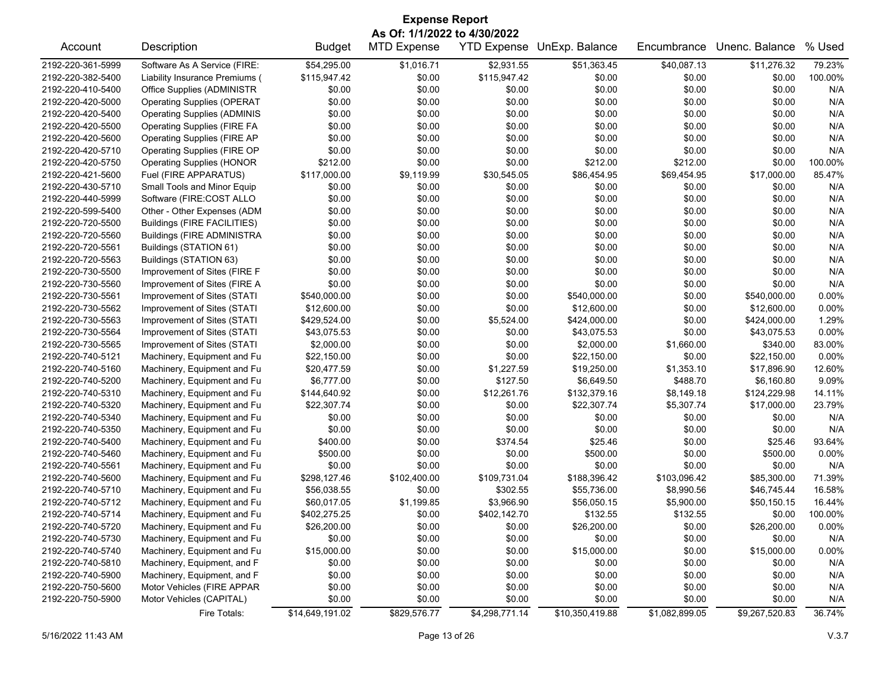| <b>Expense Report</b>        |                                    |                 |                    |                    |                 |                |                |          |  |
|------------------------------|------------------------------------|-----------------|--------------------|--------------------|-----------------|----------------|----------------|----------|--|
| As Of: 1/1/2022 to 4/30/2022 |                                    |                 |                    |                    |                 |                |                |          |  |
| Account                      | Description                        | <b>Budget</b>   | <b>MTD Expense</b> | <b>YTD Expense</b> | UnExp. Balance  | Encumbrance    | Unenc. Balance | % Used   |  |
| 2192-220-361-5999            | Software As A Service (FIRE:       | \$54,295.00     | \$1,016.71         | \$2,931.55         | \$51,363.45     | \$40,087.13    | \$11,276.32    | 79.23%   |  |
| 2192-220-382-5400            | Liability Insurance Premiums (     | \$115,947.42    | \$0.00             | \$115,947.42       | \$0.00          | \$0.00         | \$0.00         | 100.00%  |  |
| 2192-220-410-5400            | Office Supplies (ADMINISTR         | \$0.00          | \$0.00             | \$0.00             | \$0.00          | \$0.00         | \$0.00         | N/A      |  |
| 2192-220-420-5000            | <b>Operating Supplies (OPERAT</b>  | \$0.00          | \$0.00             | \$0.00             | \$0.00          | \$0.00         | \$0.00         | N/A      |  |
| 2192-220-420-5400            | <b>Operating Supplies (ADMINIS</b> | \$0.00          | \$0.00             | \$0.00             | \$0.00          | \$0.00         | \$0.00         | N/A      |  |
| 2192-220-420-5500            | <b>Operating Supplies (FIRE FA</b> | \$0.00          | \$0.00             | \$0.00             | \$0.00          | \$0.00         | \$0.00         | N/A      |  |
| 2192-220-420-5600            | <b>Operating Supplies (FIRE AP</b> | \$0.00          | \$0.00             | \$0.00             | \$0.00          | \$0.00         | \$0.00         | N/A      |  |
| 2192-220-420-5710            | Operating Supplies (FIRE OP        | \$0.00          | \$0.00             | \$0.00             | \$0.00          | \$0.00         | \$0.00         | N/A      |  |
| 2192-220-420-5750            | <b>Operating Supplies (HONOR</b>   | \$212.00        | \$0.00             | \$0.00             | \$212.00        | \$212.00       | \$0.00         | 100.00%  |  |
| 2192-220-421-5600            | Fuel (FIRE APPARATUS)              | \$117,000.00    | \$9,119.99         | \$30,545.05        | \$86,454.95     | \$69,454.95    | \$17,000.00    | 85.47%   |  |
| 2192-220-430-5710            | Small Tools and Minor Equip        | \$0.00          | \$0.00             | \$0.00             | \$0.00          | \$0.00         | \$0.00         | N/A      |  |
| 2192-220-440-5999            | Software (FIRE:COST ALLO           | \$0.00          | \$0.00             | \$0.00             | \$0.00          | \$0.00         | \$0.00         | N/A      |  |
| 2192-220-599-5400            | Other - Other Expenses (ADM        | \$0.00          | \$0.00             | \$0.00             | \$0.00          | \$0.00         | \$0.00         | N/A      |  |
| 2192-220-720-5500            | Buildings (FIRE FACILITIES)        | \$0.00          | \$0.00             | \$0.00             | \$0.00          | \$0.00         | \$0.00         | N/A      |  |
| 2192-220-720-5560            | <b>Buildings (FIRE ADMINISTRA</b>  | \$0.00          | \$0.00             | \$0.00             | \$0.00          | \$0.00         | \$0.00         | N/A      |  |
| 2192-220-720-5561            | Buildings (STATION 61)             | \$0.00          | \$0.00             | \$0.00             | \$0.00          | \$0.00         | \$0.00         | N/A      |  |
| 2192-220-720-5563            | Buildings (STATION 63)             | \$0.00          | \$0.00             | \$0.00             | \$0.00          | \$0.00         | \$0.00         | N/A      |  |
| 2192-220-730-5500            | Improvement of Sites (FIRE F       | \$0.00          | \$0.00             | \$0.00             | \$0.00          | \$0.00         | \$0.00         | N/A      |  |
| 2192-220-730-5560            | Improvement of Sites (FIRE A       | \$0.00          | \$0.00             | \$0.00             | \$0.00          | \$0.00         | \$0.00         | N/A      |  |
| 2192-220-730-5561            | Improvement of Sites (STATI        | \$540,000.00    | \$0.00             | \$0.00             | \$540,000.00    | \$0.00         | \$540,000.00   | 0.00%    |  |
| 2192-220-730-5562            | Improvement of Sites (STATI        | \$12,600.00     | \$0.00             | \$0.00             | \$12,600.00     | \$0.00         | \$12,600.00    | 0.00%    |  |
| 2192-220-730-5563            | Improvement of Sites (STATI        | \$429,524.00    | \$0.00             | \$5,524.00         | \$424,000.00    | \$0.00         | \$424,000.00   | 1.29%    |  |
| 2192-220-730-5564            | Improvement of Sites (STATI        | \$43,075.53     | \$0.00             | \$0.00             | \$43,075.53     | \$0.00         | \$43,075.53    | $0.00\%$ |  |
| 2192-220-730-5565            | Improvement of Sites (STATI        | \$2,000.00      | \$0.00             | \$0.00             | \$2,000.00      | \$1,660.00     | \$340.00       | 83.00%   |  |
| 2192-220-740-5121            | Machinery, Equipment and Fu        | \$22,150.00     | \$0.00             | \$0.00             | \$22,150.00     | \$0.00         | \$22,150.00    | 0.00%    |  |
| 2192-220-740-5160            | Machinery, Equipment and Fu        | \$20,477.59     | \$0.00             | \$1,227.59         | \$19,250.00     | \$1,353.10     | \$17,896.90    | 12.60%   |  |
|                              |                                    | \$6,777.00      | \$0.00             | \$127.50           | \$6,649.50      | \$488.70       | \$6,160.80     | 9.09%    |  |
| 2192-220-740-5200            | Machinery, Equipment and Fu        |                 |                    |                    |                 |                |                |          |  |
| 2192-220-740-5310            | Machinery, Equipment and Fu        | \$144,640.92    | \$0.00             | \$12,261.76        | \$132,379.16    | \$8,149.18     | \$124,229.98   | 14.11%   |  |
| 2192-220-740-5320            | Machinery, Equipment and Fu        | \$22,307.74     | \$0.00             | \$0.00             | \$22,307.74     | \$5,307.74     | \$17,000.00    | 23.79%   |  |
| 2192-220-740-5340            | Machinery, Equipment and Fu        | \$0.00          | \$0.00             | \$0.00             | \$0.00          | \$0.00         | \$0.00         | N/A      |  |
| 2192-220-740-5350            | Machinery, Equipment and Fu        | \$0.00          | \$0.00             | \$0.00             | \$0.00          | \$0.00         | \$0.00         | N/A      |  |
| 2192-220-740-5400            | Machinery, Equipment and Fu        | \$400.00        | \$0.00             | \$374.54           | \$25.46         | \$0.00         | \$25.46        | 93.64%   |  |
| 2192-220-740-5460            | Machinery, Equipment and Fu        | \$500.00        | \$0.00             | \$0.00             | \$500.00        | \$0.00         | \$500.00       | 0.00%    |  |
| 2192-220-740-5561            | Machinery, Equipment and Fu        | \$0.00          | \$0.00             | \$0.00             | \$0.00          | \$0.00         | \$0.00         | N/A      |  |
| 2192-220-740-5600            | Machinery, Equipment and Fu        | \$298,127.46    | \$102,400.00       | \$109,731.04       | \$188,396.42    | \$103,096.42   | \$85,300.00    | 71.39%   |  |
| 2192-220-740-5710            | Machinery, Equipment and Fu        | \$56,038.55     | \$0.00             | \$302.55           | \$55,736.00     | \$8,990.56     | \$46,745.44    | 16.58%   |  |
| 2192-220-740-5712            | Machinery, Equipment and Fu        | \$60,017.05     | \$1,199.85         | \$3,966.90         | \$56,050.15     | \$5,900.00     | \$50,150.15    | 16.44%   |  |
| 2192-220-740-5714            | Machinery, Equipment and Fu        | \$402,275.25    | \$0.00             | \$402,142.70       | \$132.55        | \$132.55       | \$0.00         | 100.00%  |  |
| 2192-220-740-5720            | Machinery, Equipment and Fu        | \$26,200.00     | \$0.00             | \$0.00             | \$26,200.00     | \$0.00         | \$26,200.00    | $0.00\%$ |  |
| 2192-220-740-5730            | Machinery, Equipment and Fu        | \$0.00          | \$0.00             | \$0.00             | \$0.00          | \$0.00         | \$0.00         | N/A      |  |
| 2192-220-740-5740            | Machinery, Equipment and Fu        | \$15,000.00     | \$0.00             | \$0.00             | \$15,000.00     | \$0.00         | \$15,000.00    | $0.00\%$ |  |
| 2192-220-740-5810            | Machinery, Equipment, and F        | \$0.00          | \$0.00             | \$0.00             | \$0.00          | \$0.00         | \$0.00         | N/A      |  |
| 2192-220-740-5900            | Machinery, Equipment, and F        | \$0.00          | \$0.00             | \$0.00             | \$0.00          | \$0.00         | \$0.00         | N/A      |  |
| 2192-220-750-5600            | Motor Vehicles (FIRE APPAR         | \$0.00          | \$0.00             | \$0.00             | \$0.00          | \$0.00         | \$0.00         | N/A      |  |
| 2192-220-750-5900            | Motor Vehicles (CAPITAL)           | \$0.00          | \$0.00             | \$0.00             | \$0.00          | \$0.00         | \$0.00         | N/A      |  |
|                              | Fire Totals:                       | \$14,649,191.02 | \$829,576.77       | \$4,298,771.14     | \$10,350,419.88 | \$1,082,899.05 | \$9,267,520.83 | 36.74%   |  |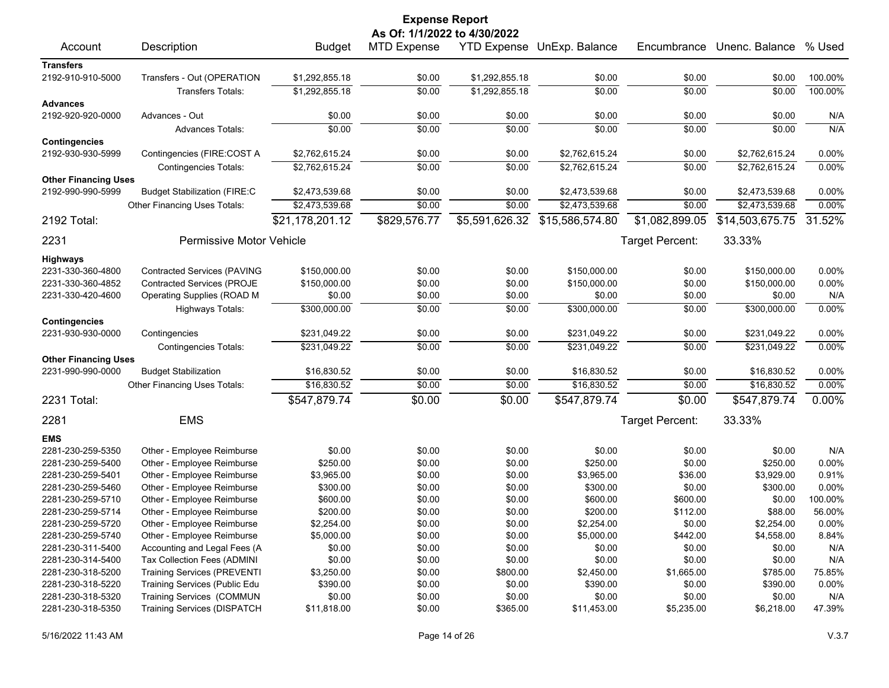| <b>Expense Report</b>       |                                     |                 |                              |                |                            |                 |                 |         |  |
|-----------------------------|-------------------------------------|-----------------|------------------------------|----------------|----------------------------|-----------------|-----------------|---------|--|
|                             |                                     |                 | As Of: 1/1/2022 to 4/30/2022 |                |                            |                 |                 |         |  |
| Account                     | Description                         | <b>Budget</b>   | <b>MTD Expense</b>           |                | YTD Expense UnExp. Balance | Encumbrance     | Unenc. Balance  | % Used  |  |
| <b>Transfers</b>            |                                     |                 |                              |                |                            |                 |                 |         |  |
| 2192-910-910-5000           | Transfers - Out (OPERATION          | \$1,292,855.18  | \$0.00                       | \$1,292,855.18 | \$0.00                     | \$0.00          | \$0.00          | 100.00% |  |
|                             | <b>Transfers Totals:</b>            | \$1,292,855.18  | \$0.00                       | \$1,292,855.18 | \$0.00                     | \$0.00          | \$0.00          | 100.00% |  |
| <b>Advances</b>             |                                     |                 |                              |                |                            |                 |                 |         |  |
| 2192-920-920-0000           | Advances - Out                      | \$0.00          | \$0.00                       | \$0.00         | \$0.00                     | \$0.00          | \$0.00          | N/A     |  |
|                             | <b>Advances Totals:</b>             | \$0.00          | \$0.00                       | \$0.00         | \$0.00                     | \$0.00          | \$0.00          | N/A     |  |
| <b>Contingencies</b>        |                                     |                 |                              |                |                            |                 |                 |         |  |
| 2192-930-930-5999           | Contingencies (FIRE:COST A          | \$2,762,615.24  | \$0.00                       | \$0.00         | \$2,762,615.24             | \$0.00          | \$2,762,615.24  | 0.00%   |  |
|                             | <b>Contingencies Totals:</b>        | \$2,762,615.24  | \$0.00                       | \$0.00         | \$2,762,615.24             | \$0.00          | \$2,762,615.24  | 0.00%   |  |
| <b>Other Financing Uses</b> |                                     |                 |                              |                |                            |                 |                 |         |  |
| 2192-990-990-5999           | <b>Budget Stabilization (FIRE:C</b> | \$2,473,539.68  | \$0.00                       | \$0.00         | \$2,473,539.68             | \$0.00          | \$2,473,539.68  | 0.00%   |  |
|                             | Other Financing Uses Totals:        | \$2,473,539.68  | \$0.00                       | \$0.00         | \$2,473,539.68             | \$0.00          | \$2,473,539.68  | 0.00%   |  |
| 2192 Total:                 |                                     | \$21,178,201.12 | \$829,576.77                 | \$5,591,626.32 | \$15,586,574.80            | \$1,082,899.05  | \$14,503,675.75 | 31.52%  |  |
| 2231                        | Permissive Motor Vehicle            |                 |                              |                |                            | Target Percent: | 33.33%          |         |  |
| Highways                    |                                     |                 |                              |                |                            |                 |                 |         |  |
| 2231-330-360-4800           | <b>Contracted Services (PAVING</b>  | \$150,000.00    | \$0.00                       | \$0.00         | \$150,000.00               | \$0.00          | \$150,000.00    | 0.00%   |  |
| 2231-330-360-4852           | <b>Contracted Services (PROJE</b>   | \$150,000.00    | \$0.00                       | \$0.00         | \$150,000.00               | \$0.00          | \$150,000.00    | 0.00%   |  |
| 2231-330-420-4600           | Operating Supplies (ROAD M          | \$0.00          | \$0.00                       | \$0.00         | \$0.00                     | \$0.00          | \$0.00          | N/A     |  |
|                             | <b>Highways Totals:</b>             | \$300,000.00    | \$0.00                       | \$0.00         | \$300,000.00               | \$0.00          | \$300,000.00    | 0.00%   |  |
| <b>Contingencies</b>        |                                     |                 |                              |                |                            |                 |                 |         |  |
| 2231-930-930-0000           | Contingencies                       | \$231,049.22    | \$0.00                       | \$0.00         | \$231,049.22               | \$0.00          | \$231,049.22    | 0.00%   |  |
|                             | <b>Contingencies Totals:</b>        | \$231,049.22    | \$0.00                       | \$0.00         | \$231,049.22               | \$0.00          | \$231,049.22    | 0.00%   |  |
| <b>Other Financing Uses</b> |                                     |                 |                              |                |                            |                 |                 |         |  |
| 2231-990-990-0000           | <b>Budget Stabilization</b>         | \$16,830.52     | \$0.00                       | \$0.00         | \$16,830.52                | \$0.00          | \$16,830.52     | 0.00%   |  |
|                             | Other Financing Uses Totals:        | \$16,830.52     | \$0.00                       | \$0.00         | \$16,830.52                | \$0.00          | \$16,830.52     | 0.00%   |  |
| 2231 Total:                 |                                     | \$547,879.74    | \$0.00                       | \$0.00         | \$547,879.74               | \$0.00          | \$547,879.74    | 0.00%   |  |
| 2281                        | <b>EMS</b>                          |                 |                              |                |                            | Target Percent: | 33.33%          |         |  |
| <b>EMS</b>                  |                                     |                 |                              |                |                            |                 |                 |         |  |
| 2281-230-259-5350           | Other - Employee Reimburse          | \$0.00          | \$0.00                       | \$0.00         | \$0.00                     | \$0.00          | \$0.00          | N/A     |  |
| 2281-230-259-5400           | Other - Employee Reimburse          | \$250.00        | \$0.00                       | \$0.00         | \$250.00                   | \$0.00          | \$250.00        | 0.00%   |  |
| 2281-230-259-5401           | Other - Employee Reimburse          | \$3,965.00      | \$0.00                       | \$0.00         | \$3,965.00                 | \$36.00         | \$3,929.00      | 0.91%   |  |
| 2281-230-259-5460           | Other - Employee Reimburse          | \$300.00        | \$0.00                       | \$0.00         | \$300.00                   | \$0.00          | \$300.00        | 0.00%   |  |
| 2281-230-259-5710           | Other - Employee Reimburse          | \$600.00        | \$0.00                       | \$0.00         | \$600.00                   | \$600.00        | \$0.00          | 100.00% |  |
| 2281-230-259-5714           | Other - Employee Reimburse          | \$200.00        | \$0.00                       | \$0.00         | \$200.00                   | \$112.00        | \$88.00         | 56.00%  |  |
| 2281-230-259-5720           | Other - Employee Reimburse          | \$2,254.00      | \$0.00                       | \$0.00         | \$2,254.00                 | \$0.00          | \$2,254.00      | 0.00%   |  |
| 2281-230-259-5740           | Other - Employee Reimburse          | \$5,000.00      | \$0.00                       | \$0.00         | \$5,000.00                 | \$442.00        | \$4,558.00      | 8.84%   |  |
| 2281-230-311-5400           | Accounting and Legal Fees (A        | \$0.00          | \$0.00                       | \$0.00         | \$0.00                     | \$0.00          | \$0.00          | N/A     |  |
| 2281-230-314-5400           | Tax Collection Fees (ADMINI         | \$0.00          | \$0.00                       | \$0.00         | \$0.00                     | \$0.00          | \$0.00          | N/A     |  |
| 2281-230-318-5200           | <b>Training Services (PREVENTI</b>  | \$3,250.00      | \$0.00                       | \$800.00       | \$2,450.00                 | \$1,665.00      | \$785.00        | 75.85%  |  |
| 2281-230-318-5220           | Training Services (Public Edu       | \$390.00        | \$0.00                       | \$0.00         | \$390.00                   | \$0.00          | \$390.00        | 0.00%   |  |
| 2281-230-318-5320           | <b>Training Services (COMMUN</b>    | \$0.00          | \$0.00                       | \$0.00         | \$0.00                     | \$0.00          | \$0.00          | N/A     |  |
| 2281-230-318-5350           | <b>Training Services (DISPATCH</b>  | \$11,818.00     | \$0.00                       | \$365.00       | \$11,453.00                | \$5,235.00      | \$6,218.00      | 47.39%  |  |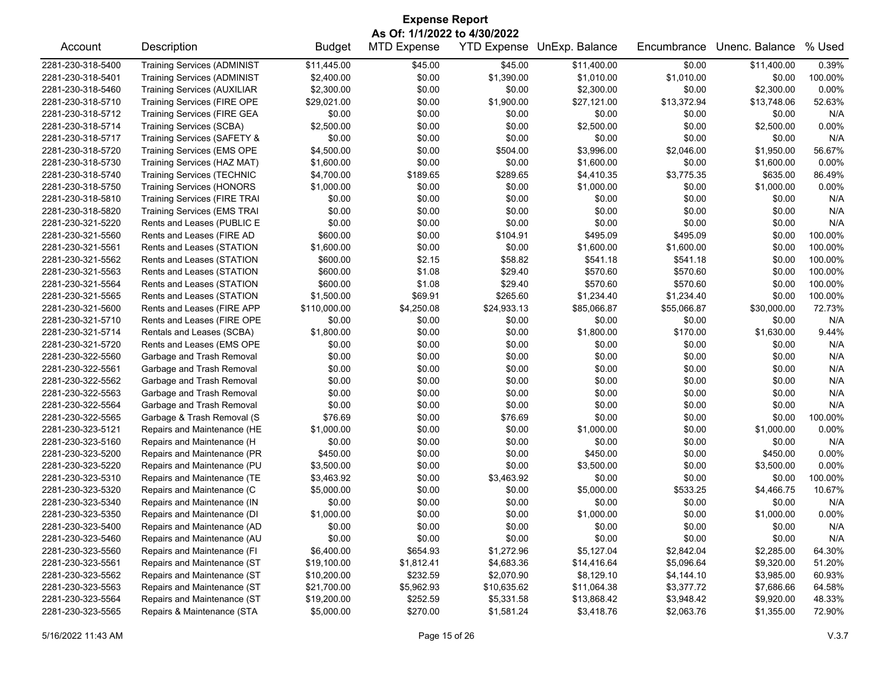| <b>Expense Report</b><br>As Of: 1/1/2022 to 4/30/2022 |                                     |               |                    |             |                            |             |                |          |  |
|-------------------------------------------------------|-------------------------------------|---------------|--------------------|-------------|----------------------------|-------------|----------------|----------|--|
| Account                                               | Description                         | <b>Budget</b> | <b>MTD Expense</b> |             | YTD Expense UnExp. Balance | Encumbrance | Unenc. Balance | % Used   |  |
| 2281-230-318-5400                                     | <b>Training Services (ADMINIST</b>  | \$11,445.00   | \$45.00            | \$45.00     | \$11,400.00                | \$0.00      | \$11,400.00    | 0.39%    |  |
| 2281-230-318-5401                                     | <b>Training Services (ADMINIST</b>  | \$2,400.00    | \$0.00             | \$1,390.00  | \$1,010.00                 | \$1,010.00  | \$0.00         | 100.00%  |  |
| 2281-230-318-5460                                     | <b>Training Services (AUXILIAR</b>  | \$2,300.00    | \$0.00             | \$0.00      | \$2,300.00                 | \$0.00      | \$2,300.00     | 0.00%    |  |
| 2281-230-318-5710                                     | Training Services (FIRE OPE         | \$29,021.00   | \$0.00             | \$1,900.00  | \$27,121.00                | \$13,372.94 | \$13,748.06    | 52.63%   |  |
| 2281-230-318-5712                                     | <b>Training Services (FIRE GEA</b>  | \$0.00        | \$0.00             | \$0.00      | \$0.00                     | \$0.00      | \$0.00         | N/A      |  |
| 2281-230-318-5714                                     | <b>Training Services (SCBA)</b>     | \$2,500.00    | \$0.00             | \$0.00      | \$2,500.00                 | \$0.00      | \$2,500.00     | 0.00%    |  |
| 2281-230-318-5717                                     | Training Services (SAFETY &         | \$0.00        | \$0.00             | \$0.00      | \$0.00                     | \$0.00      | \$0.00         | N/A      |  |
| 2281-230-318-5720                                     | <b>Training Services (EMS OPE</b>   | \$4,500.00    | \$0.00             | \$504.00    | \$3,996.00                 | \$2,046.00  | \$1,950.00     | 56.67%   |  |
| 2281-230-318-5730                                     | Training Services (HAZ MAT)         | \$1,600.00    | \$0.00             | \$0.00      | \$1,600.00                 | \$0.00      | \$1,600.00     | 0.00%    |  |
| 2281-230-318-5740                                     | <b>Training Services (TECHNIC</b>   | \$4,700.00    | \$189.65           | \$289.65    | \$4,410.35                 | \$3,775.35  | \$635.00       | 86.49%   |  |
| 2281-230-318-5750                                     | <b>Training Services (HONORS</b>    | \$1,000.00    | \$0.00             | \$0.00      | \$1,000.00                 | \$0.00      | \$1,000.00     | 0.00%    |  |
| 2281-230-318-5810                                     | <b>Training Services (FIRE TRAI</b> | \$0.00        | \$0.00             | \$0.00      | \$0.00                     | \$0.00      | \$0.00         | N/A      |  |
| 2281-230-318-5820                                     | <b>Training Services (EMS TRAI</b>  | \$0.00        | \$0.00             | \$0.00      | \$0.00                     | \$0.00      | \$0.00         | N/A      |  |
| 2281-230-321-5220                                     | Rents and Leases (PUBLIC E          | \$0.00        | \$0.00             | \$0.00      | \$0.00                     | \$0.00      | \$0.00         | N/A      |  |
| 2281-230-321-5560                                     | Rents and Leases (FIRE AD           | \$600.00      | \$0.00             | \$104.91    | \$495.09                   | \$495.09    | \$0.00         | 100.00%  |  |
| 2281-230-321-5561                                     | Rents and Leases (STATION           | \$1,600.00    | \$0.00             | \$0.00      | \$1,600.00                 | \$1,600.00  | \$0.00         | 100.00%  |  |
| 2281-230-321-5562                                     | Rents and Leases (STATION           | \$600.00      | \$2.15             | \$58.82     | \$541.18                   | \$541.18    | \$0.00         | 100.00%  |  |
| 2281-230-321-5563                                     | Rents and Leases (STATION           | \$600.00      | \$1.08             | \$29.40     | \$570.60                   | \$570.60    | \$0.00         | 100.00%  |  |
| 2281-230-321-5564                                     | Rents and Leases (STATION           | \$600.00      | \$1.08             | \$29.40     | \$570.60                   | \$570.60    | \$0.00         | 100.00%  |  |
| 2281-230-321-5565                                     | Rents and Leases (STATION           | \$1,500.00    | \$69.91            | \$265.60    | \$1,234.40                 | \$1,234.40  | \$0.00         | 100.00%  |  |
| 2281-230-321-5600                                     | Rents and Leases (FIRE APP          | \$110,000.00  | \$4,250.08         | \$24,933.13 | \$85,066.87                | \$55,066.87 | \$30,000.00    | 72.73%   |  |
| 2281-230-321-5710                                     | Rents and Leases (FIRE OPE          | \$0.00        | \$0.00             | \$0.00      | \$0.00                     | \$0.00      | \$0.00         | N/A      |  |
| 2281-230-321-5714                                     | Rentals and Leases (SCBA)           | \$1,800.00    | \$0.00             | \$0.00      | \$1,800.00                 | \$170.00    | \$1,630.00     | 9.44%    |  |
| 2281-230-321-5720                                     | Rents and Leases (EMS OPE           | \$0.00        | \$0.00             | \$0.00      | \$0.00                     | \$0.00      | \$0.00         | N/A      |  |
| 2281-230-322-5560                                     | Garbage and Trash Removal           | \$0.00        | \$0.00             | \$0.00      | \$0.00                     | \$0.00      | \$0.00         | N/A      |  |
| 2281-230-322-5561                                     | Garbage and Trash Removal           | \$0.00        | \$0.00             | \$0.00      | \$0.00                     | \$0.00      | \$0.00         | N/A      |  |
| 2281-230-322-5562                                     | Garbage and Trash Removal           | \$0.00        | \$0.00             | \$0.00      | \$0.00                     | \$0.00      | \$0.00         | N/A      |  |
| 2281-230-322-5563                                     | Garbage and Trash Removal           | \$0.00        | \$0.00             | \$0.00      | \$0.00                     | \$0.00      | \$0.00         | N/A      |  |
| 2281-230-322-5564                                     | Garbage and Trash Removal           | \$0.00        | \$0.00             | \$0.00      | \$0.00                     | \$0.00      | \$0.00         | N/A      |  |
| 2281-230-322-5565                                     | Garbage & Trash Removal (S          | \$76.69       | \$0.00             | \$76.69     | \$0.00                     | \$0.00      | \$0.00         | 100.00%  |  |
| 2281-230-323-5121                                     | Repairs and Maintenance (HE         | \$1,000.00    | \$0.00             | \$0.00      | \$1,000.00                 | \$0.00      | \$1,000.00     | 0.00%    |  |
| 2281-230-323-5160                                     | Repairs and Maintenance (H          | \$0.00        | \$0.00             | \$0.00      | \$0.00                     | \$0.00      | \$0.00         | N/A      |  |
| 2281-230-323-5200                                     | Repairs and Maintenance (PR         | \$450.00      | \$0.00             | \$0.00      | \$450.00                   | \$0.00      | \$450.00       | 0.00%    |  |
| 2281-230-323-5220                                     | Repairs and Maintenance (PU         | \$3,500.00    | \$0.00             | \$0.00      | \$3,500.00                 | \$0.00      | \$3,500.00     | 0.00%    |  |
| 2281-230-323-5310                                     | Repairs and Maintenance (TE         | \$3,463.92    | \$0.00             | \$3,463.92  | \$0.00                     | \$0.00      | \$0.00         | 100.00%  |  |
| 2281-230-323-5320                                     | Repairs and Maintenance (C          | \$5,000.00    | \$0.00             | \$0.00      | \$5,000.00                 | \$533.25    | \$4,466.75     | 10.67%   |  |
| 2281-230-323-5340                                     | Repairs and Maintenance (IN         | \$0.00        | \$0.00             | \$0.00      | \$0.00                     | \$0.00      | \$0.00         | N/A      |  |
| 2281-230-323-5350                                     | Repairs and Maintenance (DI         | \$1,000.00    | \$0.00             | \$0.00      | \$1,000.00                 | \$0.00      | \$1,000.00     | $0.00\%$ |  |
| 2281-230-323-5400                                     | Repairs and Maintenance (AD         | \$0.00        | \$0.00             | \$0.00      | \$0.00                     | \$0.00      | \$0.00         | N/A      |  |
| 2281-230-323-5460                                     | Repairs and Maintenance (AU         | \$0.00        | \$0.00             | \$0.00      | \$0.00                     | \$0.00      | \$0.00         | N/A      |  |
| 2281-230-323-5560                                     | Repairs and Maintenance (FI         | \$6,400.00    | \$654.93           | \$1,272.96  | \$5,127.04                 | \$2,842.04  | \$2,285.00     | 64.30%   |  |
| 2281-230-323-5561                                     | Repairs and Maintenance (ST         | \$19,100.00   | \$1,812.41         | \$4,683.36  | \$14,416.64                | \$5,096.64  | \$9,320.00     | 51.20%   |  |
| 2281-230-323-5562                                     | Repairs and Maintenance (ST         | \$10,200.00   | \$232.59           | \$2,070.90  | \$8,129.10                 | \$4,144.10  | \$3,985.00     | 60.93%   |  |
| 2281-230-323-5563                                     | Repairs and Maintenance (ST         | \$21,700.00   | \$5,962.93         | \$10,635.62 | \$11,064.38                | \$3,377.72  | \$7,686.66     | 64.58%   |  |
| 2281-230-323-5564                                     | Repairs and Maintenance (ST         | \$19,200.00   | \$252.59           | \$5,331.58  | \$13,868.42                | \$3,948.42  | \$9,920.00     | 48.33%   |  |
| 2281-230-323-5565                                     | Repairs & Maintenance (STA          | \$5,000.00    | \$270.00           | \$1,581.24  | \$3,418.76                 | \$2,063.76  | \$1,355.00     | 72.90%   |  |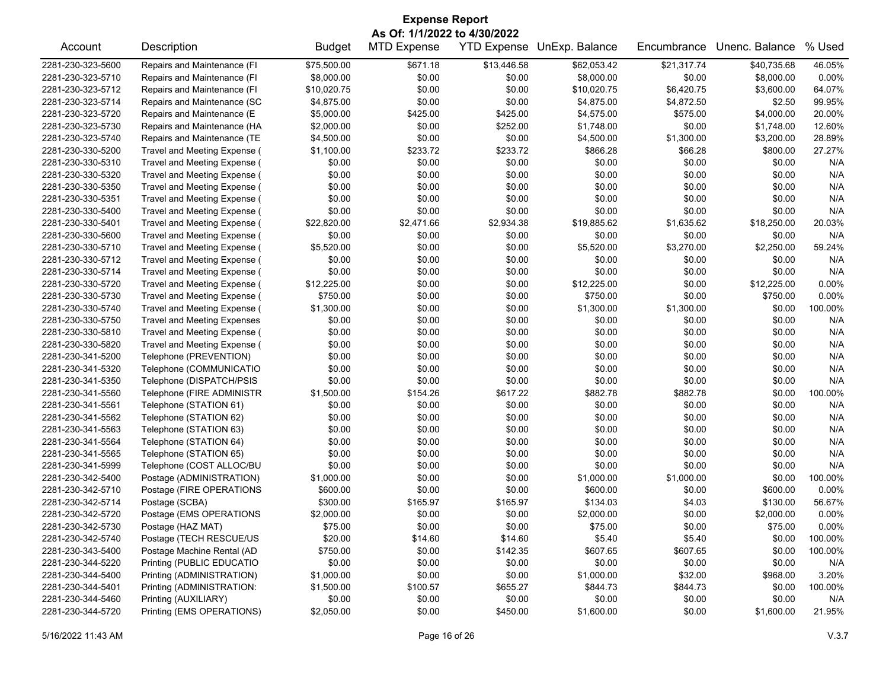| <b>Expense Report</b><br>As Of: 1/1/2022 to 4/30/2022 |                                    |               |                    |             |                                   |             |                |          |  |
|-------------------------------------------------------|------------------------------------|---------------|--------------------|-------------|-----------------------------------|-------------|----------------|----------|--|
| Account                                               | Description                        | <b>Budget</b> | <b>MTD Expense</b> |             | <b>YTD Expense</b> UnExp. Balance | Encumbrance | Unenc. Balance | % Used   |  |
| 2281-230-323-5600                                     | Repairs and Maintenance (FI        | \$75,500.00   | \$671.18           | \$13,446.58 | \$62,053.42                       | \$21,317.74 | \$40,735.68    | 46.05%   |  |
| 2281-230-323-5710                                     | Repairs and Maintenance (FI        | \$8,000.00    | \$0.00             | \$0.00      | \$8,000.00                        | \$0.00      | \$8,000.00     | 0.00%    |  |
| 2281-230-323-5712                                     | Repairs and Maintenance (FI        | \$10,020.75   | \$0.00             | \$0.00      | \$10,020.75                       | \$6,420.75  | \$3,600.00     | 64.07%   |  |
| 2281-230-323-5714                                     | Repairs and Maintenance (SC        | \$4,875.00    | \$0.00             | \$0.00      | \$4,875.00                        | \$4,872.50  | \$2.50         | 99.95%   |  |
| 2281-230-323-5720                                     | Repairs and Maintenance (E         | \$5,000.00    | \$425.00           | \$425.00    | \$4,575.00                        | \$575.00    | \$4,000.00     | 20.00%   |  |
| 2281-230-323-5730                                     | Repairs and Maintenance (HA        | \$2,000.00    | \$0.00             | \$252.00    | \$1,748.00                        | \$0.00      | \$1,748.00     | 12.60%   |  |
| 2281-230-323-5740                                     | Repairs and Maintenance (TE        | \$4,500.00    | \$0.00             | \$0.00      | \$4,500.00                        | \$1,300.00  | \$3,200.00     | 28.89%   |  |
| 2281-230-330-5200                                     | Travel and Meeting Expense (       | \$1,100.00    | \$233.72           | \$233.72    | \$866.28                          | \$66.28     | \$800.00       | 27.27%   |  |
| 2281-230-330-5310                                     | Travel and Meeting Expense (       | \$0.00        | \$0.00             | \$0.00      | \$0.00                            | \$0.00      | \$0.00         | N/A      |  |
| 2281-230-330-5320                                     | Travel and Meeting Expense (       | \$0.00        | \$0.00             | \$0.00      | \$0.00                            | \$0.00      | \$0.00         | N/A      |  |
| 2281-230-330-5350                                     | Travel and Meeting Expense (       | \$0.00        | \$0.00             | \$0.00      | \$0.00                            | \$0.00      | \$0.00         | N/A      |  |
| 2281-230-330-5351                                     | Travel and Meeting Expense (       | \$0.00        | \$0.00             | \$0.00      | \$0.00                            | \$0.00      | \$0.00         | N/A      |  |
| 2281-230-330-5400                                     | Travel and Meeting Expense (       | \$0.00        | \$0.00             | \$0.00      | \$0.00                            | \$0.00      | \$0.00         | N/A      |  |
| 2281-230-330-5401                                     | Travel and Meeting Expense (       | \$22,820.00   | \$2,471.66         | \$2,934.38  | \$19,885.62                       | \$1,635.62  | \$18,250.00    | 20.03%   |  |
| 2281-230-330-5600                                     | Travel and Meeting Expense (       | \$0.00        | \$0.00             | \$0.00      | \$0.00                            | \$0.00      | \$0.00         | N/A      |  |
| 2281-230-330-5710                                     | Travel and Meeting Expense (       | \$5,520.00    | \$0.00             | \$0.00      | \$5,520.00                        | \$3,270.00  | \$2,250.00     | 59.24%   |  |
| 2281-230-330-5712                                     | Travel and Meeting Expense (       | \$0.00        | \$0.00             | \$0.00      | \$0.00                            | \$0.00      | \$0.00         | N/A      |  |
| 2281-230-330-5714                                     | Travel and Meeting Expense (       | \$0.00        | \$0.00             | \$0.00      | \$0.00                            | \$0.00      | \$0.00         | N/A      |  |
| 2281-230-330-5720                                     | Travel and Meeting Expense (       | \$12,225.00   | \$0.00             | \$0.00      | \$12,225.00                       | \$0.00      | \$12,225.00    | 0.00%    |  |
| 2281-230-330-5730                                     | Travel and Meeting Expense (       | \$750.00      | \$0.00             | \$0.00      | \$750.00                          | \$0.00      | \$750.00       | 0.00%    |  |
| 2281-230-330-5740                                     | Travel and Meeting Expense (       | \$1,300.00    | \$0.00             | \$0.00      | \$1,300.00                        | \$1,300.00  | \$0.00         | 100.00%  |  |
| 2281-230-330-5750                                     | <b>Travel and Meeting Expenses</b> | \$0.00        | \$0.00             | \$0.00      | \$0.00                            | \$0.00      | \$0.00         | N/A      |  |
| 2281-230-330-5810                                     | Travel and Meeting Expense (       | \$0.00        | \$0.00             | \$0.00      | \$0.00                            | \$0.00      | \$0.00         | N/A      |  |
| 2281-230-330-5820                                     | Travel and Meeting Expense (       | \$0.00        | \$0.00             | \$0.00      | \$0.00                            | \$0.00      | \$0.00         | N/A      |  |
| 2281-230-341-5200                                     | Telephone (PREVENTION)             | \$0.00        | \$0.00             | \$0.00      | \$0.00                            | \$0.00      | \$0.00         | N/A      |  |
| 2281-230-341-5320                                     | Telephone (COMMUNICATIO            | \$0.00        | \$0.00             | \$0.00      | \$0.00                            | \$0.00      | \$0.00         | N/A      |  |
| 2281-230-341-5350                                     | Telephone (DISPATCH/PSIS           | \$0.00        | \$0.00             | \$0.00      | \$0.00                            | \$0.00      | \$0.00         | N/A      |  |
| 2281-230-341-5560                                     | Telephone (FIRE ADMINISTR          | \$1,500.00    | \$154.26           | \$617.22    | \$882.78                          | \$882.78    | \$0.00         | 100.00%  |  |
| 2281-230-341-5561                                     | Telephone (STATION 61)             | \$0.00        | \$0.00             | \$0.00      | \$0.00                            | \$0.00      | \$0.00         | N/A      |  |
| 2281-230-341-5562                                     | Telephone (STATION 62)             | \$0.00        | \$0.00             | \$0.00      | \$0.00                            | \$0.00      | \$0.00         | N/A      |  |
| 2281-230-341-5563                                     | Telephone (STATION 63)             | \$0.00        | \$0.00             | \$0.00      | \$0.00                            | \$0.00      | \$0.00         | N/A      |  |
| 2281-230-341-5564                                     | Telephone (STATION 64)             | \$0.00        | \$0.00             | \$0.00      | \$0.00                            | \$0.00      | \$0.00         | N/A      |  |
| 2281-230-341-5565                                     | Telephone (STATION 65)             | \$0.00        | \$0.00             | \$0.00      | \$0.00                            | \$0.00      | \$0.00         | N/A      |  |
| 2281-230-341-5999                                     | Telephone (COST ALLOC/BU           | \$0.00        | \$0.00             | \$0.00      | \$0.00                            | \$0.00      | \$0.00         | N/A      |  |
| 2281-230-342-5400                                     | Postage (ADMINISTRATION)           | \$1,000.00    | \$0.00             | \$0.00      | \$1,000.00                        | \$1,000.00  | \$0.00         | 100.00%  |  |
| 2281-230-342-5710                                     | Postage (FIRE OPERATIONS           | \$600.00      | \$0.00             | \$0.00      | \$600.00                          | \$0.00      | \$600.00       | 0.00%    |  |
| 2281-230-342-5714                                     | Postage (SCBA)                     | \$300.00      | \$165.97           | \$165.97    | \$134.03                          | \$4.03      | \$130.00       | 56.67%   |  |
| 2281-230-342-5720                                     | Postage (EMS OPERATIONS            | \$2,000.00    | \$0.00             | \$0.00      | \$2,000.00                        | \$0.00      | \$2,000.00     | $0.00\%$ |  |
| 2281-230-342-5730                                     | Postage (HAZ MAT)                  | \$75.00       | \$0.00             | \$0.00      | \$75.00                           | \$0.00      | \$75.00        | 0.00%    |  |
| 2281-230-342-5740                                     | Postage (TECH RESCUE/US            | \$20.00       | \$14.60            | \$14.60     | \$5.40                            | \$5.40      | \$0.00         | 100.00%  |  |
| 2281-230-343-5400                                     | Postage Machine Rental (AD         | \$750.00      | \$0.00             | \$142.35    | \$607.65                          | \$607.65    | \$0.00         | 100.00%  |  |
| 2281-230-344-5220                                     | Printing (PUBLIC EDUCATIO          | \$0.00        | \$0.00             | \$0.00      | \$0.00                            | \$0.00      | \$0.00         | N/A      |  |
| 2281-230-344-5400                                     | Printing (ADMINISTRATION)          | \$1,000.00    | \$0.00             | \$0.00      | \$1,000.00                        | \$32.00     | \$968.00       | 3.20%    |  |
| 2281-230-344-5401                                     | Printing (ADMINISTRATION:          | \$1,500.00    | \$100.57           | \$655.27    | \$844.73                          | \$844.73    | \$0.00         | 100.00%  |  |
| 2281-230-344-5460                                     | Printing (AUXILIARY)               | \$0.00        | \$0.00             | \$0.00      | \$0.00                            | \$0.00      | \$0.00         | N/A      |  |
| 2281-230-344-5720                                     | Printing (EMS OPERATIONS)          | \$2,050.00    | \$0.00             | \$450.00    | \$1,600.00                        | \$0.00      | \$1,600.00     | 21.95%   |  |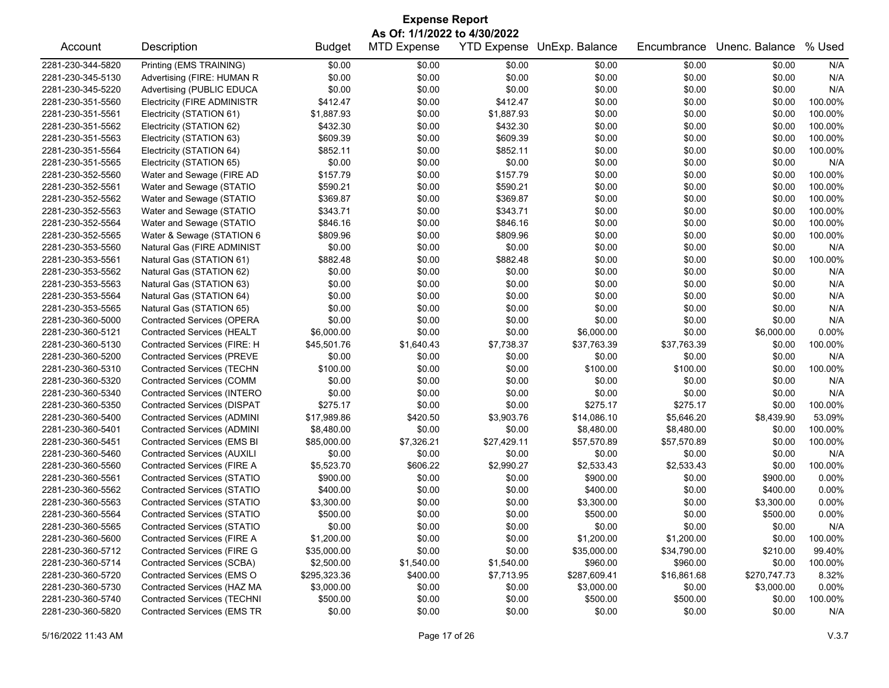| <b>Expense Report</b>        |                                    |               |                    |             |                            |             |                |         |  |
|------------------------------|------------------------------------|---------------|--------------------|-------------|----------------------------|-------------|----------------|---------|--|
| As Of: 1/1/2022 to 4/30/2022 |                                    |               |                    |             |                            |             |                |         |  |
| Account                      | Description                        | <b>Budget</b> | <b>MTD Expense</b> |             | YTD Expense UnExp. Balance | Encumbrance | Unenc. Balance | % Used  |  |
| 2281-230-344-5820            | Printing (EMS TRAINING)            | \$0.00        | \$0.00             | \$0.00      | \$0.00                     | \$0.00      | \$0.00         | N/A     |  |
| 2281-230-345-5130            | Advertising (FIRE: HUMAN R         | \$0.00        | \$0.00             | \$0.00      | \$0.00                     | \$0.00      | \$0.00         | N/A     |  |
| 2281-230-345-5220            | Advertising (PUBLIC EDUCA          | \$0.00        | \$0.00             | \$0.00      | \$0.00                     | \$0.00      | \$0.00         | N/A     |  |
| 2281-230-351-5560            | <b>Electricity (FIRE ADMINISTR</b> | \$412.47      | \$0.00             | \$412.47    | \$0.00                     | \$0.00      | \$0.00         | 100.00% |  |
| 2281-230-351-5561            | Electricity (STATION 61)           | \$1,887.93    | \$0.00             | \$1,887.93  | \$0.00                     | \$0.00      | \$0.00         | 100.00% |  |
| 2281-230-351-5562            | Electricity (STATION 62)           | \$432.30      | \$0.00             | \$432.30    | \$0.00                     | \$0.00      | \$0.00         | 100.00% |  |
| 2281-230-351-5563            | Electricity (STATION 63)           | \$609.39      | \$0.00             | \$609.39    | \$0.00                     | \$0.00      | \$0.00         | 100.00% |  |
| 2281-230-351-5564            | Electricity (STATION 64)           | \$852.11      | \$0.00             | \$852.11    | \$0.00                     | \$0.00      | \$0.00         | 100.00% |  |
| 2281-230-351-5565            | Electricity (STATION 65)           | \$0.00        | \$0.00             | \$0.00      | \$0.00                     | \$0.00      | \$0.00         | N/A     |  |
| 2281-230-352-5560            | Water and Sewage (FIRE AD          | \$157.79      | \$0.00             | \$157.79    | \$0.00                     | \$0.00      | \$0.00         | 100.00% |  |
| 2281-230-352-5561            | Water and Sewage (STATIO           | \$590.21      | \$0.00             | \$590.21    | \$0.00                     | \$0.00      | \$0.00         | 100.00% |  |
| 2281-230-352-5562            | Water and Sewage (STATIO           | \$369.87      | \$0.00             | \$369.87    | \$0.00                     | \$0.00      | \$0.00         | 100.00% |  |
| 2281-230-352-5563            | Water and Sewage (STATIO           | \$343.71      | \$0.00             | \$343.71    | \$0.00                     | \$0.00      | \$0.00         | 100.00% |  |
| 2281-230-352-5564            | Water and Sewage (STATIO           | \$846.16      | \$0.00             | \$846.16    | \$0.00                     | \$0.00      | \$0.00         | 100.00% |  |
| 2281-230-352-5565            | Water & Sewage (STATION 6          | \$809.96      | \$0.00             | \$809.96    | \$0.00                     | \$0.00      | \$0.00         | 100.00% |  |
| 2281-230-353-5560            | Natural Gas (FIRE ADMINIST         | \$0.00        | \$0.00             | \$0.00      | \$0.00                     | \$0.00      | \$0.00         | N/A     |  |
| 2281-230-353-5561            | Natural Gas (STATION 61)           | \$882.48      | \$0.00             | \$882.48    | \$0.00                     | \$0.00      | \$0.00         | 100.00% |  |
| 2281-230-353-5562            | Natural Gas (STATION 62)           | \$0.00        | \$0.00             | \$0.00      | \$0.00                     | \$0.00      | \$0.00         | N/A     |  |
| 2281-230-353-5563            | Natural Gas (STATION 63)           | \$0.00        | \$0.00             | \$0.00      | \$0.00                     | \$0.00      | \$0.00         | N/A     |  |
| 2281-230-353-5564            | Natural Gas (STATION 64)           | \$0.00        | \$0.00             | \$0.00      | \$0.00                     | \$0.00      | \$0.00         | N/A     |  |
| 2281-230-353-5565            | Natural Gas (STATION 65)           | \$0.00        | \$0.00             | \$0.00      | \$0.00                     | \$0.00      | \$0.00         | N/A     |  |
| 2281-230-360-5000            | <b>Contracted Services (OPERA</b>  | \$0.00        | \$0.00             | \$0.00      | \$0.00                     | \$0.00      | \$0.00         | N/A     |  |
| 2281-230-360-5121            | Contracted Services (HEALT         | \$6,000.00    | \$0.00             | \$0.00      | \$6,000.00                 | \$0.00      | \$6,000.00     | 0.00%   |  |
| 2281-230-360-5130            | Contracted Services (FIRE: H       | \$45,501.76   | \$1,640.43         | \$7,738.37  | \$37,763.39                | \$37,763.39 | \$0.00         | 100.00% |  |
| 2281-230-360-5200            | <b>Contracted Services (PREVE</b>  | \$0.00        | \$0.00             | \$0.00      | \$0.00                     | \$0.00      | \$0.00         | N/A     |  |
| 2281-230-360-5310            | <b>Contracted Services (TECHN</b>  | \$100.00      | \$0.00             | \$0.00      | \$100.00                   | \$100.00    | \$0.00         | 100.00% |  |
| 2281-230-360-5320            | <b>Contracted Services (COMM</b>   | \$0.00        | \$0.00             | \$0.00      | \$0.00                     | \$0.00      | \$0.00         | N/A     |  |
| 2281-230-360-5340            | Contracted Services (INTERO        | \$0.00        | \$0.00             | \$0.00      | \$0.00                     | \$0.00      | \$0.00         | N/A     |  |
| 2281-230-360-5350            | <b>Contracted Services (DISPAT</b> | \$275.17      | \$0.00             | \$0.00      | \$275.17                   | \$275.17    | \$0.00         | 100.00% |  |
| 2281-230-360-5400            | <b>Contracted Services (ADMINI</b> | \$17,989.86   | \$420.50           | \$3,903.76  | \$14,086.10                | \$5,646.20  | \$8,439.90     | 53.09%  |  |
| 2281-230-360-5401            | <b>Contracted Services (ADMINI</b> | \$8,480.00    | \$0.00             | \$0.00      | \$8,480.00                 | \$8,480.00  | \$0.00         | 100.00% |  |
| 2281-230-360-5451            | <b>Contracted Services (EMS BI</b> | \$85,000.00   | \$7,326.21         | \$27,429.11 | \$57,570.89                | \$57,570.89 | \$0.00         | 100.00% |  |
| 2281-230-360-5460            | <b>Contracted Services (AUXILI</b> | \$0.00        | \$0.00             | \$0.00      | \$0.00                     | \$0.00      | \$0.00         | N/A     |  |
| 2281-230-360-5560            | Contracted Services (FIRE A        | \$5,523.70    | \$606.22           | \$2,990.27  | \$2,533.43                 | \$2,533.43  | \$0.00         | 100.00% |  |
| 2281-230-360-5561            | <b>Contracted Services (STATIO</b> | \$900.00      | \$0.00             | \$0.00      | \$900.00                   | \$0.00      | \$900.00       | 0.00%   |  |
| 2281-230-360-5562            | <b>Contracted Services (STATIO</b> | \$400.00      | \$0.00             | \$0.00      | \$400.00                   | \$0.00      | \$400.00       | 0.00%   |  |
| 2281-230-360-5563            | Contracted Services (STATIO        | \$3,300.00    | \$0.00             | \$0.00      | \$3,300.00                 | \$0.00      | \$3,300.00     | 0.00%   |  |
| 2281-230-360-5564            | <b>Contracted Services (STATIO</b> | \$500.00      | \$0.00             | \$0.00      | \$500.00                   | \$0.00      | \$500.00       | 0.00%   |  |
| 2281-230-360-5565            | <b>Contracted Services (STATIO</b> | \$0.00        | \$0.00             | \$0.00      | \$0.00                     | \$0.00      | \$0.00         | N/A     |  |
| 2281-230-360-5600            | <b>Contracted Services (FIRE A</b> | \$1,200.00    | \$0.00             | \$0.00      | \$1,200.00                 | \$1,200.00  | \$0.00         | 100.00% |  |
| 2281-230-360-5712            | <b>Contracted Services (FIRE G</b> | \$35,000.00   | \$0.00             | \$0.00      | \$35,000.00                | \$34,790.00 | \$210.00       | 99.40%  |  |
| 2281-230-360-5714            | Contracted Services (SCBA)         | \$2,500.00    | \$1,540.00         | \$1,540.00  | \$960.00                   | \$960.00    | \$0.00         | 100.00% |  |
| 2281-230-360-5720            | Contracted Services (EMS O         | \$295,323.36  | \$400.00           | \$7,713.95  | \$287,609.41               | \$16,861.68 | \$270,747.73   | 8.32%   |  |
| 2281-230-360-5730            | Contracted Services (HAZ MA        | \$3,000.00    | \$0.00             | \$0.00      | \$3,000.00                 | \$0.00      | \$3,000.00     | 0.00%   |  |
| 2281-230-360-5740            | <b>Contracted Services (TECHNI</b> | \$500.00      | \$0.00             | \$0.00      | \$500.00                   | \$500.00    | \$0.00         | 100.00% |  |
| 2281-230-360-5820            | <b>Contracted Services (EMS TR</b> | \$0.00        | \$0.00             | \$0.00      | \$0.00                     | \$0.00      | \$0.00         | N/A     |  |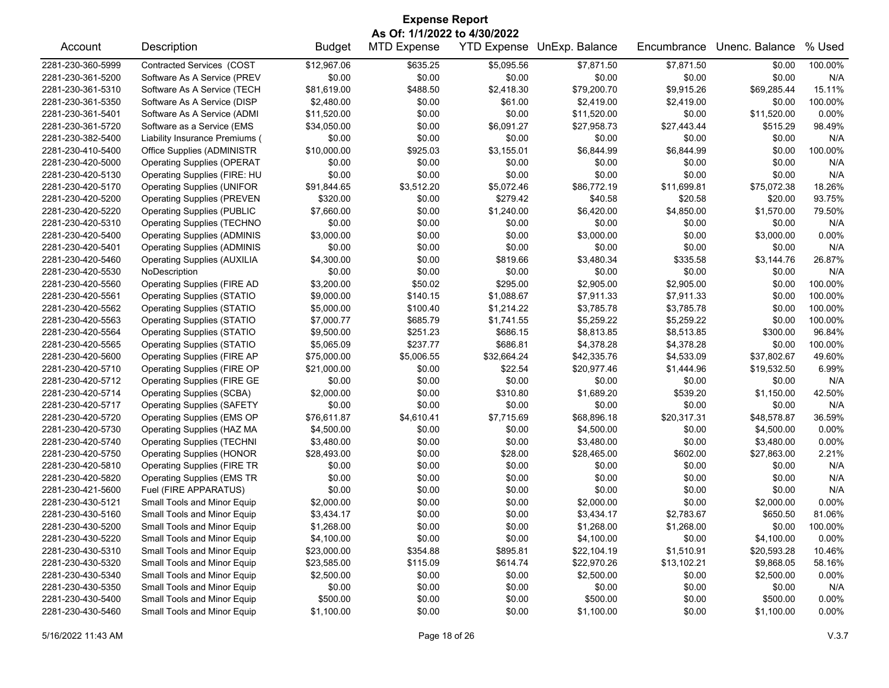| <b>Expense Report</b> |                                    |               |                    |                    |                |             |                |          |  |  |
|-----------------------|------------------------------------|---------------|--------------------|--------------------|----------------|-------------|----------------|----------|--|--|
|                       | As Of: 1/1/2022 to 4/30/2022       |               |                    |                    |                |             |                |          |  |  |
| Account               | Description                        | <b>Budget</b> | <b>MTD Expense</b> | <b>YTD Expense</b> | UnExp. Balance | Encumbrance | Unenc. Balance | % Used   |  |  |
| 2281-230-360-5999     | Contracted Services (COST          | \$12,967.06   | \$635.25           | \$5,095.56         | \$7,871.50     | \$7,871.50  | \$0.00         | 100.00%  |  |  |
| 2281-230-361-5200     | Software As A Service (PREV        | \$0.00        | \$0.00             | \$0.00             | \$0.00         | \$0.00      | \$0.00         | N/A      |  |  |
| 2281-230-361-5310     | Software As A Service (TECH        | \$81,619.00   | \$488.50           | \$2,418.30         | \$79,200.70    | \$9,915.26  | \$69,285.44    | 15.11%   |  |  |
| 2281-230-361-5350     | Software As A Service (DISP        | \$2,480.00    | \$0.00             | \$61.00            | \$2,419.00     | \$2,419.00  | \$0.00         | 100.00%  |  |  |
| 2281-230-361-5401     | Software As A Service (ADMI        | \$11,520.00   | \$0.00             | \$0.00             | \$11,520.00    | \$0.00      | \$11,520.00    | 0.00%    |  |  |
| 2281-230-361-5720     | Software as a Service (EMS         | \$34,050.00   | \$0.00             | \$6,091.27         | \$27,958.73    | \$27,443.44 | \$515.29       | 98.49%   |  |  |
| 2281-230-382-5400     | Liability Insurance Premiums (     | \$0.00        | \$0.00             | \$0.00             | \$0.00         | \$0.00      | \$0.00         | N/A      |  |  |
| 2281-230-410-5400     | Office Supplies (ADMINISTR         | \$10,000.00   | \$925.03           | \$3,155.01         | \$6,844.99     | \$6,844.99  | \$0.00         | 100.00%  |  |  |
| 2281-230-420-5000     | <b>Operating Supplies (OPERAT</b>  | \$0.00        | \$0.00             | \$0.00             | \$0.00         | \$0.00      | \$0.00         | N/A      |  |  |
| 2281-230-420-5130     | Operating Supplies (FIRE: HU       | \$0.00        | \$0.00             | \$0.00             | \$0.00         | \$0.00      | \$0.00         | N/A      |  |  |
| 2281-230-420-5170     | <b>Operating Supplies (UNIFOR</b>  | \$91,844.65   | \$3,512.20         | \$5,072.46         | \$86,772.19    | \$11,699.81 | \$75,072.38    | 18.26%   |  |  |
| 2281-230-420-5200     | <b>Operating Supplies (PREVEN</b>  | \$320.00      | \$0.00             | \$279.42           | \$40.58        | \$20.58     | \$20.00        | 93.75%   |  |  |
| 2281-230-420-5220     | <b>Operating Supplies (PUBLIC</b>  | \$7,660.00    | \$0.00             | \$1,240.00         | \$6,420.00     | \$4,850.00  | \$1,570.00     | 79.50%   |  |  |
| 2281-230-420-5310     | <b>Operating Supplies (TECHNO</b>  | \$0.00        | \$0.00             | \$0.00             | \$0.00         | \$0.00      | \$0.00         | N/A      |  |  |
| 2281-230-420-5400     | <b>Operating Supplies (ADMINIS</b> | \$3,000.00    | \$0.00             | \$0.00             | \$3,000.00     | \$0.00      | \$3,000.00     | 0.00%    |  |  |
| 2281-230-420-5401     | <b>Operating Supplies (ADMINIS</b> | \$0.00        | \$0.00             | \$0.00             | \$0.00         | \$0.00      | \$0.00         | N/A      |  |  |
| 2281-230-420-5460     | <b>Operating Supplies (AUXILIA</b> | \$4,300.00    | \$0.00             | \$819.66           | \$3,480.34     | \$335.58    | \$3,144.76     | 26.87%   |  |  |
| 2281-230-420-5530     | NoDescription                      | \$0.00        | \$0.00             | \$0.00             | \$0.00         | \$0.00      | \$0.00         | N/A      |  |  |
| 2281-230-420-5560     | <b>Operating Supplies (FIRE AD</b> | \$3,200.00    | \$50.02            | \$295.00           | \$2,905.00     | \$2,905.00  | \$0.00         | 100.00%  |  |  |
| 2281-230-420-5561     | <b>Operating Supplies (STATIO</b>  | \$9,000.00    | \$140.15           | \$1,088.67         | \$7,911.33     | \$7,911.33  | \$0.00         | 100.00%  |  |  |
| 2281-230-420-5562     | <b>Operating Supplies (STATIO</b>  | \$5,000.00    | \$100.40           | \$1,214.22         | \$3,785.78     | \$3,785.78  | \$0.00         | 100.00%  |  |  |
| 2281-230-420-5563     | <b>Operating Supplies (STATIO</b>  | \$7,000.77    | \$685.79           | \$1,741.55         | \$5,259.22     | \$5,259.22  | \$0.00         | 100.00%  |  |  |
| 2281-230-420-5564     | <b>Operating Supplies (STATIO</b>  | \$9,500.00    | \$251.23           | \$686.15           | \$8,813.85     | \$8,513.85  | \$300.00       | 96.84%   |  |  |
| 2281-230-420-5565     | <b>Operating Supplies (STATIO</b>  | \$5,065.09    | \$237.77           | \$686.81           | \$4,378.28     | \$4,378.28  | \$0.00         | 100.00%  |  |  |
| 2281-230-420-5600     | <b>Operating Supplies (FIRE AP</b> | \$75,000.00   | \$5,006.55         | \$32,664.24        | \$42,335.76    | \$4,533.09  | \$37,802.67    | 49.60%   |  |  |
| 2281-230-420-5710     | Operating Supplies (FIRE OP        | \$21,000.00   | \$0.00             | \$22.54            | \$20,977.46    | \$1,444.96  | \$19,532.50    | 6.99%    |  |  |
| 2281-230-420-5712     | <b>Operating Supplies (FIRE GE</b> | \$0.00        | \$0.00             | \$0.00             | \$0.00         | \$0.00      | \$0.00         | N/A      |  |  |
| 2281-230-420-5714     | <b>Operating Supplies (SCBA)</b>   | \$2,000.00    | \$0.00             | \$310.80           | \$1,689.20     | \$539.20    | \$1,150.00     | 42.50%   |  |  |
| 2281-230-420-5717     | <b>Operating Supplies (SAFETY</b>  | \$0.00        | \$0.00             | \$0.00             | \$0.00         | \$0.00      | \$0.00         | N/A      |  |  |
| 2281-230-420-5720     | Operating Supplies (EMS OP         | \$76,611.87   | \$4,610.41         | \$7,715.69         | \$68,896.18    | \$20,317.31 | \$48,578.87    | 36.59%   |  |  |
| 2281-230-420-5730     | Operating Supplies (HAZ MA         | \$4,500.00    | \$0.00             | \$0.00             | \$4,500.00     | \$0.00      | \$4,500.00     | 0.00%    |  |  |
| 2281-230-420-5740     | <b>Operating Supplies (TECHNI</b>  | \$3,480.00    | \$0.00             | \$0.00             | \$3,480.00     | \$0.00      | \$3,480.00     | 0.00%    |  |  |
| 2281-230-420-5750     | <b>Operating Supplies (HONOR</b>   | \$28,493.00   | \$0.00             | \$28.00            | \$28,465.00    | \$602.00    | \$27,863.00    | 2.21%    |  |  |
| 2281-230-420-5810     | <b>Operating Supplies (FIRE TR</b> | \$0.00        | \$0.00             | \$0.00             | \$0.00         | \$0.00      | \$0.00         | N/A      |  |  |
| 2281-230-420-5820     | <b>Operating Supplies (EMS TR</b>  | \$0.00        | \$0.00             | \$0.00             | \$0.00         | \$0.00      | \$0.00         | N/A      |  |  |
| 2281-230-421-5600     | Fuel (FIRE APPARATUS)              | \$0.00        | \$0.00             | \$0.00             | \$0.00         | \$0.00      | \$0.00         | N/A      |  |  |
| 2281-230-430-5121     | Small Tools and Minor Equip        | \$2,000.00    | \$0.00             | \$0.00             | \$2,000.00     | \$0.00      | \$2,000.00     | 0.00%    |  |  |
| 2281-230-430-5160     | Small Tools and Minor Equip        | \$3,434.17    | \$0.00             | \$0.00             | \$3,434.17     | \$2,783.67  | \$650.50       | 81.06%   |  |  |
| 2281-230-430-5200     | Small Tools and Minor Equip        | \$1,268.00    | \$0.00             | \$0.00             | \$1,268.00     | \$1,268.00  | \$0.00         | 100.00%  |  |  |
| 2281-230-430-5220     | Small Tools and Minor Equip        | \$4,100.00    | \$0.00             | \$0.00             | \$4,100.00     | \$0.00      | \$4,100.00     | 0.00%    |  |  |
| 2281-230-430-5310     | Small Tools and Minor Equip        | \$23,000.00   | \$354.88           | \$895.81           | \$22,104.19    | \$1,510.91  | \$20,593.28    | 10.46%   |  |  |
| 2281-230-430-5320     | Small Tools and Minor Equip        | \$23,585.00   | \$115.09           | \$614.74           | \$22,970.26    | \$13,102.21 | \$9,868.05     | 58.16%   |  |  |
| 2281-230-430-5340     | Small Tools and Minor Equip        | \$2,500.00    | \$0.00             | \$0.00             | \$2,500.00     | \$0.00      | \$2,500.00     | 0.00%    |  |  |
| 2281-230-430-5350     | Small Tools and Minor Equip        | \$0.00        | \$0.00             | \$0.00             | \$0.00         | \$0.00      | \$0.00         | N/A      |  |  |
| 2281-230-430-5400     | Small Tools and Minor Equip        | \$500.00      | \$0.00             | \$0.00             | \$500.00       | \$0.00      | \$500.00       | 0.00%    |  |  |
| 2281-230-430-5460     | Small Tools and Minor Equip        | \$1,100.00    | \$0.00             | \$0.00             | \$1,100.00     | \$0.00      | \$1,100.00     | $0.00\%$ |  |  |
|                       |                                    |               |                    |                    |                |             |                |          |  |  |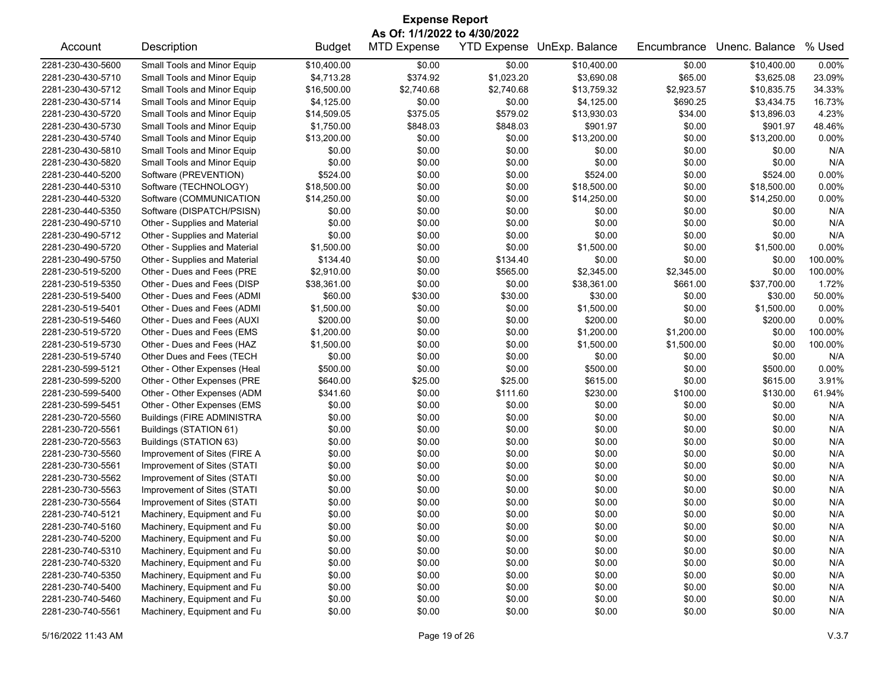| <b>Expense Report</b> |                                   |               |                              |            |                            |             |                |         |  |  |
|-----------------------|-----------------------------------|---------------|------------------------------|------------|----------------------------|-------------|----------------|---------|--|--|
|                       |                                   |               | As Of: 1/1/2022 to 4/30/2022 |            |                            |             |                |         |  |  |
| Account               | Description                       | <b>Budget</b> | <b>MTD Expense</b>           |            | YTD Expense UnExp. Balance | Encumbrance | Unenc. Balance | % Used  |  |  |
| 2281-230-430-5600     | Small Tools and Minor Equip       | \$10,400.00   | \$0.00                       | \$0.00     | \$10,400.00                | \$0.00      | \$10,400.00    | 0.00%   |  |  |
| 2281-230-430-5710     | Small Tools and Minor Equip       | \$4,713.28    | \$374.92                     | \$1,023.20 | \$3,690.08                 | \$65.00     | \$3,625.08     | 23.09%  |  |  |
| 2281-230-430-5712     | Small Tools and Minor Equip       | \$16,500.00   | \$2,740.68                   | \$2,740.68 | \$13,759.32                | \$2,923.57  | \$10,835.75    | 34.33%  |  |  |
| 2281-230-430-5714     | Small Tools and Minor Equip       | \$4,125.00    | \$0.00                       | \$0.00     | \$4,125.00                 | \$690.25    | \$3,434.75     | 16.73%  |  |  |
| 2281-230-430-5720     | Small Tools and Minor Equip       | \$14,509.05   | \$375.05                     | \$579.02   | \$13,930.03                | \$34.00     | \$13,896.03    | 4.23%   |  |  |
| 2281-230-430-5730     | Small Tools and Minor Equip       | \$1,750.00    | \$848.03                     | \$848.03   | \$901.97                   | \$0.00      | \$901.97       | 48.46%  |  |  |
| 2281-230-430-5740     | Small Tools and Minor Equip       | \$13,200.00   | \$0.00                       | \$0.00     | \$13,200.00                | \$0.00      | \$13,200.00    | 0.00%   |  |  |
| 2281-230-430-5810     | Small Tools and Minor Equip       | \$0.00        | \$0.00                       | \$0.00     | \$0.00                     | \$0.00      | \$0.00         | N/A     |  |  |
| 2281-230-430-5820     | Small Tools and Minor Equip       | \$0.00        | \$0.00                       | \$0.00     | \$0.00                     | \$0.00      | \$0.00         | N/A     |  |  |
| 2281-230-440-5200     | Software (PREVENTION)             | \$524.00      | \$0.00                       | \$0.00     | \$524.00                   | \$0.00      | \$524.00       | 0.00%   |  |  |
| 2281-230-440-5310     | Software (TECHNOLOGY)             | \$18,500.00   | \$0.00                       | \$0.00     | \$18,500.00                | \$0.00      | \$18,500.00    | 0.00%   |  |  |
| 2281-230-440-5320     | Software (COMMUNICATION           | \$14,250.00   | \$0.00                       | \$0.00     | \$14,250.00                | \$0.00      | \$14,250.00    | 0.00%   |  |  |
| 2281-230-440-5350     | Software (DISPATCH/PSISN)         | \$0.00        | \$0.00                       | \$0.00     | \$0.00                     | \$0.00      | \$0.00         | N/A     |  |  |
| 2281-230-490-5710     | Other - Supplies and Material     | \$0.00        | \$0.00                       | \$0.00     | \$0.00                     | \$0.00      | \$0.00         | N/A     |  |  |
| 2281-230-490-5712     | Other - Supplies and Material     | \$0.00        | \$0.00                       | \$0.00     | \$0.00                     | \$0.00      | \$0.00         | N/A     |  |  |
| 2281-230-490-5720     | Other - Supplies and Material     | \$1,500.00    | \$0.00                       | \$0.00     | \$1,500.00                 | \$0.00      | \$1,500.00     | 0.00%   |  |  |
| 2281-230-490-5750     | Other - Supplies and Material     | \$134.40      | \$0.00                       | \$134.40   | \$0.00                     | \$0.00      | \$0.00         | 100.00% |  |  |
| 2281-230-519-5200     | Other - Dues and Fees (PRE        | \$2,910.00    | \$0.00                       | \$565.00   | \$2,345.00                 | \$2,345.00  | \$0.00         | 100.00% |  |  |
| 2281-230-519-5350     | Other - Dues and Fees (DISP       | \$38,361.00   | \$0.00                       | \$0.00     | \$38,361.00                | \$661.00    | \$37,700.00    | 1.72%   |  |  |
| 2281-230-519-5400     | Other - Dues and Fees (ADMI       | \$60.00       | \$30.00                      | \$30.00    | \$30.00                    | \$0.00      | \$30.00        | 50.00%  |  |  |
| 2281-230-519-5401     | Other - Dues and Fees (ADMI       | \$1,500.00    | \$0.00                       | \$0.00     | \$1,500.00                 | \$0.00      | \$1,500.00     | 0.00%   |  |  |
| 2281-230-519-5460     | Other - Dues and Fees (AUXI       | \$200.00      | \$0.00                       | \$0.00     | \$200.00                   | \$0.00      | \$200.00       | 0.00%   |  |  |
| 2281-230-519-5720     | Other - Dues and Fees (EMS        | \$1,200.00    | \$0.00                       | \$0.00     | \$1,200.00                 | \$1,200.00  | \$0.00         | 100.00% |  |  |
| 2281-230-519-5730     | Other - Dues and Fees (HAZ        | \$1,500.00    | \$0.00                       | \$0.00     | \$1,500.00                 | \$1,500.00  | \$0.00         | 100.00% |  |  |
| 2281-230-519-5740     | Other Dues and Fees (TECH         | \$0.00        | \$0.00                       | \$0.00     | \$0.00                     | \$0.00      | \$0.00         | N/A     |  |  |
| 2281-230-599-5121     | Other - Other Expenses (Heal      | \$500.00      | \$0.00                       | \$0.00     | \$500.00                   | \$0.00      | \$500.00       | 0.00%   |  |  |
| 2281-230-599-5200     | Other - Other Expenses (PRE       | \$640.00      | \$25.00                      | \$25.00    | \$615.00                   | \$0.00      | \$615.00       | 3.91%   |  |  |
| 2281-230-599-5400     | Other - Other Expenses (ADM       | \$341.60      | \$0.00                       | \$111.60   | \$230.00                   | \$100.00    | \$130.00       | 61.94%  |  |  |
| 2281-230-599-5451     | Other - Other Expenses (EMS       | \$0.00        | \$0.00                       | \$0.00     | \$0.00                     | \$0.00      | \$0.00         | N/A     |  |  |
| 2281-230-720-5560     | <b>Buildings (FIRE ADMINISTRA</b> | \$0.00        | \$0.00                       | \$0.00     | \$0.00                     | \$0.00      | \$0.00         | N/A     |  |  |
| 2281-230-720-5561     | Buildings (STATION 61)            | \$0.00        | \$0.00                       | \$0.00     | \$0.00                     | \$0.00      | \$0.00         | N/A     |  |  |
| 2281-230-720-5563     | Buildings (STATION 63)            | \$0.00        | \$0.00                       | \$0.00     | \$0.00                     | \$0.00      | \$0.00         | N/A     |  |  |
| 2281-230-730-5560     | Improvement of Sites (FIRE A      | \$0.00        | \$0.00                       | \$0.00     | \$0.00                     | \$0.00      | \$0.00         | N/A     |  |  |
| 2281-230-730-5561     | Improvement of Sites (STATI       | \$0.00        | \$0.00                       | \$0.00     | \$0.00                     | \$0.00      | \$0.00         | N/A     |  |  |
| 2281-230-730-5562     | Improvement of Sites (STATI       | \$0.00        | \$0.00                       | \$0.00     | \$0.00                     | \$0.00      | \$0.00         | N/A     |  |  |
| 2281-230-730-5563     | Improvement of Sites (STATI       | \$0.00        | \$0.00                       | \$0.00     | \$0.00                     | \$0.00      | \$0.00         | N/A     |  |  |
| 2281-230-730-5564     | Improvement of Sites (STATI       | \$0.00        | \$0.00                       | \$0.00     | \$0.00                     | \$0.00      | \$0.00         | N/A     |  |  |
| 2281-230-740-5121     | Machinery, Equipment and Fu       | \$0.00        | \$0.00                       | \$0.00     | \$0.00                     | \$0.00      | \$0.00         | N/A     |  |  |
| 2281-230-740-5160     | Machinery, Equipment and Fu       | \$0.00        | \$0.00                       | \$0.00     | \$0.00                     | \$0.00      | \$0.00         | N/A     |  |  |
| 2281-230-740-5200     | Machinery, Equipment and Fu       | \$0.00        | \$0.00                       | \$0.00     | \$0.00                     | \$0.00      | \$0.00         | N/A     |  |  |
| 2281-230-740-5310     | Machinery, Equipment and Fu       | \$0.00        | \$0.00                       | \$0.00     | \$0.00                     | \$0.00      | \$0.00         | N/A     |  |  |
| 2281-230-740-5320     | Machinery, Equipment and Fu       | \$0.00        | \$0.00                       | \$0.00     | \$0.00                     | \$0.00      | \$0.00         | N/A     |  |  |
| 2281-230-740-5350     | Machinery, Equipment and Fu       | \$0.00        | \$0.00                       | \$0.00     | \$0.00                     | \$0.00      | \$0.00         | N/A     |  |  |
| 2281-230-740-5400     | Machinery, Equipment and Fu       | \$0.00        | \$0.00                       | \$0.00     | \$0.00                     | \$0.00      | \$0.00         | N/A     |  |  |
| 2281-230-740-5460     | Machinery, Equipment and Fu       | \$0.00        | \$0.00                       | \$0.00     | \$0.00                     | \$0.00      | \$0.00         | N/A     |  |  |
| 2281-230-740-5561     | Machinery, Equipment and Fu       | \$0.00        | \$0.00                       | \$0.00     | \$0.00                     | \$0.00      | \$0.00         | N/A     |  |  |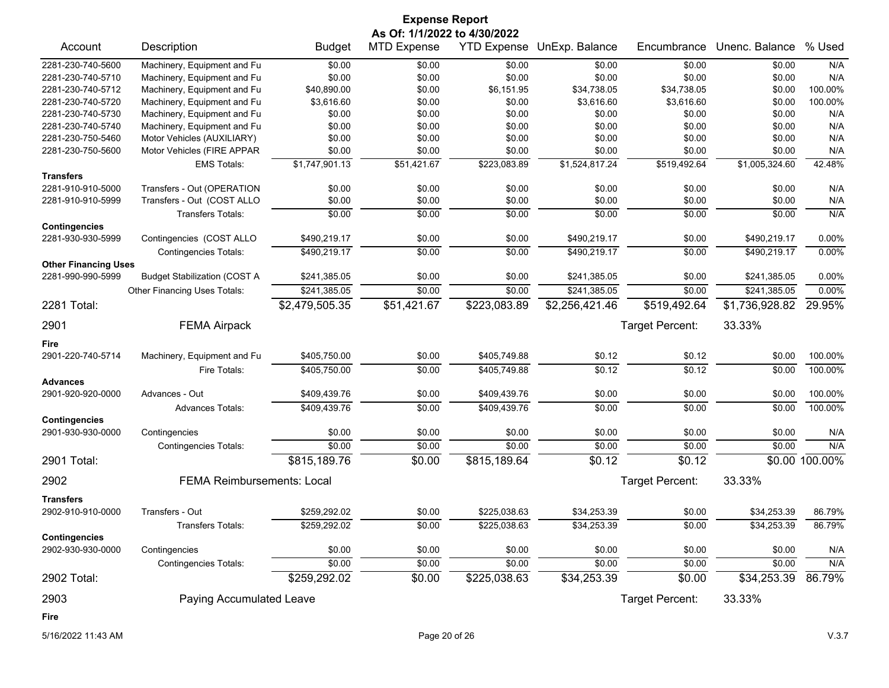| <b>Expense Report</b><br>As Of: 1/1/2022 to 4/30/2022 |                                     |                |                    |                    |                |                 |                |                |
|-------------------------------------------------------|-------------------------------------|----------------|--------------------|--------------------|----------------|-----------------|----------------|----------------|
| Account                                               | Description                         | <b>Budget</b>  | <b>MTD Expense</b> | <b>YTD Expense</b> | UnExp. Balance | Encumbrance     | Unenc. Balance | % Used         |
| 2281-230-740-5600                                     | Machinery, Equipment and Fu         | \$0.00         | \$0.00             | \$0.00             | \$0.00         | \$0.00          | \$0.00         | N/A            |
| 2281-230-740-5710                                     | Machinery, Equipment and Fu         | \$0.00         | \$0.00             | \$0.00             | \$0.00         | \$0.00          | \$0.00         | N/A            |
| 2281-230-740-5712                                     | Machinery, Equipment and Fu         | \$40,890.00    | \$0.00             | \$6,151.95         | \$34,738.05    | \$34,738.05     | \$0.00         | 100.00%        |
| 2281-230-740-5720                                     | Machinery, Equipment and Fu         | \$3,616.60     | \$0.00             | \$0.00             | \$3,616.60     | \$3,616.60      | \$0.00         | 100.00%        |
| 2281-230-740-5730                                     | Machinery, Equipment and Fu         | \$0.00         | \$0.00             | \$0.00             | \$0.00         | \$0.00          | \$0.00         | N/A            |
| 2281-230-740-5740                                     | Machinery, Equipment and Fu         | \$0.00         | \$0.00             | \$0.00             | \$0.00         | \$0.00          | \$0.00         | N/A            |
| 2281-230-750-5460                                     | Motor Vehicles (AUXILIARY)          | \$0.00         | \$0.00             | \$0.00             | \$0.00         | \$0.00          | \$0.00         | N/A            |
| 2281-230-750-5600                                     | Motor Vehicles (FIRE APPAR          | \$0.00         | \$0.00             | \$0.00             | \$0.00         | \$0.00          | \$0.00         | N/A            |
|                                                       | <b>EMS Totals:</b>                  | \$1,747,901.13 | \$51,421.67        | \$223,083.89       | \$1,524,817.24 | \$519,492.64    | \$1,005,324.60 | 42.48%         |
| <b>Transfers</b>                                      |                                     |                |                    |                    |                |                 |                |                |
| 2281-910-910-5000                                     | Transfers - Out (OPERATION          | \$0.00         | \$0.00             | \$0.00             | \$0.00         | \$0.00          | \$0.00         | N/A            |
| 2281-910-910-5999                                     | Transfers - Out (COST ALLO          | \$0.00         | \$0.00             | \$0.00             | \$0.00         | \$0.00          | \$0.00         | N/A            |
|                                                       | <b>Transfers Totals:</b>            | \$0.00         | \$0.00             | \$0.00             | \$0.00         | \$0.00          | \$0.00         | N/A            |
| <b>Contingencies</b>                                  |                                     |                |                    |                    |                |                 |                |                |
| 2281-930-930-5999                                     | Contingencies (COST ALLO            | \$490,219.17   | \$0.00             | \$0.00             | \$490,219.17   | \$0.00          | \$490,219.17   | 0.00%          |
|                                                       | <b>Contingencies Totals:</b>        | \$490,219.17   | \$0.00             | \$0.00             | \$490,219.17   | \$0.00          | \$490,219.17   | 0.00%          |
| <b>Other Financing Uses</b><br>2281-990-990-5999      | <b>Budget Stabilization (COST A</b> | \$241,385.05   | \$0.00             | \$0.00             | \$241,385.05   | \$0.00          | \$241,385.05   | 0.00%          |
|                                                       |                                     |                |                    |                    |                |                 |                |                |
|                                                       | Other Financing Uses Totals:        | \$241,385.05   | \$0.00             | \$0.00             | \$241,385.05   | \$0.00          | \$241,385.05   | 0.00%          |
| 2281 Total:                                           |                                     | \$2,479,505.35 | \$51,421.67        | \$223,083.89       | \$2,256,421.46 | \$519,492.64    | \$1,736,928.82 | 29.95%         |
| 2901                                                  | <b>FEMA Airpack</b>                 |                |                    |                    |                | Target Percent: | 33.33%         |                |
| Fire                                                  |                                     |                |                    |                    |                |                 |                |                |
| 2901-220-740-5714                                     | Machinery, Equipment and Fu         | \$405,750.00   | \$0.00             | \$405,749.88       | \$0.12         | \$0.12          | \$0.00         | 100.00%        |
|                                                       | Fire Totals:                        | \$405,750.00   | \$0.00             | \$405,749.88       | \$0.12         | \$0.12          | \$0.00         | 100.00%        |
| <b>Advances</b>                                       |                                     |                |                    |                    |                |                 |                |                |
| 2901-920-920-0000                                     | Advances - Out                      | \$409,439.76   | \$0.00             | \$409,439.76       | \$0.00         | \$0.00          | \$0.00         | 100.00%        |
|                                                       | <b>Advances Totals:</b>             | \$409,439.76   | \$0.00             | \$409,439.76       | \$0.00         | \$0.00          | \$0.00         | 100.00%        |
| <b>Contingencies</b>                                  |                                     |                |                    |                    |                |                 |                |                |
| 2901-930-930-0000                                     | Contingencies                       | \$0.00         | \$0.00             | \$0.00             | \$0.00         | \$0.00          | \$0.00         | N/A            |
|                                                       | <b>Contingencies Totals:</b>        | \$0.00         | \$0.00             | \$0.00             | \$0.00         | \$0.00          | \$0.00         | N/A            |
| 2901 Total:                                           |                                     | \$815,189.76   | \$0.00             | \$815,189.64       | \$0.12         | \$0.12          |                | \$0.00 100.00% |
| 2902                                                  | <b>FEMA Reimbursements: Local</b>   |                |                    |                    |                | Target Percent: | 33.33%         |                |
| <b>Transfers</b>                                      |                                     |                |                    |                    |                |                 |                |                |
| 2902-910-910-0000                                     | Transfers - Out                     | \$259,292.02   | \$0.00             | \$225,038.63       | \$34,253.39    | \$0.00          | \$34,253.39    | 86.79%         |
|                                                       | Transfers Totals:                   | \$259,292.02   | \$0.00             | \$225,038.63       | \$34,253.39    | \$0.00          | \$34,253.39    | 86.79%         |
| <b>Contingencies</b>                                  |                                     |                |                    |                    |                |                 |                |                |
| 2902-930-930-0000                                     | Contingencies                       | \$0.00         | \$0.00             | \$0.00             | \$0.00         | \$0.00          | \$0.00         | N/A            |
|                                                       | <b>Contingencies Totals:</b>        | \$0.00         | \$0.00             | \$0.00             | \$0.00         | \$0.00          | \$0.00         | N/A            |
| 2902 Total:                                           |                                     | \$259,292.02   | \$0.00             | \$225,038.63       | \$34,253.39    | \$0.00          | \$34,253.39    | 86.79%         |
| 2903                                                  | Paying Accumulated Leave            |                |                    |                    |                | Target Percent: | 33.33%         |                |
| Fire                                                  |                                     |                |                    |                    |                |                 |                |                |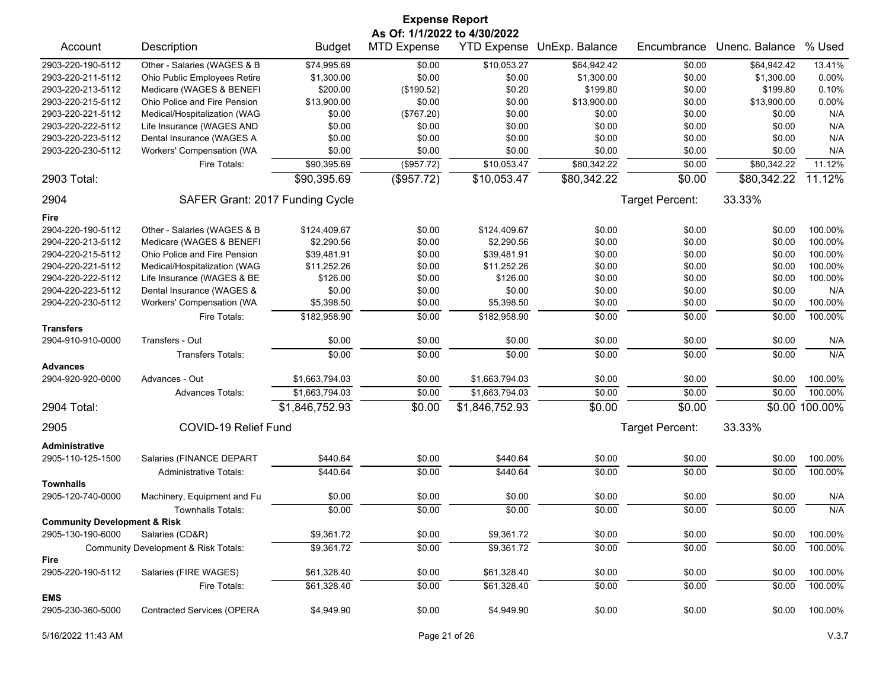|                                                              |                                      |                  | <b>Expense Report</b>        |                    |                |                 |                |            |
|--------------------------------------------------------------|--------------------------------------|------------------|------------------------------|--------------------|----------------|-----------------|----------------|------------|
|                                                              |                                      |                  | As Of: 1/1/2022 to 4/30/2022 |                    |                |                 |                |            |
| Account                                                      | Description                          | <b>Budget</b>    | <b>MTD Expense</b>           | <b>YTD Expense</b> | UnExp. Balance | Encumbrance     | Unenc. Balance | % Used     |
| 2903-220-190-5112                                            | Other - Salaries (WAGES & B          | \$74,995.69      | \$0.00                       | \$10,053.27        | \$64,942.42    | \$0.00          | \$64,942.42    | 13.41%     |
| 2903-220-211-5112                                            | Ohio Public Employees Retire         | \$1,300.00       | \$0.00                       | \$0.00             | \$1,300.00     | \$0.00          | \$1,300.00     | 0.00%      |
| 2903-220-213-5112                                            | Medicare (WAGES & BENEFI             | \$200.00         | (\$190.52)                   | \$0.20             | \$199.80       | \$0.00          | \$199.80       | 0.10%      |
| 2903-220-215-5112                                            | Ohio Police and Fire Pension         | \$13,900.00      | \$0.00                       | \$0.00             | \$13,900.00    | \$0.00          | \$13,900.00    | $0.00\%$   |
| 2903-220-221-5112                                            | Medical/Hospitalization (WAG         | \$0.00           | (\$767.20)                   | \$0.00             | \$0.00         | \$0.00          | \$0.00         | N/A        |
| 2903-220-222-5112                                            | Life Insurance (WAGES AND            | \$0.00           | \$0.00                       | \$0.00             | \$0.00         | \$0.00          | \$0.00         | N/A        |
| 2903-220-223-5112                                            | Dental Insurance (WAGES A            | \$0.00           | \$0.00                       | \$0.00             | \$0.00         | \$0.00          | \$0.00         | N/A        |
| 2903-220-230-5112                                            | Workers' Compensation (WA            | \$0.00           | \$0.00                       | \$0.00             | \$0.00         | \$0.00          | \$0.00         | N/A        |
|                                                              | Fire Totals:                         | \$90,395.69      | (\$957.72)                   | \$10,053.47        | \$80,342.22    | \$0.00          | \$80,342.22    | 11.12%     |
| 2903 Total:                                                  |                                      | \$90,395.69      | (\$957.72)                   | \$10,053.47        | \$80,342.22    | \$0.00          | \$80,342.22    | 11.12%     |
| 2904                                                         | SAFER Grant: 2017 Funding Cycle      |                  |                              |                    |                | Target Percent: | 33.33%         |            |
| Fire                                                         |                                      |                  |                              |                    |                |                 |                |            |
| 2904-220-190-5112                                            | Other - Salaries (WAGES & B          | \$124,409.67     | \$0.00                       | \$124,409.67       | \$0.00         | \$0.00          | \$0.00         | 100.00%    |
| 2904-220-213-5112                                            | Medicare (WAGES & BENEFI             | \$2,290.56       | \$0.00                       | \$2,290.56         | \$0.00         | \$0.00          | \$0.00         | 100.00%    |
| 2904-220-215-5112                                            | Ohio Police and Fire Pension         | \$39,481.91      | \$0.00                       | \$39,481.91        | \$0.00         | \$0.00          | \$0.00         | 100.00%    |
| 2904-220-221-5112                                            | Medical/Hospitalization (WAG         | \$11,252.26      | \$0.00                       | \$11,252.26        | \$0.00         | \$0.00          | \$0.00         | 100.00%    |
| 2904-220-222-5112                                            | Life Insurance (WAGES & BE           | \$126.00         | \$0.00                       | \$126.00           | \$0.00         | \$0.00          | \$0.00         | 100.00%    |
| 2904-220-223-5112                                            | Dental Insurance (WAGES &            | \$0.00           | \$0.00                       | \$0.00             | \$0.00         | \$0.00          | \$0.00         | N/A        |
| 2904-220-230-5112                                            | Workers' Compensation (WA            | \$5,398.50       | \$0.00                       | \$5,398.50         | \$0.00         | \$0.00          | \$0.00         | 100.00%    |
|                                                              | Fire Totals:                         | \$182,958.90     | \$0.00                       | \$182,958.90       | \$0.00         | \$0.00          | \$0.00         | 100.00%    |
| <b>Transfers</b>                                             |                                      |                  |                              |                    |                |                 |                |            |
| 2904-910-910-0000                                            | Transfers - Out                      | \$0.00           | \$0.00                       | \$0.00             | \$0.00         | \$0.00          | \$0.00         | N/A        |
|                                                              | <b>Transfers Totals:</b>             | \$0.00           | \$0.00                       | \$0.00             | \$0.00         | \$0.00          | \$0.00         | N/A        |
| <b>Advances</b><br>2904-920-920-0000                         | Advances - Out                       | \$1,663,794.03   | \$0.00                       | \$1,663,794.03     | \$0.00         | \$0.00          | \$0.00         | 100.00%    |
|                                                              | <b>Advances Totals:</b>              | \$1,663,794.03   | \$0.00                       | \$1,663,794.03     | \$0.00         | \$0.00          | \$0.00         | 100.00%    |
| 2904 Total:                                                  |                                      | \$1,846,752.93   | \$0.00                       | \$1,846,752.93     | \$0.00         | \$0.00          | \$0.00         | 100.00%    |
| 2905                                                         | COVID-19 Relief Fund                 |                  |                              |                    |                | Target Percent: | 33.33%         |            |
| Administrative                                               |                                      |                  |                              |                    |                |                 |                |            |
| 2905-110-125-1500                                            | Salaries (FINANCE DEPART             | \$440.64         | \$0.00                       | \$440.64           | \$0.00         | \$0.00          | \$0.00         | 100.00%    |
|                                                              | <b>Administrative Totals:</b>        | \$440.64         | \$0.00                       | \$440.64           | \$0.00         | \$0.00          | \$0.00         | 100.00%    |
| <b>Townhalls</b>                                             |                                      |                  |                              |                    |                |                 |                |            |
| 2905-120-740-0000                                            | Machinery, Equipment and Fu          | \$0.00<br>\$0.00 | \$0.00                       | \$0.00             | \$0.00         | \$0.00          | \$0.00         | N/A<br>N/A |
|                                                              | <b>Townhalls Totals:</b>             |                  | \$0.00                       | \$0.00             | \$0.00         | \$0.00          | \$0.00         |            |
| <b>Community Development &amp; Risk</b><br>2905-130-190-6000 | Salaries (CD&R)                      | \$9,361.72       | \$0.00                       | \$9,361.72         | \$0.00         | \$0.00          | \$0.00         | 100.00%    |
|                                                              | Community Development & Risk Totals: | \$9,361.72       | \$0.00                       | \$9,361.72         | \$0.00         | \$0.00          | \$0.00         | 100.00%    |
| Fire                                                         |                                      |                  |                              |                    |                |                 |                |            |
| 2905-220-190-5112                                            | Salaries (FIRE WAGES)                | \$61,328.40      | \$0.00                       | \$61,328.40        | \$0.00         | \$0.00          | \$0.00         | 100.00%    |
|                                                              | Fire Totals:                         | \$61,328.40      | \$0.00                       | \$61,328.40        | \$0.00         | \$0.00          | \$0.00         | 100.00%    |
| <b>EMS</b><br>2905-230-360-5000                              | <b>Contracted Services (OPERA</b>    | \$4,949.90       | \$0.00                       | \$4,949.90         | \$0.00         | \$0.00          | \$0.00         | 100.00%    |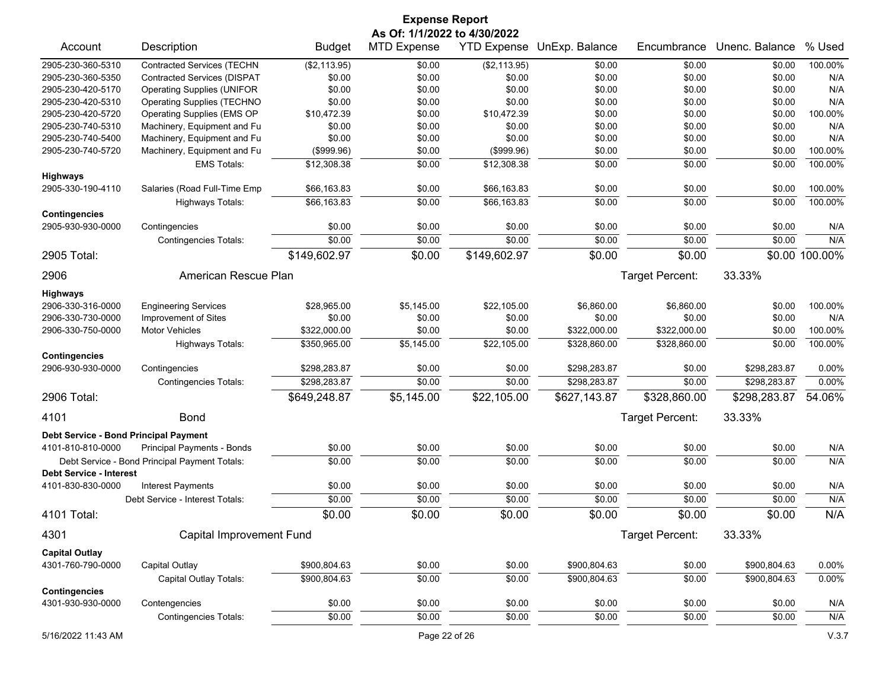|                                                     |                                               |               | <b>Expense Report</b>        |              |                            |                 |                |                |
|-----------------------------------------------------|-----------------------------------------------|---------------|------------------------------|--------------|----------------------------|-----------------|----------------|----------------|
|                                                     |                                               |               | As Of: 1/1/2022 to 4/30/2022 |              |                            |                 |                |                |
| Account                                             | Description                                   | <b>Budget</b> | <b>MTD Expense</b>           |              | YTD Expense UnExp. Balance | Encumbrance     | Unenc. Balance | % Used         |
| 2905-230-360-5310                                   | <b>Contracted Services (TECHN</b>             | (\$2,113.95)  | \$0.00                       | (\$2,113.95) | \$0.00                     | \$0.00          | \$0.00         | 100.00%        |
| 2905-230-360-5350                                   | <b>Contracted Services (DISPAT</b>            | \$0.00        | \$0.00                       | \$0.00       | \$0.00                     | \$0.00          | \$0.00         | N/A            |
| 2905-230-420-5170                                   | <b>Operating Supplies (UNIFOR</b>             | \$0.00        | \$0.00                       | \$0.00       | \$0.00                     | \$0.00          | \$0.00         | N/A            |
| 2905-230-420-5310                                   | <b>Operating Supplies (TECHNO</b>             | \$0.00        | \$0.00                       | \$0.00       | \$0.00                     | \$0.00          | \$0.00         | N/A            |
| 2905-230-420-5720                                   | Operating Supplies (EMS OP                    | \$10,472.39   | \$0.00                       | \$10,472.39  | \$0.00                     | \$0.00          | \$0.00         | 100.00%        |
| 2905-230-740-5310                                   | Machinery, Equipment and Fu                   | \$0.00        | \$0.00                       | \$0.00       | \$0.00                     | \$0.00          | \$0.00         | N/A            |
| 2905-230-740-5400                                   | Machinery, Equipment and Fu                   | \$0.00        | \$0.00                       | \$0.00       | \$0.00                     | \$0.00          | \$0.00         | N/A            |
| 2905-230-740-5720                                   | Machinery, Equipment and Fu                   | (\$999.96)    | \$0.00                       | (\$999.96)   | \$0.00                     | \$0.00          | \$0.00         | 100.00%        |
|                                                     | <b>EMS Totals:</b>                            | \$12,308.38   | \$0.00                       | \$12,308.38  | \$0.00                     | \$0.00          | \$0.00         | 100.00%        |
| <b>Highways</b>                                     |                                               |               |                              |              |                            |                 |                |                |
| 2905-330-190-4110                                   | Salaries (Road Full-Time Emp                  | \$66,163.83   | \$0.00                       | \$66,163.83  | \$0.00                     | \$0.00          | \$0.00         | 100.00%        |
|                                                     | Highways Totals:                              | \$66,163.83   | \$0.00                       | \$66,163.83  | \$0.00                     | \$0.00          | \$0.00         | 100.00%        |
| <b>Contingencies</b>                                |                                               |               |                              |              |                            |                 |                |                |
| 2905-930-930-0000                                   | Contingencies                                 | \$0.00        | \$0.00                       | \$0.00       | \$0.00                     | \$0.00          | \$0.00         | N/A            |
|                                                     | <b>Contingencies Totals:</b>                  | \$0.00        | \$0.00                       | \$0.00       | \$0.00                     | \$0.00          | \$0.00         | N/A            |
| 2905 Total:                                         |                                               | \$149,602.97  | \$0.00                       | \$149,602.97 | \$0.00                     | \$0.00          |                | \$0.00 100.00% |
| 2906                                                | American Rescue Plan                          |               |                              |              |                            | Target Percent: | 33.33%         |                |
| <b>Highways</b>                                     |                                               |               |                              |              |                            |                 |                |                |
| 2906-330-316-0000                                   | <b>Engineering Services</b>                   | \$28,965.00   | \$5,145.00                   | \$22,105.00  | \$6,860.00                 | \$6,860.00      | \$0.00         | 100.00%        |
| 2906-330-730-0000                                   | Improvement of Sites                          | \$0.00        | \$0.00                       | \$0.00       | \$0.00                     | \$0.00          | \$0.00         | N/A            |
| 2906-330-750-0000                                   | <b>Motor Vehicles</b>                         | \$322,000.00  | \$0.00                       | \$0.00       | \$322,000.00               | \$322,000.00    | \$0.00         | 100.00%        |
|                                                     | <b>Highways Totals:</b>                       | \$350,965.00  | \$5,145.00                   | \$22,105.00  | \$328,860.00               | \$328,860.00    | \$0.00         | 100.00%        |
| <b>Contingencies</b>                                |                                               |               |                              |              |                            |                 |                |                |
| 2906-930-930-0000                                   | Contingencies                                 | \$298,283.87  | \$0.00                       | \$0.00       | \$298,283.87               | \$0.00          | \$298,283.87   | 0.00%          |
|                                                     | <b>Contingencies Totals:</b>                  | \$298,283.87  | \$0.00                       | \$0.00       | \$298,283.87               | \$0.00          | \$298,283.87   | 0.00%          |
| 2906 Total:                                         |                                               | \$649,248.87  | \$5,145.00                   | \$22,105.00  | \$627,143.87               | \$328,860.00    | \$298,283.87   | 54.06%         |
| 4101                                                | <b>Bond</b>                                   |               |                              |              |                            | Target Percent: | 33.33%         |                |
| Debt Service - Bond Principal Payment               |                                               |               |                              |              |                            |                 |                |                |
| 4101-810-810-0000                                   | Principal Payments - Bonds                    | \$0.00        | \$0.00                       | \$0.00       | \$0.00                     | \$0.00          | \$0.00         | N/A            |
|                                                     | Debt Service - Bond Principal Payment Totals: | \$0.00        | \$0.00                       | \$0.00       | \$0.00                     | \$0.00          | \$0.00         | N/A            |
| <b>Debt Service - Interest</b><br>4101-830-830-0000 | <b>Interest Payments</b>                      | \$0.00        | \$0.00                       | \$0.00       | \$0.00                     | \$0.00          | \$0.00         | N/A            |
|                                                     | Debt Service - Interest Totals:               | \$0.00        | \$0.00                       | \$0.00       | \$0.00                     | \$0.00          | \$0.00         | N/A            |
| 4101 Total:                                         |                                               | \$0.00        | \$0.00                       | \$0.00       | \$0.00                     | \$0.00          | \$0.00         | N/A            |
| 4301                                                | Capital Improvement Fund                      |               |                              |              |                            | Target Percent: | 33.33%         |                |
| <b>Capital Outlay</b>                               |                                               |               |                              |              |                            |                 |                |                |
| 4301-760-790-0000                                   | <b>Capital Outlay</b>                         | \$900,804.63  | \$0.00                       | \$0.00       | \$900,804.63               | \$0.00          | \$900,804.63   | $0.00\%$       |
|                                                     | Capital Outlay Totals:                        | \$900,804.63  | \$0.00                       | \$0.00       | \$900,804.63               | \$0.00          | \$900,804.63   | $0.00\%$       |
| <b>Contingencies</b>                                |                                               |               |                              |              |                            |                 |                |                |
| 4301-930-930-0000                                   | Contengencies                                 | \$0.00        | \$0.00                       | \$0.00       | \$0.00                     | \$0.00          | \$0.00         | N/A            |
|                                                     | <b>Contingencies Totals:</b>                  | \$0.00        | \$0.00                       | \$0.00       | \$0.00                     | \$0.00          | \$0.00         | N/A            |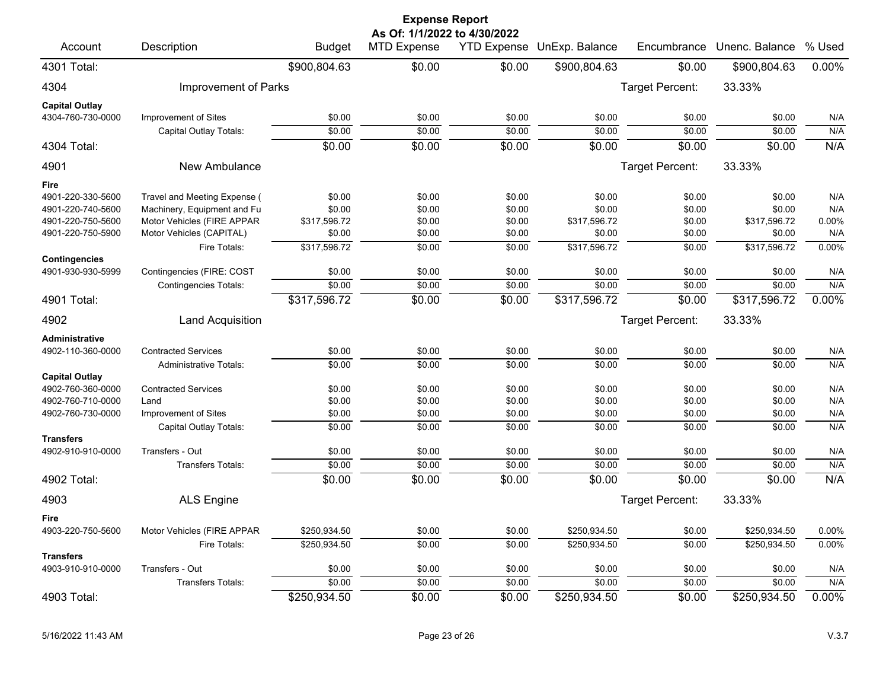| <b>Expense Report</b>                 |                               |               |                                                    |        |                            |                 |                |          |  |  |
|---------------------------------------|-------------------------------|---------------|----------------------------------------------------|--------|----------------------------|-----------------|----------------|----------|--|--|
| Account                               | Description                   | <b>Budget</b> | As Of: 1/1/2022 to 4/30/2022<br><b>MTD Expense</b> |        | YTD Expense UnExp. Balance | Encumbrance     | Unenc. Balance | % Used   |  |  |
| 4301 Total:                           |                               | \$900,804.63  | \$0.00                                             | \$0.00 | \$900,804.63               | \$0.00          | \$900,804.63   | 0.00%    |  |  |
| 4304                                  | Improvement of Parks          |               |                                                    |        |                            | Target Percent: | 33.33%         |          |  |  |
| <b>Capital Outlay</b>                 |                               |               |                                                    |        |                            |                 |                |          |  |  |
| 4304-760-730-0000                     | Improvement of Sites          | \$0.00        | \$0.00                                             | \$0.00 | \$0.00                     | \$0.00          | \$0.00         | N/A      |  |  |
|                                       | Capital Outlay Totals:        | \$0.00        | \$0.00                                             | \$0.00 | \$0.00                     | \$0.00          | \$0.00         | N/A      |  |  |
| 4304 Total:                           |                               | \$0.00        | \$0.00                                             | \$0.00 | \$0.00                     | \$0.00          | \$0.00         | N/A      |  |  |
| 4901                                  | New Ambulance                 |               |                                                    |        |                            | Target Percent: | 33.33%         |          |  |  |
| Fire                                  |                               |               |                                                    |        |                            |                 |                |          |  |  |
| 4901-220-330-5600                     | Travel and Meeting Expense (  | \$0.00        | \$0.00                                             | \$0.00 | \$0.00                     | \$0.00          | \$0.00         | N/A      |  |  |
| 4901-220-740-5600                     | Machinery, Equipment and Fu   | \$0.00        | \$0.00                                             | \$0.00 | \$0.00                     | \$0.00          | \$0.00         | N/A      |  |  |
| 4901-220-750-5600                     | Motor Vehicles (FIRE APPAR    | \$317,596.72  | \$0.00                                             | \$0.00 | \$317,596.72               | \$0.00          | \$317,596.72   | $0.00\%$ |  |  |
| 4901-220-750-5900                     | Motor Vehicles (CAPITAL)      | \$0.00        | \$0.00                                             | \$0.00 | \$0.00                     | \$0.00          | \$0.00         | N/A      |  |  |
| <b>Contingencies</b>                  | Fire Totals:                  | \$317,596.72  | \$0.00                                             | \$0.00 | \$317,596.72               | \$0.00          | \$317,596.72   | 0.00%    |  |  |
| 4901-930-930-5999                     | Contingencies (FIRE: COST     | \$0.00        | \$0.00                                             | \$0.00 | \$0.00                     | \$0.00          | \$0.00         | N/A      |  |  |
|                                       | <b>Contingencies Totals:</b>  | \$0.00        | \$0.00                                             | \$0.00 | \$0.00                     | \$0.00          | \$0.00         | N/A      |  |  |
| 4901 Total:                           |                               | \$317,596.72  | \$0.00                                             | \$0.00 | \$317,596.72               | \$0.00          | \$317,596.72   | 0.00%    |  |  |
| 4902                                  | <b>Land Acquisition</b>       |               |                                                    |        |                            | Target Percent: | 33.33%         |          |  |  |
| Administrative                        |                               |               |                                                    |        |                            |                 |                |          |  |  |
| 4902-110-360-0000                     | <b>Contracted Services</b>    | \$0.00        | \$0.00                                             | \$0.00 | \$0.00                     | \$0.00          | \$0.00         | N/A      |  |  |
|                                       | <b>Administrative Totals:</b> | \$0.00        | \$0.00                                             | \$0.00 | \$0.00                     | \$0.00          | \$0.00         | N/A      |  |  |
| <b>Capital Outlay</b>                 |                               |               |                                                    |        |                            |                 |                |          |  |  |
| 4902-760-360-0000                     | <b>Contracted Services</b>    | \$0.00        | \$0.00                                             | \$0.00 | \$0.00                     | \$0.00          | \$0.00         | N/A      |  |  |
| 4902-760-710-0000                     | Land                          | \$0.00        | \$0.00                                             | \$0.00 | \$0.00                     | \$0.00          | \$0.00         | N/A      |  |  |
| 4902-760-730-0000                     | Improvement of Sites          | \$0.00        | \$0.00                                             | \$0.00 | \$0.00                     | \$0.00          | \$0.00         | N/A      |  |  |
|                                       | Capital Outlay Totals:        | \$0.00        | $\frac{1}{0000}$                                   | \$0.00 | \$0.00                     | \$0.00          | \$0.00         | N/A      |  |  |
| <b>Transfers</b><br>4902-910-910-0000 | Transfers - Out               | \$0.00        | \$0.00                                             | \$0.00 | \$0.00                     | \$0.00          | \$0.00         | N/A      |  |  |
|                                       | <b>Transfers Totals:</b>      | \$0.00        | \$0.00                                             | \$0.00 | \$0.00                     | \$0.00          | \$0.00         | N/A      |  |  |
| 4902 Total:                           |                               | \$0.00        | \$0.00                                             | \$0.00 | \$0.00                     | \$0.00          | \$0.00         | N/A      |  |  |
|                                       |                               |               |                                                    |        |                            |                 |                |          |  |  |
| 4903                                  | <b>ALS Engine</b>             |               |                                                    |        |                            | Target Percent: | 33.33%         |          |  |  |
| <b>Fire</b>                           |                               |               |                                                    |        |                            |                 |                |          |  |  |
| 4903-220-750-5600                     | Motor Vehicles (FIRE APPAR    | \$250,934.50  | \$0.00                                             | \$0.00 | \$250,934.50               | \$0.00          | \$250,934.50   | 0.00%    |  |  |
| <b>Transfers</b>                      | Fire Totals:                  | \$250,934.50  | \$0.00                                             | \$0.00 | \$250,934.50               | \$0.00          | \$250,934.50   | $0.00\%$ |  |  |
| 4903-910-910-0000                     | Transfers - Out               | \$0.00        | \$0.00                                             | \$0.00 | \$0.00                     | \$0.00          | \$0.00         | N/A      |  |  |
|                                       | Transfers Totals:             | \$0.00        | \$0.00                                             | \$0.00 | \$0.00                     | \$0.00          | \$0.00         | N/A      |  |  |
| 4903 Total:                           |                               | \$250,934.50  | \$0.00                                             | \$0.00 | \$250,934.50               | \$0.00          | \$250,934.50   | 0.00%    |  |  |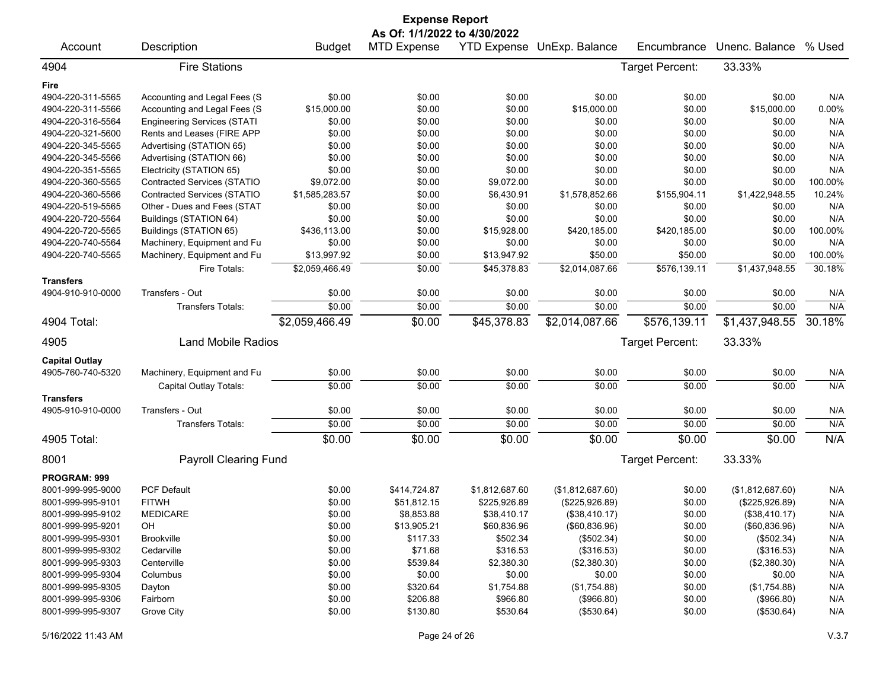| <b>Expense Report</b>                                          |                                    |                |                              |                |                            |                 |                  |         |  |
|----------------------------------------------------------------|------------------------------------|----------------|------------------------------|----------------|----------------------------|-----------------|------------------|---------|--|
|                                                                |                                    |                | As Of: 1/1/2022 to 4/30/2022 |                |                            |                 |                  |         |  |
| Account                                                        | Description                        | <b>Budget</b>  | <b>MTD Expense</b>           |                | YTD Expense UnExp. Balance | Encumbrance     | Unenc. Balance   | % Used  |  |
| 4904                                                           | <b>Fire Stations</b>               |                |                              |                |                            | Target Percent: | 33.33%           |         |  |
| Fire                                                           |                                    |                |                              |                |                            |                 |                  |         |  |
| 4904-220-311-5565                                              | Accounting and Legal Fees (S       | \$0.00         | \$0.00                       | \$0.00         | \$0.00                     | \$0.00          | \$0.00           | N/A     |  |
| 4904-220-311-5566                                              | Accounting and Legal Fees (S       | \$15,000.00    | \$0.00                       | \$0.00         | \$15,000.00                | \$0.00          | \$15,000.00      | 0.00%   |  |
| 4904-220-316-5564                                              | <b>Engineering Services (STATI</b> | \$0.00         | \$0.00                       | \$0.00         | \$0.00                     | \$0.00          | \$0.00           | N/A     |  |
| 4904-220-321-5600                                              | Rents and Leases (FIRE APP         | \$0.00         | \$0.00                       | \$0.00         | \$0.00                     | \$0.00          | \$0.00           | N/A     |  |
| 4904-220-345-5565                                              | Advertising (STATION 65)           | \$0.00         | \$0.00                       | \$0.00         | \$0.00                     | \$0.00          | \$0.00           | N/A     |  |
| 4904-220-345-5566                                              | Advertising (STATION 66)           | \$0.00         | \$0.00                       | \$0.00         | \$0.00                     | \$0.00          | \$0.00           | N/A     |  |
| 4904-220-351-5565                                              | Electricity (STATION 65)           | \$0.00         | \$0.00                       | \$0.00         | \$0.00                     | \$0.00          | \$0.00           | N/A     |  |
| 4904-220-360-5565                                              | Contracted Services (STATIO        | \$9,072.00     | \$0.00                       | \$9,072.00     | \$0.00                     | \$0.00          | \$0.00           | 100.00% |  |
| 4904-220-360-5566                                              | Contracted Services (STATIO        | \$1,585,283.57 | \$0.00                       | \$6,430.91     | \$1,578,852.66             | \$155,904.11    | \$1,422,948.55   | 10.24%  |  |
| 4904-220-519-5565                                              | Other - Dues and Fees (STAT        | \$0.00         | \$0.00                       | \$0.00         | \$0.00                     | \$0.00          | \$0.00           | N/A     |  |
| 4904-220-720-5564                                              | Buildings (STATION 64)             | \$0.00         | \$0.00                       | \$0.00         | \$0.00                     | \$0.00          | \$0.00           | N/A     |  |
| 4904-220-720-5565                                              | Buildings (STATION 65)             | \$436,113.00   | \$0.00                       | \$15,928.00    | \$420,185.00               | \$420,185.00    | \$0.00           | 100.00% |  |
| 4904-220-740-5564                                              | Machinery, Equipment and Fu        | \$0.00         | \$0.00                       | \$0.00         | \$0.00                     | \$0.00          | \$0.00           | N/A     |  |
| 4904-220-740-5565                                              | Machinery, Equipment and Fu        | \$13,997.92    | \$0.00                       | \$13,947.92    | \$50.00                    | \$50.00         | \$0.00           | 100.00% |  |
|                                                                | Fire Totals:                       | \$2,059,466.49 | \$0.00                       | \$45,378.83    | \$2,014,087.66             | \$576,139.11    | \$1,437,948.55   | 30.18%  |  |
| <b>Transfers</b>                                               |                                    |                |                              |                |                            |                 |                  |         |  |
| 4904-910-910-0000                                              | Transfers - Out                    | \$0.00         | \$0.00                       | \$0.00         | \$0.00                     | \$0.00          | \$0.00           | N/A     |  |
|                                                                | Transfers Totals:                  | \$0.00         | \$0.00                       | \$0.00         | \$0.00                     | \$0.00          | \$0.00           | N/A     |  |
| 4904 Total:                                                    |                                    | \$2,059,466.49 | \$0.00                       | \$45,378.83    | \$2,014,087.66             | \$576,139.11    | \$1,437,948.55   | 30.18%  |  |
| Target Percent:<br>33.33%<br>4905<br><b>Land Mobile Radios</b> |                                    |                |                              |                |                            |                 |                  |         |  |
| <b>Capital Outlay</b>                                          |                                    |                |                              |                |                            |                 |                  |         |  |
| 4905-760-740-5320                                              | Machinery, Equipment and Fu        | \$0.00         | \$0.00                       | \$0.00         | \$0.00                     | \$0.00          | \$0.00           | N/A     |  |
|                                                                | Capital Outlay Totals:             | \$0.00         | \$0.00                       | \$0.00         | \$0.00                     | \$0.00          | \$0.00           | N/A     |  |
| <b>Transfers</b>                                               |                                    |                |                              |                |                            |                 |                  |         |  |
| 4905-910-910-0000                                              | Transfers - Out                    | \$0.00         | \$0.00                       | \$0.00         | \$0.00                     | \$0.00          | \$0.00           | N/A     |  |
|                                                                | <b>Transfers Totals:</b>           | \$0.00         | \$0.00                       | \$0.00         | \$0.00                     | \$0.00          | \$0.00           | N/A     |  |
| 4905 Total:                                                    |                                    | \$0.00         | \$0.00                       | \$0.00         | \$0.00                     | \$0.00          | \$0.00           | N/A     |  |
| 8001                                                           |                                    |                |                              |                |                            |                 | 33.33%           |         |  |
|                                                                | <b>Payroll Clearing Fund</b>       |                |                              |                |                            | Target Percent: |                  |         |  |
| PROGRAM: 999                                                   |                                    |                |                              |                |                            |                 |                  |         |  |
| 8001-999-995-9000                                              | <b>PCF Default</b>                 | \$0.00         | \$414,724.87                 | \$1,812,687.60 | (\$1,812,687.60)           | \$0.00          | (\$1,812,687.60) | N/A     |  |
| 8001-999-995-9101                                              | <b>FITWH</b>                       | \$0.00         | \$51,812.15                  | \$225,926.89   | (\$225,926.89)             | \$0.00          | (\$225,926.89)   | N/A     |  |
| 8001-999-995-9102                                              | <b>MEDICARE</b>                    | \$0.00         | \$8,853.88                   | \$38,410.17    | (\$38,410.17)              | \$0.00          | (\$38,410.17)    | N/A     |  |
| 8001-999-995-9201                                              | OH                                 | \$0.00         | \$13,905.21                  | \$60,836.96    | (\$60,836.96)              | \$0.00          | (\$60,836.96)    | N/A     |  |
| 8001-999-995-9301                                              | <b>Brookville</b>                  | \$0.00         | \$117.33                     | \$502.34       | (\$502.34)                 | \$0.00          | (\$502.34)       | N/A     |  |
| 8001-999-995-9302                                              | Cedarville                         | \$0.00         | \$71.68                      | \$316.53       | (\$316.53)                 | \$0.00          | (\$316.53)       | N/A     |  |
| 8001-999-995-9303                                              | Centerville                        | \$0.00         | \$539.84                     | \$2,380.30     | (\$2,380.30)               | \$0.00          | (\$2,380.30)     | N/A     |  |
| 8001-999-995-9304                                              | Columbus                           | \$0.00         | \$0.00                       | \$0.00         | \$0.00                     | \$0.00          | \$0.00           | N/A     |  |
| 8001-999-995-9305                                              | Dayton                             | \$0.00         | \$320.64                     | \$1,754.88     | (\$1,754.88)               | \$0.00          | (\$1,754.88)     | N/A     |  |
| 8001-999-995-9306                                              | Fairborn                           | \$0.00         | \$206.88                     | \$966.80       | (\$966.80)                 | \$0.00          | (\$966.80)       | N/A     |  |
| 8001-999-995-9307                                              | Grove City                         | \$0.00         | \$130.80                     | \$530.64       | (\$530.64)                 | \$0.00          | (\$530.64)       | N/A     |  |

5/16/2022 11:43 AM Page 24 of 26 V.3.7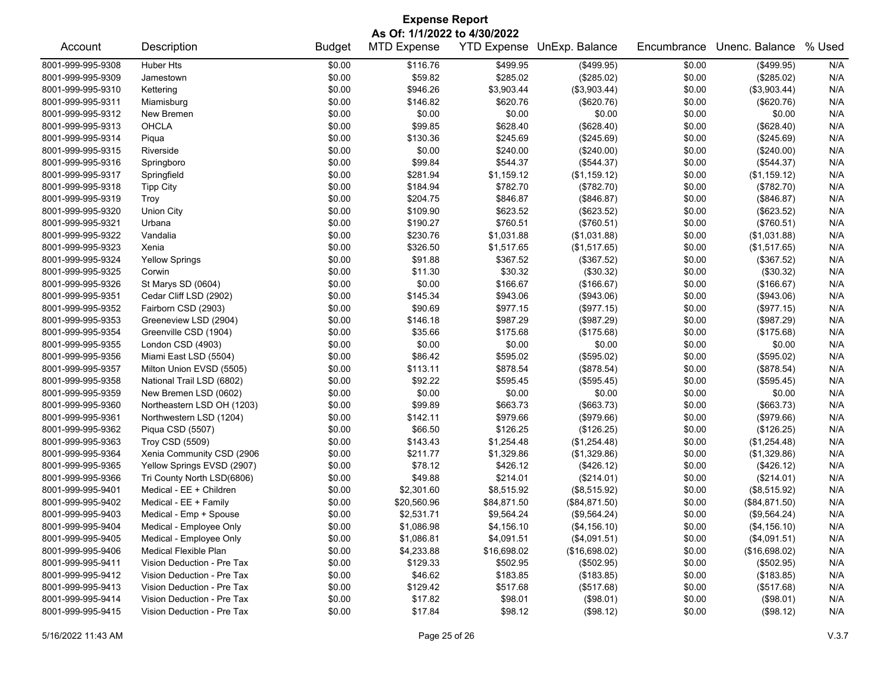| <b>Expense Report</b>                                      |                            |               |                    |             |               |             |                |        |  |  |  |  |  |
|------------------------------------------------------------|----------------------------|---------------|--------------------|-------------|---------------|-------------|----------------|--------|--|--|--|--|--|
| As Of: 1/1/2022 to 4/30/2022<br>YTD Expense UnExp. Balance |                            |               |                    |             |               |             |                |        |  |  |  |  |  |
| Account                                                    | Description                | <b>Budget</b> | <b>MTD Expense</b> |             |               | Encumbrance | Unenc. Balance | % Used |  |  |  |  |  |
| 8001-999-995-9308                                          | Huber Hts                  | \$0.00        | \$116.76           | \$499.95    | (\$499.95)    | \$0.00      | (\$499.95)     | N/A    |  |  |  |  |  |
| 8001-999-995-9309                                          | Jamestown                  | \$0.00        | \$59.82            | \$285.02    | (\$285.02)    | \$0.00      | (\$285.02)     | N/A    |  |  |  |  |  |
| 8001-999-995-9310                                          | Kettering                  | \$0.00        | \$946.26           | \$3,903.44  | (\$3,903.44)  | \$0.00      | (\$3,903.44)   | N/A    |  |  |  |  |  |
| 8001-999-995-9311                                          | Miamisburg                 | \$0.00        | \$146.82           | \$620.76    | (\$620.76)    | \$0.00      | (\$620.76)     | N/A    |  |  |  |  |  |
| 8001-999-995-9312                                          | New Bremen                 | \$0.00        | \$0.00             | \$0.00      | \$0.00        | \$0.00      | \$0.00         | N/A    |  |  |  |  |  |
| 8001-999-995-9313                                          | <b>OHCLA</b>               | \$0.00        | \$99.85            | \$628.40    | (\$628.40)    | \$0.00      | (\$628.40)     | N/A    |  |  |  |  |  |
| 8001-999-995-9314                                          | Piqua                      | \$0.00        | \$130.36           | \$245.69    | (\$245.69)    | \$0.00      | (\$245.69)     | N/A    |  |  |  |  |  |
| 8001-999-995-9315                                          | Riverside                  | \$0.00        | \$0.00             | \$240.00    | (\$240.00)    | \$0.00      | (\$240.00)     | N/A    |  |  |  |  |  |
| 8001-999-995-9316                                          | Springboro                 | \$0.00        | \$99.84            | \$544.37    | (\$544.37)    | \$0.00      | (\$544.37)     | N/A    |  |  |  |  |  |
| 8001-999-995-9317                                          | Springfield                | \$0.00        | \$281.94           | \$1,159.12  | (\$1,159.12)  | \$0.00      | (\$1,159.12)   | N/A    |  |  |  |  |  |
| 8001-999-995-9318                                          | <b>Tipp City</b>           | \$0.00        | \$184.94           | \$782.70    | (\$782.70)    | \$0.00      | (\$782.70)     | N/A    |  |  |  |  |  |
| 8001-999-995-9319                                          | Troy                       | \$0.00        | \$204.75           | \$846.87    | (\$846.87)    | \$0.00      | (\$846.87)     | N/A    |  |  |  |  |  |
| 8001-999-995-9320                                          | Union City                 | \$0.00        | \$109.90           | \$623.52    | (\$623.52)    | \$0.00      | (\$623.52)     | N/A    |  |  |  |  |  |
| 8001-999-995-9321                                          | Urbana                     | \$0.00        | \$190.27           | \$760.51    | (\$760.51)    | \$0.00      | (\$760.51)     | N/A    |  |  |  |  |  |
| 8001-999-995-9322                                          | Vandalia                   | \$0.00        | \$230.76           | \$1,031.88  | (\$1,031.88)  | \$0.00      | (\$1,031.88)   | N/A    |  |  |  |  |  |
| 8001-999-995-9323                                          | Xenia                      | \$0.00        | \$326.50           | \$1,517.65  | (\$1,517.65)  | \$0.00      | (\$1,517.65)   | N/A    |  |  |  |  |  |
| 8001-999-995-9324                                          | <b>Yellow Springs</b>      | \$0.00        | \$91.88            | \$367.52    | (\$367.52)    | \$0.00      | (\$367.52)     | N/A    |  |  |  |  |  |
| 8001-999-995-9325                                          | Corwin                     | \$0.00        | \$11.30            | \$30.32     | (\$30.32)     | \$0.00      | (\$30.32)      | N/A    |  |  |  |  |  |
| 8001-999-995-9326                                          | St Marys SD (0604)         | \$0.00        | \$0.00             | \$166.67    | (\$166.67)    | \$0.00      | (\$166.67)     | N/A    |  |  |  |  |  |
| 8001-999-995-9351                                          | Cedar Cliff LSD (2902)     | \$0.00        | \$145.34           | \$943.06    | (\$943.06)    | \$0.00      | (\$943.06)     | N/A    |  |  |  |  |  |
| 8001-999-995-9352                                          | Fairborn CSD (2903)        | \$0.00        | \$90.69            | \$977.15    | (\$977.15)    | \$0.00      | (\$977.15)     | N/A    |  |  |  |  |  |
| 8001-999-995-9353                                          | Greeneview LSD (2904)      | \$0.00        | \$146.18           | \$987.29    | (\$987.29)    | \$0.00      | (\$987.29)     | N/A    |  |  |  |  |  |
| 8001-999-995-9354                                          | Greenville CSD (1904)      | \$0.00        | \$35.66            | \$175.68    | (\$175.68)    | \$0.00      | (\$175.68)     | N/A    |  |  |  |  |  |
| 8001-999-995-9355                                          | London CSD (4903)          | \$0.00        | \$0.00             | \$0.00      | \$0.00        | \$0.00      | \$0.00         | N/A    |  |  |  |  |  |
| 8001-999-995-9356                                          | Miami East LSD (5504)      | \$0.00        | \$86.42            | \$595.02    | (\$595.02)    | \$0.00      | (\$595.02)     | N/A    |  |  |  |  |  |
| 8001-999-995-9357                                          | Milton Union EVSD (5505)   | \$0.00        | \$113.11           | \$878.54    | (\$878.54)    | \$0.00      | (\$878.54)     | N/A    |  |  |  |  |  |
| 8001-999-995-9358                                          | National Trail LSD (6802)  | \$0.00        | \$92.22            | \$595.45    | (\$595.45)    | \$0.00      | (\$595.45)     | N/A    |  |  |  |  |  |
| 8001-999-995-9359                                          | New Bremen LSD (0602)      | \$0.00        | \$0.00             | \$0.00      | \$0.00        | \$0.00      | \$0.00         | N/A    |  |  |  |  |  |
| 8001-999-995-9360                                          | Northeastern LSD OH (1203) | \$0.00        | \$99.89            | \$663.73    | (\$663.73)    | \$0.00      | (\$663.73)     | N/A    |  |  |  |  |  |
| 8001-999-995-9361                                          | Northwestern LSD (1204)    | \$0.00        | \$142.11           | \$979.66    | (\$979.66)    | \$0.00      | (\$979.66)     | N/A    |  |  |  |  |  |
| 8001-999-995-9362                                          | Piqua CSD (5507)           | \$0.00        | \$66.50            | \$126.25    | (\$126.25)    | \$0.00      | (\$126.25)     | N/A    |  |  |  |  |  |
| 8001-999-995-9363                                          | Troy CSD (5509)            | \$0.00        | \$143.43           | \$1,254.48  | (\$1,254.48)  | \$0.00      | (\$1,254.48)   | N/A    |  |  |  |  |  |
| 8001-999-995-9364                                          | Xenia Community CSD (2906  | \$0.00        | \$211.77           | \$1,329.86  | (\$1,329.86)  | \$0.00      | (\$1,329.86)   | N/A    |  |  |  |  |  |
| 8001-999-995-9365                                          | Yellow Springs EVSD (2907) | \$0.00        | \$78.12            | \$426.12    | (\$426.12)    | \$0.00      | (\$426.12)     | N/A    |  |  |  |  |  |
| 8001-999-995-9366                                          | Tri County North LSD(6806) | \$0.00        | \$49.88            | \$214.01    | (\$214.01)    | \$0.00      | (\$214.01)     | N/A    |  |  |  |  |  |
| 8001-999-995-9401                                          | Medical - EE + Children    | \$0.00        | \$2,301.60         | \$8,515.92  | (\$8,515.92)  | \$0.00      | (\$8,515.92)   | N/A    |  |  |  |  |  |
| 8001-999-995-9402                                          | Medical - EE + Family      | \$0.00        | \$20,560.96        | \$84,871.50 | (\$84,871.50) | \$0.00      | (\$84,871.50)  | N/A    |  |  |  |  |  |
| 8001-999-995-9403                                          | Medical - Emp + Spouse     | \$0.00        | \$2,531.71         | \$9,564.24  | (\$9,564.24)  | \$0.00      | (\$9,564.24)   | N/A    |  |  |  |  |  |
| 8001-999-995-9404                                          | Medical - Employee Only    | \$0.00        | \$1,086.98         | \$4,156.10  | (\$4,156.10)  | \$0.00      | (\$4,156.10)   | N/A    |  |  |  |  |  |
| 8001-999-995-9405                                          | Medical - Employee Only    | \$0.00        | \$1,086.81         | \$4,091.51  | (\$4,091.51)  | \$0.00      | (\$4,091.51)   | N/A    |  |  |  |  |  |
| 8001-999-995-9406                                          | Medical Flexible Plan      | \$0.00        | \$4,233.88         | \$16,698.02 | (\$16,698.02) | \$0.00      | (\$16,698.02)  | N/A    |  |  |  |  |  |
| 8001-999-995-9411                                          | Vision Deduction - Pre Tax | \$0.00        | \$129.33           | \$502.95    | (\$502.95)    | \$0.00      | (\$502.95)     | N/A    |  |  |  |  |  |
| 8001-999-995-9412                                          | Vision Deduction - Pre Tax | \$0.00        | \$46.62            | \$183.85    | (\$183.85)    | \$0.00      | (\$183.85)     | N/A    |  |  |  |  |  |
| 8001-999-995-9413                                          | Vision Deduction - Pre Tax | \$0.00        | \$129.42           | \$517.68    | (\$517.68)    | \$0.00      | (\$517.68)     | N/A    |  |  |  |  |  |
| 8001-999-995-9414                                          | Vision Deduction - Pre Tax | \$0.00        | \$17.82            | \$98.01     | (\$98.01)     | \$0.00      | (\$98.01)      | N/A    |  |  |  |  |  |
| 8001-999-995-9415                                          | Vision Deduction - Pre Tax | \$0.00        | \$17.84            | \$98.12     | (\$98.12)     | \$0.00      | (\$98.12)      | N/A    |  |  |  |  |  |